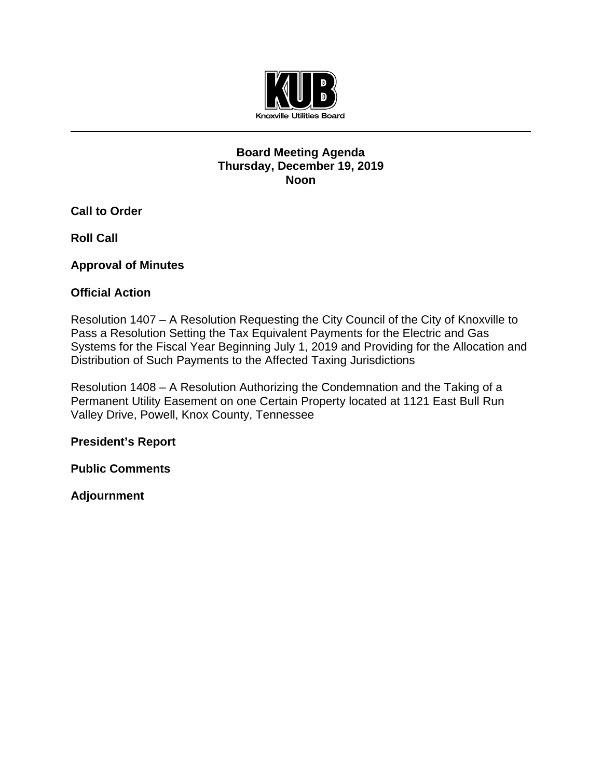

## **Board Meeting Agenda Thursday, December 19, 2019 Noon**

**Call to Order**

**Roll Call**

# **Approval of Minutes**

# **Official Action**

Resolution 1407 – A Resolution Requesting the City Council of the City of Knoxville to Pass a Resolution Setting the Tax Equivalent Payments for the Electric and Gas Systems for the Fiscal Year Beginning July 1, 2019 and Providing for the Allocation and Distribution of Such Payments to the Affected Taxing Jurisdictions

Resolution 1408 – A Resolution Authorizing the Condemnation and the Taking of a Permanent Utility Easement on one Certain Property located at 1121 East Bull Run Valley Drive, Powell, Knox County, Tennessee

**President's Report**

**Public Comments** 

**Adjournment**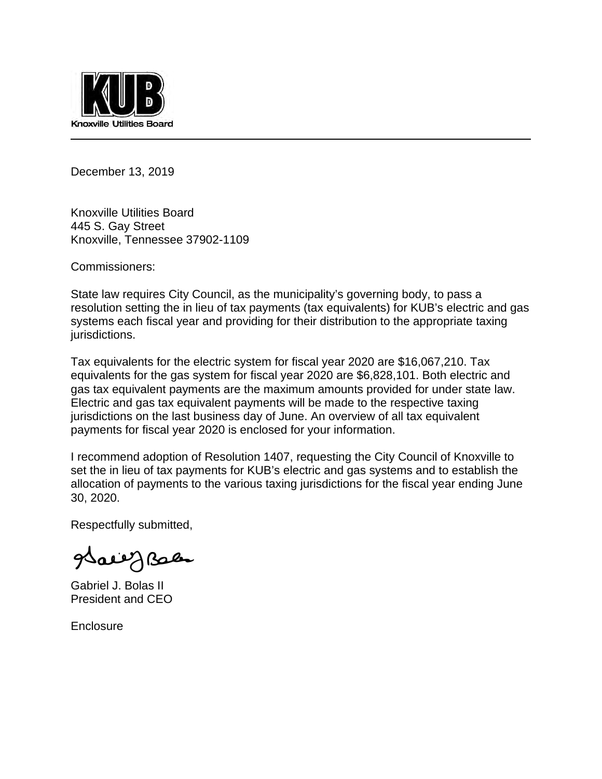

December 13, 2019

Knoxville Utilities Board 445 S. Gay Street Knoxville, Tennessee 37902-1109

Commissioners:

State law requires City Council, as the municipality's governing body, to pass a resolution setting the in lieu of tax payments (tax equivalents) for KUB's electric and gas systems each fiscal year and providing for their distribution to the appropriate taxing jurisdictions.

Tax equivalents for the electric system for fiscal year 2020 are \$16,067,210. Tax equivalents for the gas system for fiscal year 2020 are \$6,828,101. Both electric and gas tax equivalent payments are the maximum amounts provided for under state law. Electric and gas tax equivalent payments will be made to the respective taxing jurisdictions on the last business day of June. An overview of all tax equivalent payments for fiscal year 2020 is enclosed for your information.

I recommend adoption of Resolution 1407, requesting the City Council of Knoxville to set the in lieu of tax payments for KUB's electric and gas systems and to establish the allocation of payments to the various taxing jurisdictions for the fiscal year ending June 30, 2020.

Respectfully submitted,

Sall Jab

Gabriel J. Bolas II President and CEO

**Enclosure**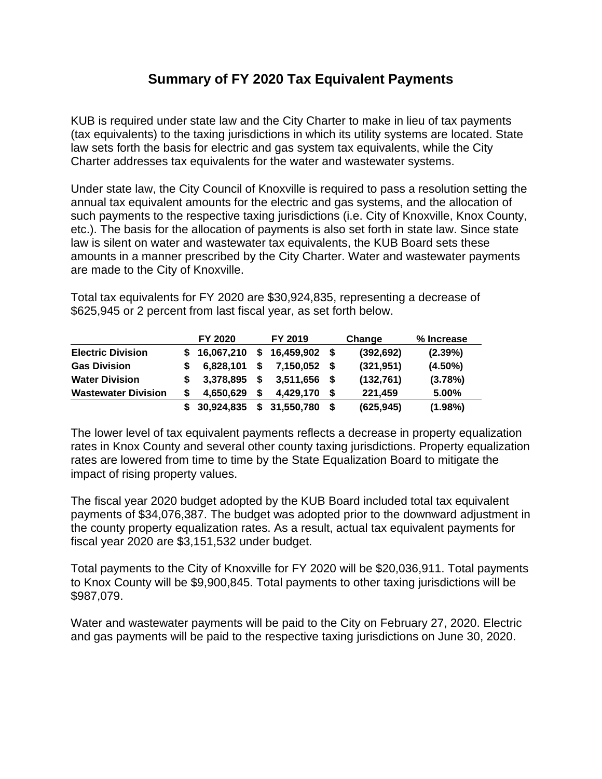# **Summary of FY 2020 Tax Equivalent Payments**

KUB is required under state law and the City Charter to make in lieu of tax payments (tax equivalents) to the taxing jurisdictions in which its utility systems are located. State law sets forth the basis for electric and gas system tax equivalents, while the City Charter addresses tax equivalents for the water and wastewater systems.

Under state law, the City Council of Knoxville is required to pass a resolution setting the annual tax equivalent amounts for the electric and gas systems, and the allocation of such payments to the respective taxing jurisdictions (i.e. City of Knoxville, Knox County, etc.). The basis for the allocation of payments is also set forth in state law. Since state law is silent on water and wastewater tax equivalents, the KUB Board sets these amounts in a manner prescribed by the City Charter. Water and wastewater payments are made to the City of Knoxville.

Total tax equivalents for FY 2020 are \$30,924,835, representing a decrease of \$625,945 or 2 percent from last fiscal year, as set forth below.

|                            | FY 2020      |    | FY 2019       | Change     | % Increase |
|----------------------------|--------------|----|---------------|------------|------------|
| <b>Electric Division</b>   | \$16,067,210 | \$ | 16,459,902 \$ | (392, 692) | (2.39%)    |
| <b>Gas Division</b>        | 6.828.101    | S. | 7,150,052 \$  | (321, 951) | $(4.50\%)$ |
| <b>Water Division</b>      | 3,378,895    | \$ | 3,511,656 \$  | (132, 761) | (3.78%)    |
| <b>Wastewater Division</b> | 4,650,629    | S  | 4.429.170     | 221.459    | 5.00%      |
|                            | 30,924,835   |    | \$31,550,780  | (625, 945) | (1.98%)    |

The lower level of tax equivalent payments reflects a decrease in property equalization rates in Knox County and several other county taxing jurisdictions. Property equalization rates are lowered from time to time by the State Equalization Board to mitigate the impact of rising property values.

The fiscal year 2020 budget adopted by the KUB Board included total tax equivalent payments of \$34,076,387. The budget was adopted prior to the downward adjustment in the county property equalization rates. As a result, actual tax equivalent payments for fiscal year 2020 are \$3,151,532 under budget.

Total payments to the City of Knoxville for FY 2020 will be \$20,036,911. Total payments to Knox County will be \$9,900,845. Total payments to other taxing jurisdictions will be \$987,079.

Water and wastewater payments will be paid to the City on February 27, 2020. Electric and gas payments will be paid to the respective taxing jurisdictions on June 30, 2020.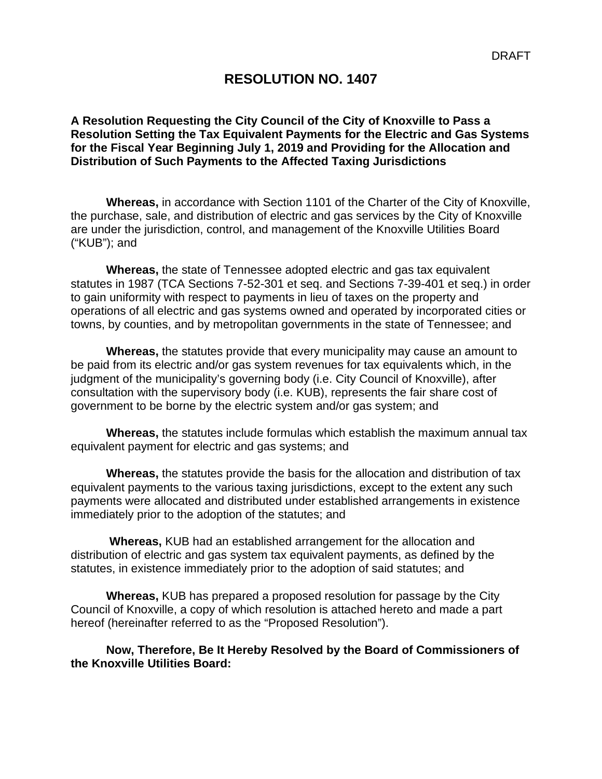# **RESOLUTION NO. 1407**

#### **A Resolution Requesting the City Council of the City of Knoxville to Pass a Resolution Setting the Tax Equivalent Payments for the Electric and Gas Systems for the Fiscal Year Beginning July 1, 2019 and Providing for the Allocation and Distribution of Such Payments to the Affected Taxing Jurisdictions**

**Whereas,** in accordance with Section 1101 of the Charter of the City of Knoxville, the purchase, sale, and distribution of electric and gas services by the City of Knoxville are under the jurisdiction, control, and management of the Knoxville Utilities Board ("KUB"); and

**Whereas,** the state of Tennessee adopted electric and gas tax equivalent statutes in 1987 (TCA Sections 7-52-301 et seq. and Sections 7-39-401 et seq.) in order to gain uniformity with respect to payments in lieu of taxes on the property and operations of all electric and gas systems owned and operated by incorporated cities or towns, by counties, and by metropolitan governments in the state of Tennessee; and

**Whereas,** the statutes provide that every municipality may cause an amount to be paid from its electric and/or gas system revenues for tax equivalents which, in the judgment of the municipality's governing body (i.e. City Council of Knoxville), after consultation with the supervisory body (i.e. KUB), represents the fair share cost of government to be borne by the electric system and/or gas system; and

**Whereas,** the statutes include formulas which establish the maximum annual tax equivalent payment for electric and gas systems; and

**Whereas,** the statutes provide the basis for the allocation and distribution of tax equivalent payments to the various taxing jurisdictions, except to the extent any such payments were allocated and distributed under established arrangements in existence immediately prior to the adoption of the statutes; and

 **Whereas,** KUB had an established arrangement for the allocation and distribution of electric and gas system tax equivalent payments, as defined by the statutes, in existence immediately prior to the adoption of said statutes; and

**Whereas,** KUB has prepared a proposed resolution for passage by the City Council of Knoxville, a copy of which resolution is attached hereto and made a part hereof (hereinafter referred to as the "Proposed Resolution").

**Now, Therefore, Be It Hereby Resolved by the Board of Commissioners of the Knoxville Utilities Board:**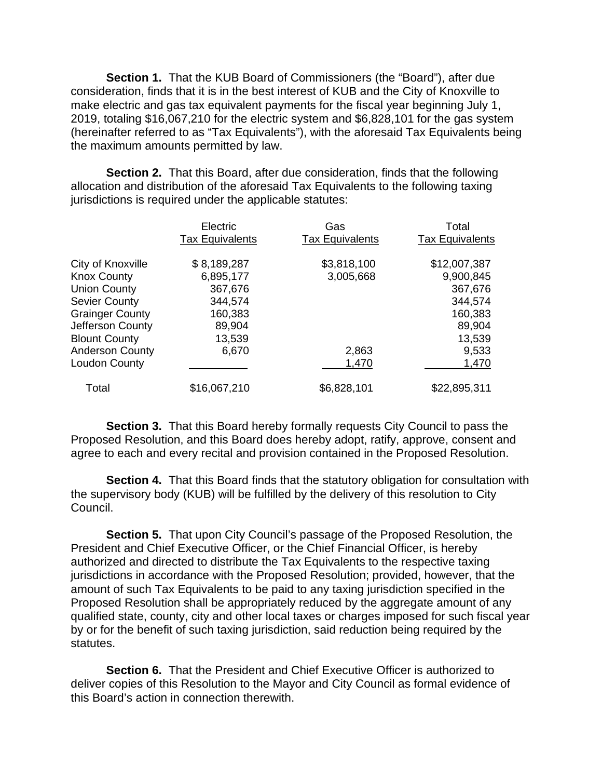**Section 1.** That the KUB Board of Commissioners (the "Board"), after due consideration, finds that it is in the best interest of KUB and the City of Knoxville to make electric and gas tax equivalent payments for the fiscal year beginning July 1, 2019, totaling \$16,067,210 for the electric system and \$6,828,101 for the gas system (hereinafter referred to as "Tax Equivalents"), with the aforesaid Tax Equivalents being the maximum amounts permitted by law.

**Section 2.** That this Board, after due consideration, finds that the following allocation and distribution of the aforesaid Tax Equivalents to the following taxing jurisdictions is required under the applicable statutes:

|                        | Electric<br><b>Tax Equivalents</b> | Gas<br><b>Tax Equivalents</b> | Total<br><b>Tax Equivalents</b> |
|------------------------|------------------------------------|-------------------------------|---------------------------------|
| City of Knoxville      | \$8,189,287                        | \$3,818,100                   | \$12,007,387                    |
| <b>Knox County</b>     | 6,895,177                          | 3,005,668                     | 9,900,845                       |
| <b>Union County</b>    | 367,676                            |                               | 367,676                         |
| <b>Sevier County</b>   | 344,574                            |                               | 344,574                         |
| <b>Grainger County</b> | 160,383                            |                               | 160,383                         |
| Jefferson County       | 89,904                             |                               | 89,904                          |
| <b>Blount County</b>   | 13,539                             |                               | 13,539                          |
| <b>Anderson County</b> | 6,670                              | 2,863                         | 9,533                           |
| Loudon County          |                                    | 1,470                         | 1,470                           |
| Total                  | \$16,067,210                       | \$6,828,101                   | \$22,895,311                    |

**Section 3.** That this Board hereby formally requests City Council to pass the Proposed Resolution, and this Board does hereby adopt, ratify, approve, consent and agree to each and every recital and provision contained in the Proposed Resolution.

**Section 4.** That this Board finds that the statutory obligation for consultation with the supervisory body (KUB) will be fulfilled by the delivery of this resolution to City Council.

**Section 5.** That upon City Council's passage of the Proposed Resolution, the President and Chief Executive Officer, or the Chief Financial Officer, is hereby authorized and directed to distribute the Tax Equivalents to the respective taxing jurisdictions in accordance with the Proposed Resolution; provided, however, that the amount of such Tax Equivalents to be paid to any taxing jurisdiction specified in the Proposed Resolution shall be appropriately reduced by the aggregate amount of any qualified state, county, city and other local taxes or charges imposed for such fiscal year by or for the benefit of such taxing jurisdiction, said reduction being required by the statutes.

**Section 6.** That the President and Chief Executive Officer is authorized to deliver copies of this Resolution to the Mayor and City Council as formal evidence of this Board's action in connection therewith.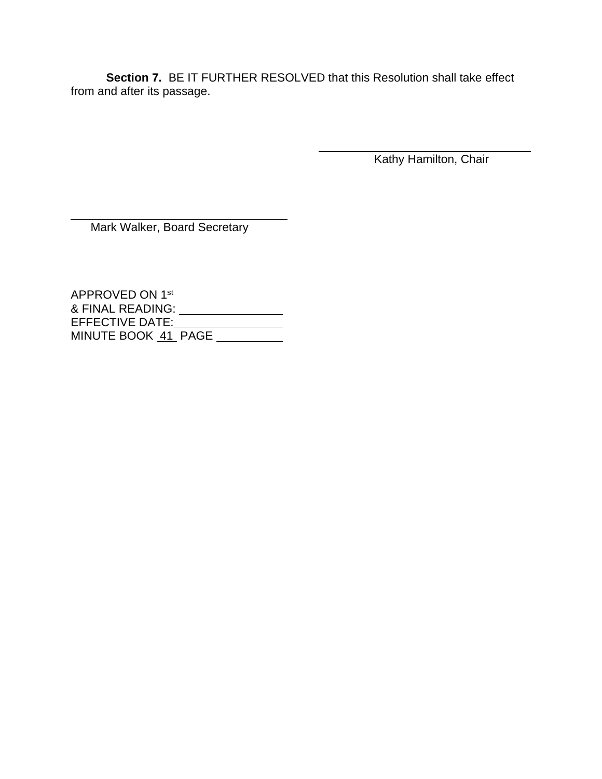**Section 7.** BE IT FURTHER RESOLVED that this Resolution shall take effect from and after its passage.

 $\overline{a}$ 

Kathy Hamilton, Chair

Mark Walker, Board Secretary

APPROVED ON 1st & FINAL READING: EFFECTIVE DATE:\_ MINUTE BOOK <u>41</u> PAGE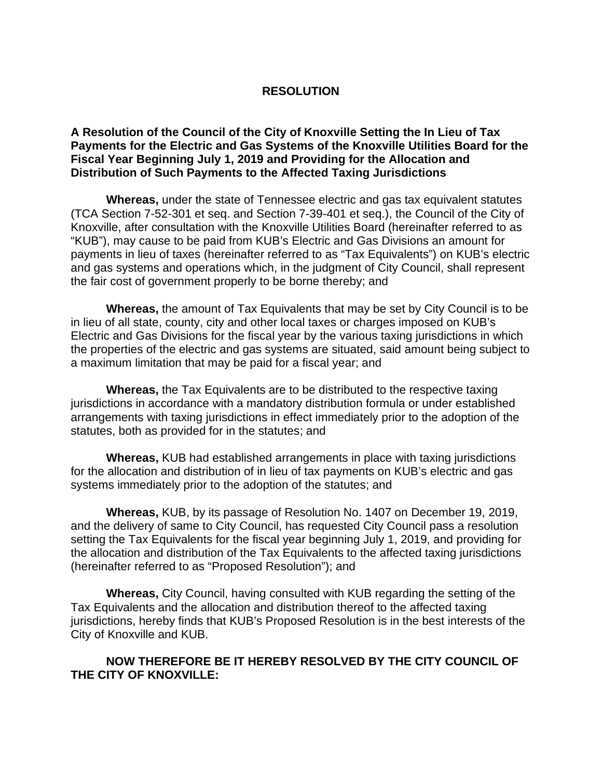## **RESOLUTION**

#### **A Resolution of the Council of the City of Knoxville Setting the In Lieu of Tax Payments for the Electric and Gas Systems of the Knoxville Utilities Board for the Fiscal Year Beginning July 1, 2019 and Providing for the Allocation and Distribution of Such Payments to the Affected Taxing Jurisdictions**

**Whereas,** under the state of Tennessee electric and gas tax equivalent statutes (TCA Section 7-52-301 et seq. and Section 7-39-401 et seq.), the Council of the City of Knoxville, after consultation with the Knoxville Utilities Board (hereinafter referred to as "KUB"), may cause to be paid from KUB's Electric and Gas Divisions an amount for payments in lieu of taxes (hereinafter referred to as "Tax Equivalents") on KUB's electric and gas systems and operations which, in the judgment of City Council, shall represent the fair cost of government properly to be borne thereby; and

**Whereas,** the amount of Tax Equivalents that may be set by City Council is to be in lieu of all state, county, city and other local taxes or charges imposed on KUB's Electric and Gas Divisions for the fiscal year by the various taxing jurisdictions in which the properties of the electric and gas systems are situated, said amount being subject to a maximum limitation that may be paid for a fiscal year; and

**Whereas,** the Tax Equivalents are to be distributed to the respective taxing jurisdictions in accordance with a mandatory distribution formula or under established arrangements with taxing jurisdictions in effect immediately prior to the adoption of the statutes, both as provided for in the statutes; and

**Whereas,** KUB had established arrangements in place with taxing jurisdictions for the allocation and distribution of in lieu of tax payments on KUB's electric and gas systems immediately prior to the adoption of the statutes; and

**Whereas,** KUB, by its passage of Resolution No. 1407 on December 19, 2019, and the delivery of same to City Council, has requested City Council pass a resolution setting the Tax Equivalents for the fiscal year beginning July 1, 2019, and providing for the allocation and distribution of the Tax Equivalents to the affected taxing jurisdictions (hereinafter referred to as "Proposed Resolution"); and

**Whereas,** City Council, having consulted with KUB regarding the setting of the Tax Equivalents and the allocation and distribution thereof to the affected taxing jurisdictions, hereby finds that KUB's Proposed Resolution is in the best interests of the City of Knoxville and KUB.

# **NOW THEREFORE BE IT HEREBY RESOLVED BY THE CITY COUNCIL OF THE CITY OF KNOXVILLE:**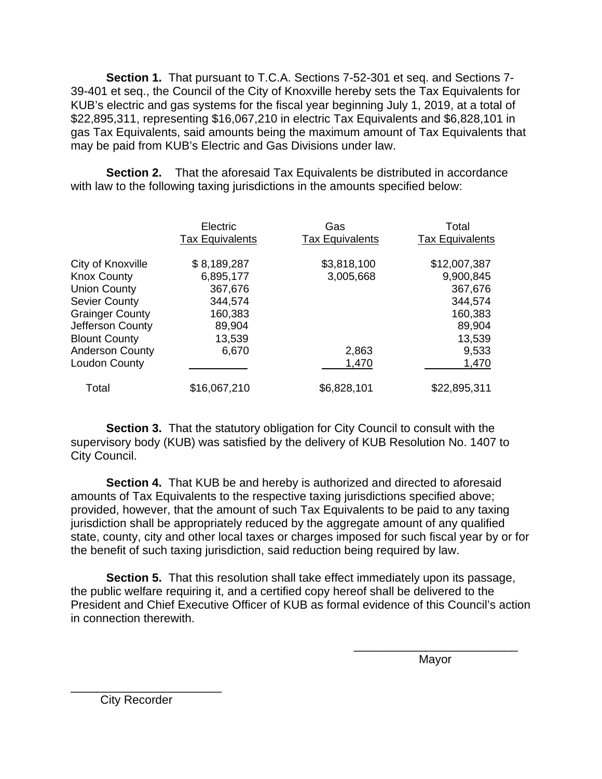**Section 1.** That pursuant to T.C.A. Sections 7-52-301 et seq. and Sections 7- 39-401 et seq., the Council of the City of Knoxville hereby sets the Tax Equivalents for KUB's electric and gas systems for the fiscal year beginning July 1, 2019, at a total of \$22,895,311, representing \$16,067,210 in electric Tax Equivalents and \$6,828,101 in gas Tax Equivalents, said amounts being the maximum amount of Tax Equivalents that may be paid from KUB's Electric and Gas Divisions under law.

**Section 2.** That the aforesaid Tax Equivalents be distributed in accordance with law to the following taxing jurisdictions in the amounts specified below:

|                        | Electric<br><b>Tax Equivalents</b> | Gas<br><b>Tax Equivalents</b> | Total<br><b>Tax Equivalents</b> |
|------------------------|------------------------------------|-------------------------------|---------------------------------|
| City of Knoxville      | \$8,189,287                        | \$3,818,100                   | \$12,007,387                    |
| <b>Knox County</b>     | 6,895,177                          | 3,005,668                     | 9,900,845                       |
| <b>Union County</b>    | 367,676                            |                               | 367,676                         |
| <b>Sevier County</b>   | 344,574                            |                               | 344,574                         |
| <b>Grainger County</b> | 160,383                            |                               | 160,383                         |
| Jefferson County       | 89,904                             |                               | 89,904                          |
| <b>Blount County</b>   | 13,539                             |                               | 13,539                          |
| <b>Anderson County</b> | 6,670                              | 2,863                         | 9,533                           |
| Loudon County          |                                    | 1,470                         | 1,470                           |
| Total                  | \$16,067,210                       | \$6,828,101                   | \$22,895,311                    |

**Section 3.** That the statutory obligation for City Council to consult with the supervisory body (KUB) was satisfied by the delivery of KUB Resolution No. 1407 to City Council.

**Section 4.** That KUB be and hereby is authorized and directed to aforesaid amounts of Tax Equivalents to the respective taxing jurisdictions specified above; provided, however, that the amount of such Tax Equivalents to be paid to any taxing jurisdiction shall be appropriately reduced by the aggregate amount of any qualified state, county, city and other local taxes or charges imposed for such fiscal year by or for the benefit of such taxing jurisdiction, said reduction being required by law.

**Section 5.** That this resolution shall take effect immediately upon its passage, the public welfare requiring it, and a certified copy hereof shall be delivered to the President and Chief Executive Officer of KUB as formal evidence of this Council's action in connection therewith.

 $\overline{\phantom{a}}$  , and the contract of the contract of the contract of the contract of the contract of the contract of the contract of the contract of the contract of the contract of the contract of the contract of the contrac distribution of the contract of the contract of the Mayor Mayor

\_\_\_\_\_\_\_\_\_\_\_\_\_\_\_\_\_\_\_\_\_\_\_ City Recorder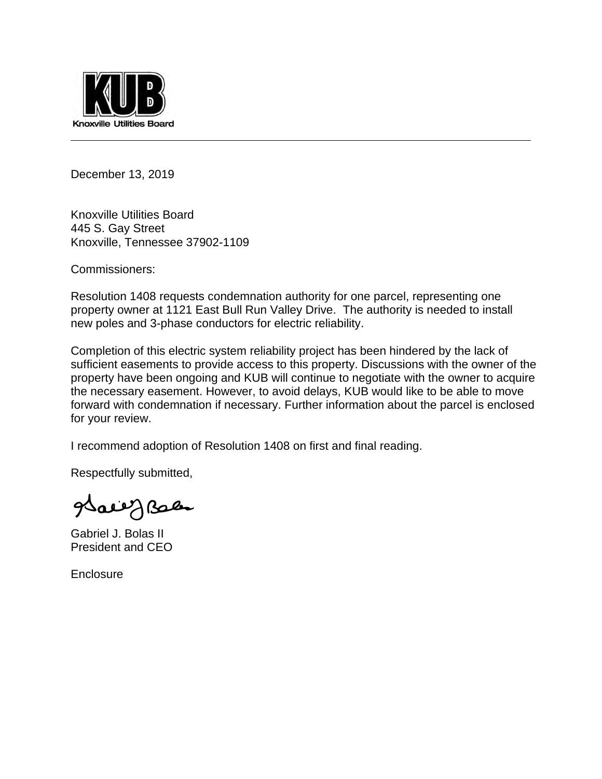

December 13, 2019

Knoxville Utilities Board 445 S. Gay Street Knoxville, Tennessee 37902-1109

Commissioners:

Resolution 1408 requests condemnation authority for one parcel, representing one property owner at 1121 East Bull Run Valley Drive. The authority is needed to install new poles and 3-phase conductors for electric reliability.

Completion of this electric system reliability project has been hindered by the lack of sufficient easements to provide access to this property. Discussions with the owner of the property have been ongoing and KUB will continue to negotiate with the owner to acquire the necessary easement. However, to avoid delays, KUB would like to be able to move forward with condemnation if necessary. Further information about the parcel is enclosed for your review.

I recommend adoption of Resolution 1408 on first and final reading.

Respectfully submitted,

Sall Jelen

Gabriel J. Bolas II President and CEO

**Enclosure**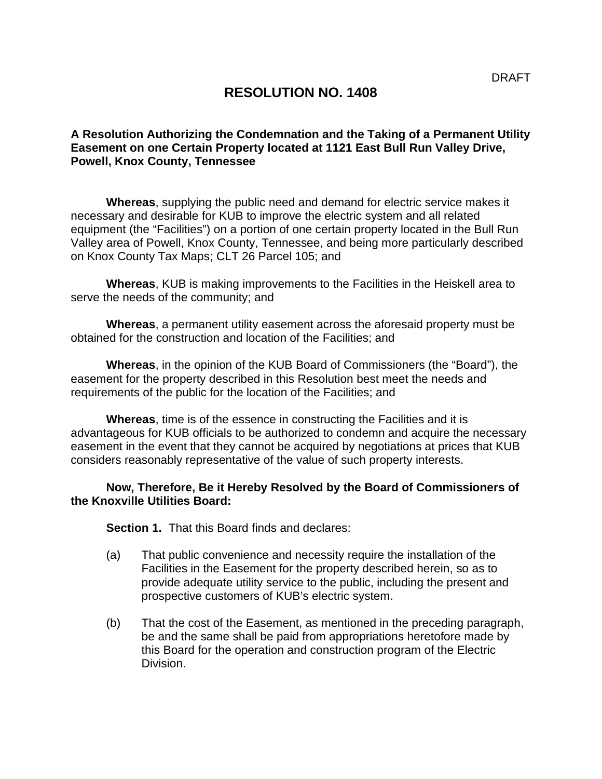# **RESOLUTION NO. 1408**

#### **A Resolution Authorizing the Condemnation and the Taking of a Permanent Utility Easement on one Certain Property located at 1121 East Bull Run Valley Drive, Powell, Knox County, Tennessee**

**Whereas**, supplying the public need and demand for electric service makes it necessary and desirable for KUB to improve the electric system and all related equipment (the "Facilities") on a portion of one certain property located in the Bull Run Valley area of Powell, Knox County, Tennessee, and being more particularly described on Knox County Tax Maps; CLT 26 Parcel 105; and

**Whereas**, KUB is making improvements to the Facilities in the Heiskell area to serve the needs of the community; and

**Whereas**, a permanent utility easement across the aforesaid property must be obtained for the construction and location of the Facilities; and

**Whereas**, in the opinion of the KUB Board of Commissioners (the "Board"), the easement for the property described in this Resolution best meet the needs and requirements of the public for the location of the Facilities; and

**Whereas**, time is of the essence in constructing the Facilities and it is advantageous for KUB officials to be authorized to condemn and acquire the necessary easement in the event that they cannot be acquired by negotiations at prices that KUB considers reasonably representative of the value of such property interests.

#### **Now, Therefore, Be it Hereby Resolved by the Board of Commissioners of the Knoxville Utilities Board:**

**Section 1.** That this Board finds and declares:

- (a) That public convenience and necessity require the installation of the Facilities in the Easement for the property described herein, so as to provide adequate utility service to the public, including the present and prospective customers of KUB's electric system.
- (b) That the cost of the Easement, as mentioned in the preceding paragraph, be and the same shall be paid from appropriations heretofore made by this Board for the operation and construction program of the Electric Division.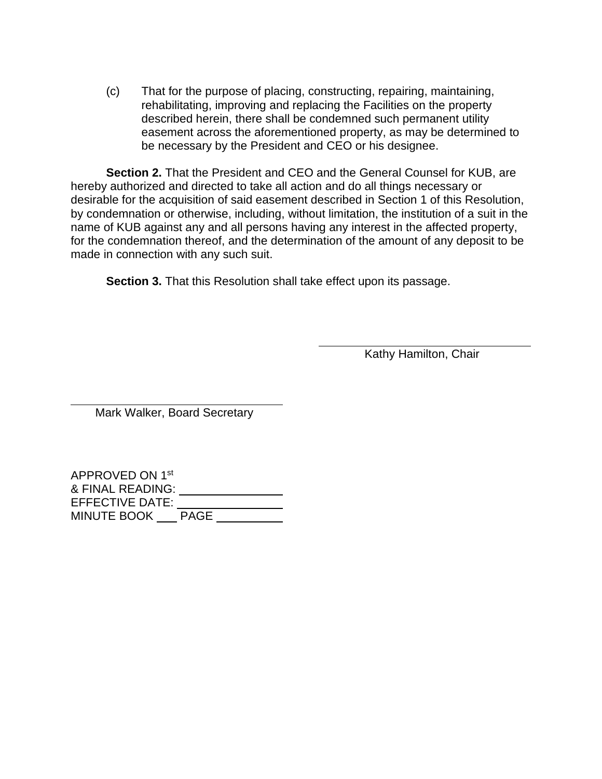(c) That for the purpose of placing, constructing, repairing, maintaining, rehabilitating, improving and replacing the Facilities on the property described herein, there shall be condemned such permanent utility easement across the aforementioned property, as may be determined to be necessary by the President and CEO or his designee.

**Section 2.** That the President and CEO and the General Counsel for KUB, are hereby authorized and directed to take all action and do all things necessary or desirable for the acquisition of said easement described in Section 1 of this Resolution, by condemnation or otherwise, including, without limitation, the institution of a suit in the name of KUB against any and all persons having any interest in the affected property, for the condemnation thereof, and the determination of the amount of any deposit to be made in connection with any such suit.

l

**Section 3.** That this Resolution shall take effect upon its passage.

Kathy Hamilton, Chair

Mark Walker, Board Secretary

 $\ddot{\phantom{a}}$ 

APPROVED ON 1st & FINAL READING: EFFECTIVE DATE: MINUTE BOOK PAGE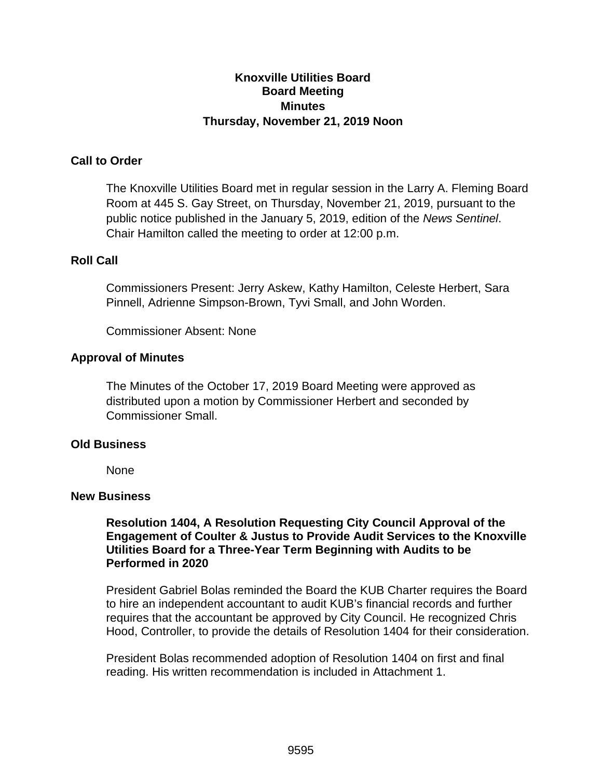## **Knoxville Utilities Board Board Meeting Minutes Thursday, November 21, 2019 Noon**

# **Call to Order**

The Knoxville Utilities Board met in regular session in the Larry A. Fleming Board Room at 445 S. Gay Street, on Thursday, November 21, 2019, pursuant to the public notice published in the January 5, 2019, edition of the *News Sentinel*. Chair Hamilton called the meeting to order at 12:00 p.m.

#### **Roll Call**

Commissioners Present: Jerry Askew, Kathy Hamilton, Celeste Herbert, Sara Pinnell, Adrienne Simpson-Brown, Tyvi Small, and John Worden.

Commissioner Absent: None

#### **Approval of Minutes**

The Minutes of the October 17, 2019 Board Meeting were approved as distributed upon a motion by Commissioner Herbert and seconded by Commissioner Small.

#### **Old Business**

None

#### **New Business**

**Resolution 1404, A Resolution Requesting City Council Approval of the Engagement of Coulter & Justus to Provide Audit Services to the Knoxville Utilities Board for a Three-Year Term Beginning with Audits to be Performed in 2020**

President Gabriel Bolas reminded the Board the KUB Charter requires the Board to hire an independent accountant to audit KUB's financial records and further requires that the accountant be approved by City Council. He recognized Chris Hood, Controller, to provide the details of Resolution 1404 for their consideration.

President Bolas recommended adoption of Resolution 1404 on first and final reading. His written recommendation is included in Attachment 1.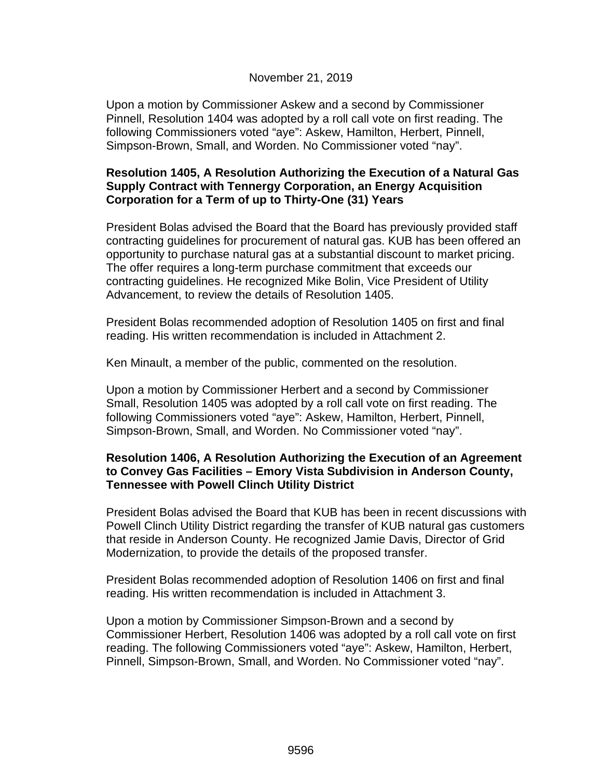#### November 21, 2019

Upon a motion by Commissioner Askew and a second by Commissioner Pinnell, Resolution 1404 was adopted by a roll call vote on first reading. The following Commissioners voted "aye": Askew, Hamilton, Herbert, Pinnell, Simpson-Brown, Small, and Worden. No Commissioner voted "nay".

## **Resolution 1405, A Resolution Authorizing the Execution of a Natural Gas Supply Contract with Tennergy Corporation, an Energy Acquisition Corporation for a Term of up to Thirty-One (31) Years**

President Bolas advised the Board that the Board has previously provided staff contracting guidelines for procurement of natural gas. KUB has been offered an opportunity to purchase natural gas at a substantial discount to market pricing. The offer requires a long-term purchase commitment that exceeds our contracting guidelines. He recognized Mike Bolin, Vice President of Utility Advancement, to review the details of Resolution 1405.

President Bolas recommended adoption of Resolution 1405 on first and final reading. His written recommendation is included in Attachment 2.

Ken Minault, a member of the public, commented on the resolution.

Upon a motion by Commissioner Herbert and a second by Commissioner Small, Resolution 1405 was adopted by a roll call vote on first reading. The following Commissioners voted "aye": Askew, Hamilton, Herbert, Pinnell, Simpson-Brown, Small, and Worden. No Commissioner voted "nay".

#### **Resolution 1406, A Resolution Authorizing the Execution of an Agreement to Convey Gas Facilities – Emory Vista Subdivision in Anderson County, Tennessee with Powell Clinch Utility District**

President Bolas advised the Board that KUB has been in recent discussions with Powell Clinch Utility District regarding the transfer of KUB natural gas customers that reside in Anderson County. He recognized Jamie Davis, Director of Grid Modernization, to provide the details of the proposed transfer.

President Bolas recommended adoption of Resolution 1406 on first and final reading. His written recommendation is included in Attachment 3.

Upon a motion by Commissioner Simpson-Brown and a second by Commissioner Herbert, Resolution 1406 was adopted by a roll call vote on first reading. The following Commissioners voted "aye": Askew, Hamilton, Herbert, Pinnell, Simpson-Brown, Small, and Worden. No Commissioner voted "nay".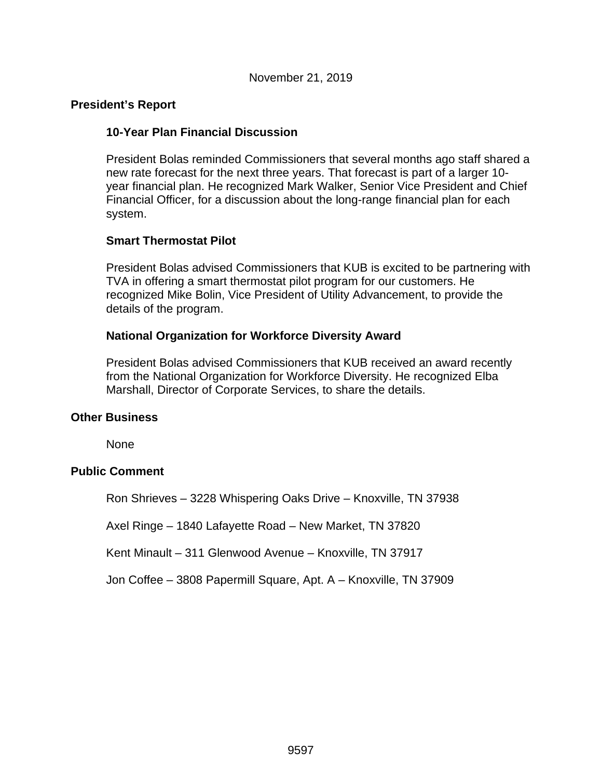## **President's Report**

# **10-Year Plan Financial Discussion**

President Bolas reminded Commissioners that several months ago staff shared a new rate forecast for the next three years. That forecast is part of a larger 10 year financial plan. He recognized Mark Walker, Senior Vice President and Chief Financial Officer, for a discussion about the long-range financial plan for each system.

#### **Smart Thermostat Pilot**

President Bolas advised Commissioners that KUB is excited to be partnering with TVA in offering a smart thermostat pilot program for our customers. He recognized Mike Bolin, Vice President of Utility Advancement, to provide the details of the program.

#### **National Organization for Workforce Diversity Award**

President Bolas advised Commissioners that KUB received an award recently from the National Organization for Workforce Diversity. He recognized Elba Marshall, Director of Corporate Services, to share the details.

#### **Other Business**

None

## **Public Comment**

Ron Shrieves – 3228 Whispering Oaks Drive – Knoxville, TN 37938

Axel Ringe – 1840 Lafayette Road – New Market, TN 37820

Kent Minault – 311 Glenwood Avenue – Knoxville, TN 37917

Jon Coffee – 3808 Papermill Square, Apt. A – Knoxville, TN 37909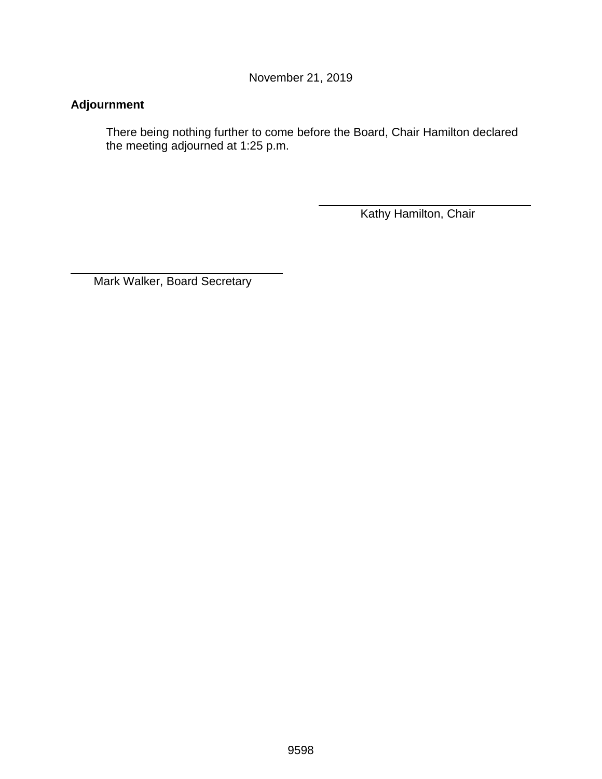November 21, 2019

# **Adjournment**

 $\overline{a}$ 

There being nothing further to come before the Board, Chair Hamilton declared the meeting adjourned at 1:25 p.m.

Kathy Hamilton, Chair

Mark Walker, Board Secretary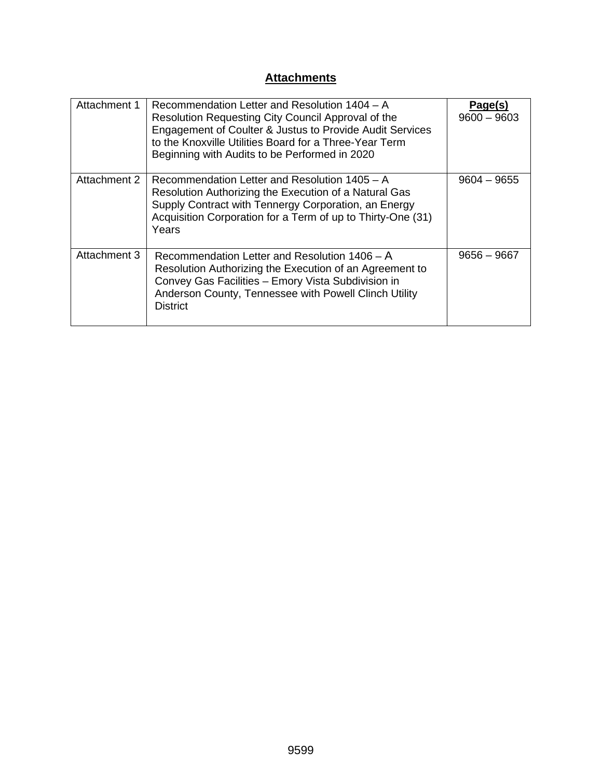# **Attachments**

| Attachment 1 | Recommendation Letter and Resolution 1404 – A<br>Resolution Requesting City Council Approval of the<br>Engagement of Coulter & Justus to Provide Audit Services<br>to the Knoxville Utilities Board for a Three-Year Term<br>Beginning with Audits to be Performed in 2020 | Page(s)<br>$9600 - 9603$ |
|--------------|----------------------------------------------------------------------------------------------------------------------------------------------------------------------------------------------------------------------------------------------------------------------------|--------------------------|
| Attachment 2 | Recommendation Letter and Resolution 1405 – A<br>Resolution Authorizing the Execution of a Natural Gas<br>Supply Contract with Tennergy Corporation, an Energy<br>Acquisition Corporation for a Term of up to Thirty-One (31)<br>Years                                     | $9604 - 9655$            |
| Attachment 3 | Recommendation Letter and Resolution 1406 – A<br>Resolution Authorizing the Execution of an Agreement to<br>Convey Gas Facilities - Emory Vista Subdivision in<br>Anderson County, Tennessee with Powell Clinch Utility<br><b>District</b>                                 | $9656 - 9667$            |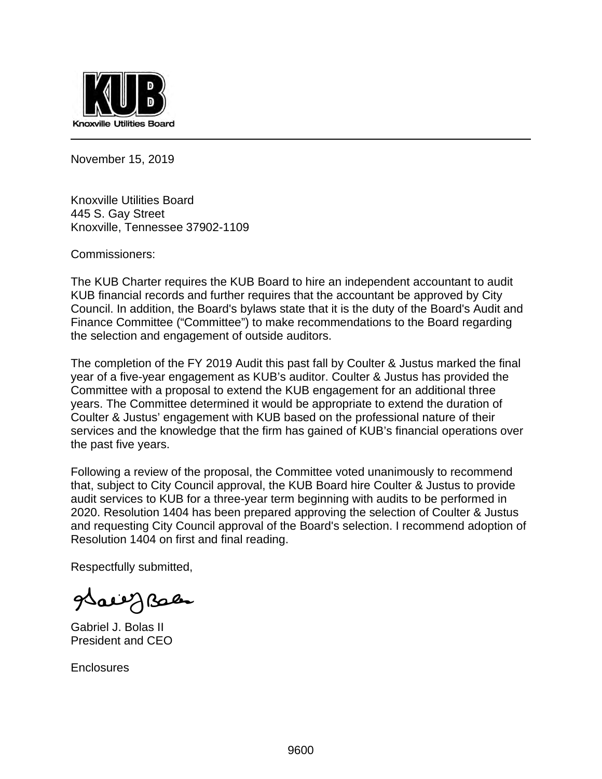

November 15, 2019

Knoxville Utilities Board 445 S. Gay Street Knoxville, Tennessee 37902-1109

Commissioners:

The KUB Charter requires the KUB Board to hire an independent accountant to audit KUB financial records and further requires that the accountant be approved by City Council. In addition, the Board's bylaws state that it is the duty of the Board's Audit and Finance Committee ("Committee") to make recommendations to the Board regarding the selection and engagement of outside auditors.

The completion of the FY 2019 Audit this past fall by Coulter & Justus marked the final year of a five-year engagement as KUB's auditor. Coulter & Justus has provided the Committee with a proposal to extend the KUB engagement for an additional three years. The Committee determined it would be appropriate to extend the duration of Coulter & Justus' engagement with KUB based on the professional nature of their services and the knowledge that the firm has gained of KUB's financial operations over the past five years.

Following a review of the proposal, the Committee voted unanimously to recommend that, subject to City Council approval, the KUB Board hire Coulter & Justus to provide audit services to KUB for a three-year term beginning with audits to be performed in 2020. Resolution 1404 has been prepared approving the selection of Coulter & Justus and requesting City Council approval of the Board's selection. I recommend adoption of Resolution 1404 on first and final reading.

Respectfully sub mitted,

Saeiez Baea

Gabriel J. Bolas II President and CEO

**Enclosures**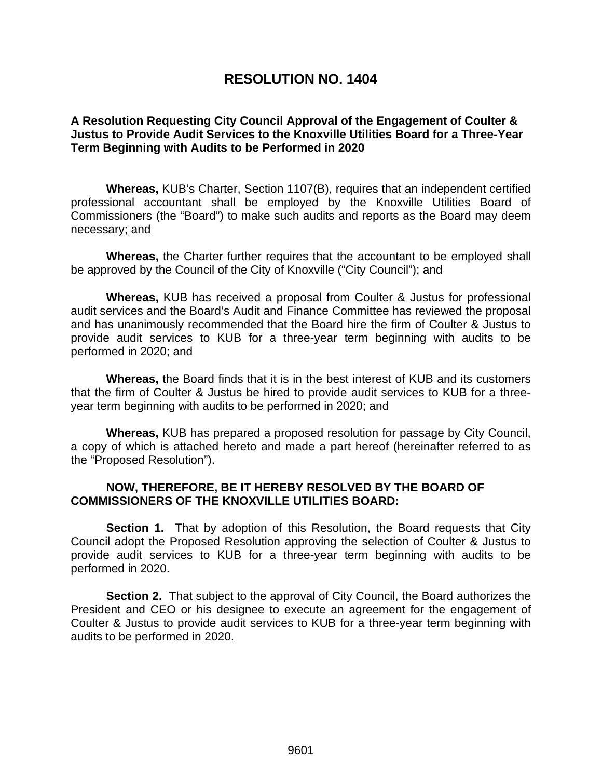# **RESOLUTION NO. 1404**

## **A Resolution Requesting City Council Approval of the Engagement of Coulter & Justus to Provide Audit Services to the Knoxville Utilities Board for a Three-Year Term Beginning with Audits to be Performed in 2020**

**Whereas,** KUB's Charter, Section 1107(B), requires that an independent certified professional accountant shall be employed by the Knoxville Utilities Board of Commissioners (the "Board") to make such audits and reports as the Board may deem necessary; and

**Whereas,** the Charter further requires that the accountant to be employed shall be approved by the Council of the City of Knoxville ("City Council"); and

**Whereas,** KUB has received a proposal from Coulter & Justus for professional audit services and the Board's Audit and Finance Committee has reviewed the proposal and has unanimously recommended that the Board hire the firm of Coulter & Justus to provide audit services to KUB for a three-year term beginning with audits to be performed in 2020; and

**Whereas,** the Board finds that it is in the best interest of KUB and its customers that the firm of Coulter & Justus be hired to provide audit services to KUB for a threeyear term beginning with audits to be performed in 2020; and

**Whereas,** KUB has prepared a proposed resolution for passage by City Council, a copy of which is attached hereto and made a part hereof (hereinafter referred to as the "Proposed Resolution").

#### **NOW, THEREFORE, BE IT HEREBY RESOLVED BY THE BOARD OF COMMISSIONERS OF THE KNOXVILLE UTILITIES BOARD:**

**Section 1.** That by adoption of this Resolution, the Board requests that City Council adopt the Proposed Resolution approving the selection of Coulter & Justus to provide audit services to KUB for a three-year term beginning with audits to be performed in 2020.

**Section 2.** That subject to the approval of City Council, the Board authorizes the President and CEO or his designee to execute an agreement for the engagement of Coulter & Justus to provide audit services to KUB for a three-year term beginning with audits to be performed in 2020.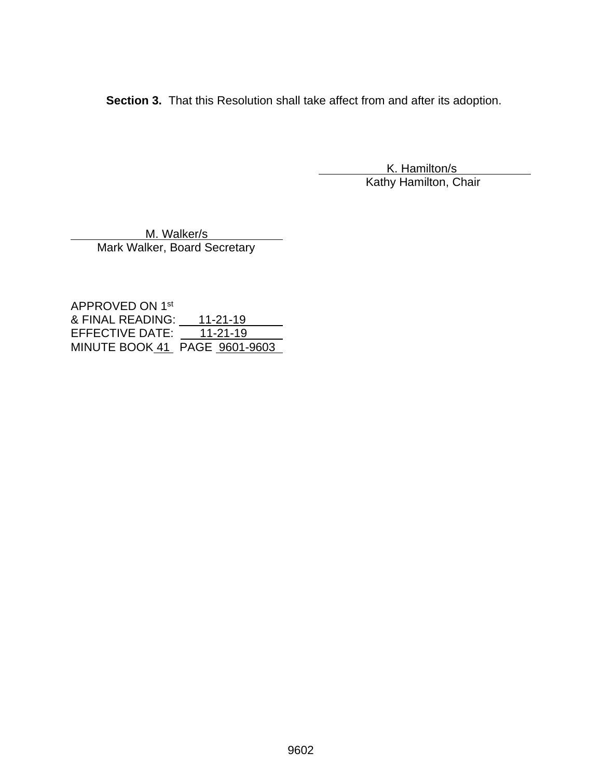**Section 3.** That this Resolution shall take affect from and after its adoption.

 K. Hamilton/s Kathy Hamilton, Chair

M. Walker/s Mark Walker, Board Secretary

APPROVED ON 1st & FINAL READING: 11-21-19 EFFECTIVE DATE: 11-21-19 MINUTE BOOK 41 PAGE 9601-9603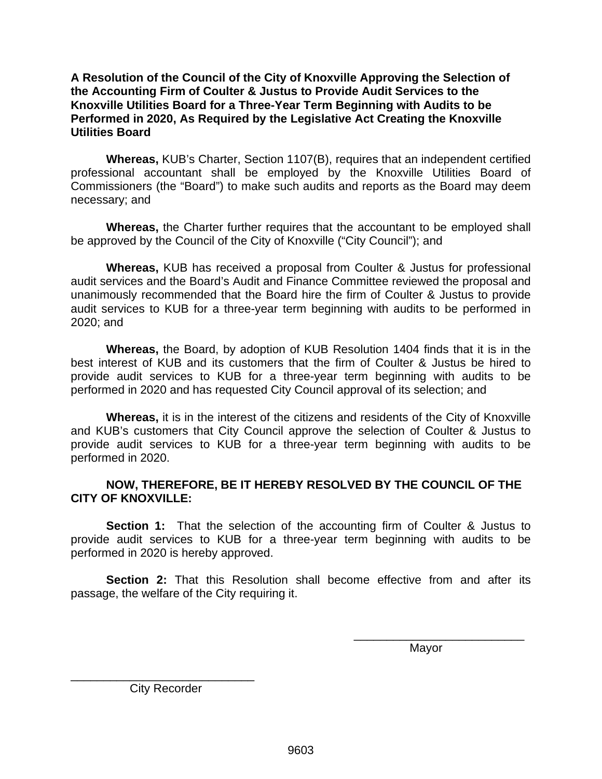**A Resolution of the Council of the City of Knoxville Approving the Selection of the Accounting Firm of Coulter & Justus to Provide Audit Services to the Knoxville Utilities Board for a Three-Year Term Beginning with Audits to be Performed in 2020, As Required by the Legislative Act Creating the Knoxville Utilities Board**

**Whereas,** KUB's Charter, Section 1107(B), requires that an independent certified professional accountant shall be employed by the Knoxville Utilities Board of Commissioners (the "Board") to make such audits and reports as the Board may deem necessary; and

**Whereas,** the Charter further requires that the accountant to be employed shall be approved by the Council of the City of Knoxville ("City Council"); and

**Whereas,** KUB has received a proposal from Coulter & Justus for professional audit services and the Board's Audit and Finance Committee reviewed the proposal and unanimously recommended that the Board hire the firm of Coulter & Justus to provide audit services to KUB for a three-year term beginning with audits to be performed in 2020; and

**Whereas,** the Board, by adoption of KUB Resolution 1404 finds that it is in the best interest of KUB and its customers that the firm of Coulter & Justus be hired to provide audit services to KUB for a three-year term beginning with audits to be performed in 2020 and has requested City Council approval of its selection; and

**Whereas,** it is in the interest of the citizens and residents of the City of Knoxville and KUB's customers that City Council approve the selection of Coulter & Justus to provide audit services to KUB for a three-year term beginning with audits to be performed in 2020.

## **NOW, THEREFORE, BE IT HEREBY RESOLVED BY THE COUNCIL OF THE CITY OF KNOXVILLE:**

**Section 1:** That the selection of the accounting firm of Coulter & Justus to provide audit services to KUB for a three-year term beginning with audits to be performed in 2020 is hereby approved.

**Section 2:** That this Resolution shall become effective from and after its passage, the welfare of the City requiring it.

 $\overline{\phantom{a}}$  , and the contract of the contract of the contract of the contract of the contract of the contract of the contract of the contract of the contract of the contract of the contract of the contract of the contrac

distribution of the contract of the contract of the Mayor Mayor

\_\_\_\_\_\_\_\_\_\_\_\_\_\_\_\_\_\_\_\_\_\_\_\_\_\_\_\_ City Recorder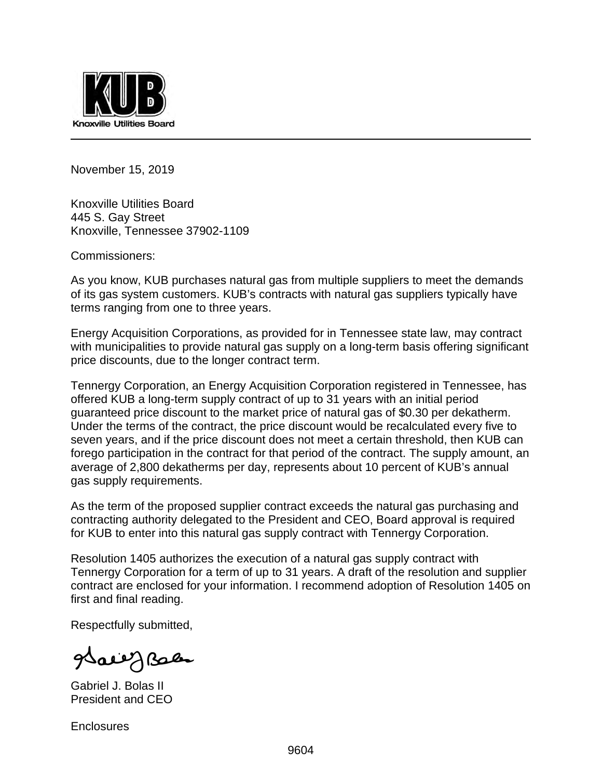

November 15, 2019

Knoxville Utilities Board 445 S. Gay Street Knoxville, Tennessee 37902-1109

Commissioners:

As you know, KUB purchases natural gas from multiple suppliers to meet the demands of its gas system customers. KUB's contracts with natural gas suppliers typically have terms ranging from one to three years.

Energy Acquisition Corporations, as provided for in Tennessee state law, may contract with municipalities to provide natural gas supply on a long-term basis offering significant price discounts, due to the longer contract term.

Tennergy Corporation, an Energy Acquisition Corporation registered in Tennessee, has offered KUB a long-term supply contract of up to 31 years with an initial period guaranteed price discount to the market price of natural gas of \$0.30 per dekatherm. Under the terms of the contract, the price discount would be recalculated every five to seven years, and if the price discount does not meet a certain threshold, then KUB can forego participation in the contract for that period of the contract. The supply amount, an average of 2,800 dekatherms per day, represents about 10 percent of KUB's annual gas supply requirements.

As the term of the proposed supplier contract exceeds the natural gas purchasing and contracting authority delegated to the President and CEO, Board approval is required for KUB to enter into this natural gas supply contract with Tennergy Corporation.

Resolution 1405 authorizes the execution of a natural gas supply contract with Tennergy Corporation for a term of up to 31 years. A draft of the resolution and supplier contract are enclosed for your information. I recommend adoption of Resolution 1405 on first and final reading.

Respectfully submitted,

Gabriel J. Bolas II President and CEO

**Enclosures**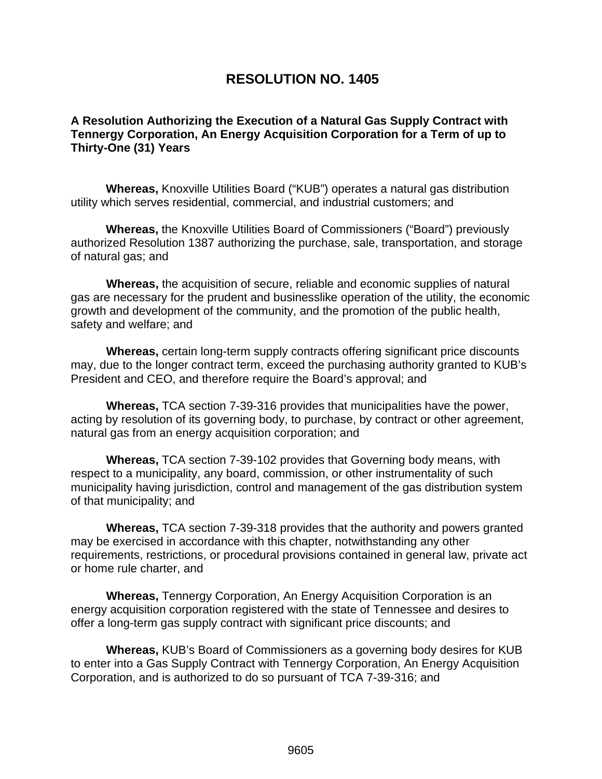# **RESOLUTION NO. 1405**

# **A Resolution Authorizing the Execution of a Natural Gas Supply Contract with Tennergy Corporation, An Energy Acquisition Corporation for a Term of up to Thirty-One (31) Years**

**Whereas,** Knoxville Utilities Board ("KUB") operates a natural gas distribution utility which serves residential, commercial, and industrial customers; and

**Whereas,** the Knoxville Utilities Board of Commissioners ("Board") previously authorized Resolution 1387 authorizing the purchase, sale, transportation, and storage of natural gas; and

**Whereas,** the acquisition of secure, reliable and economic supplies of natural gas are necessary for the prudent and businesslike operation of the utility, the economic growth and development of the community, and the promotion of the public health, safety and welfare; and

**Whereas,** certain long-term supply contracts offering significant price discounts may, due to the longer contract term, exceed the purchasing authority granted to KUB's President and CEO, and therefore require the Board's approval; and

**Whereas,** TCA section 7-39-316 provides that municipalities have the power, acting by resolution of its governing body, to purchase, by contract or other agreement, natural gas from an energy acquisition corporation; and

**Whereas,** TCA section 7-39-102 provides that Governing body means, with respect to a municipality, any board, commission, or other instrumentality of such municipality having jurisdiction, control and management of the gas distribution system of that municipality; and

**Whereas,** TCA section 7-39-318 provides that the authority and powers granted may be exercised in accordance with this chapter, notwithstanding any other requirements, restrictions, or procedural provisions contained in general law, private act or home rule charter, and

**Whereas,** Tennergy Corporation, An Energy Acquisition Corporation is an energy acquisition corporation registered with the state of Tennessee and desires to offer a long-term gas supply contract with significant price discounts; and

**Whereas,** KUB's Board of Commissioners as a governing body desires for KUB to enter into a Gas Supply Contract with Tennergy Corporation, An Energy Acquisition Corporation, and is authorized to do so pursuant of TCA 7-39-316; and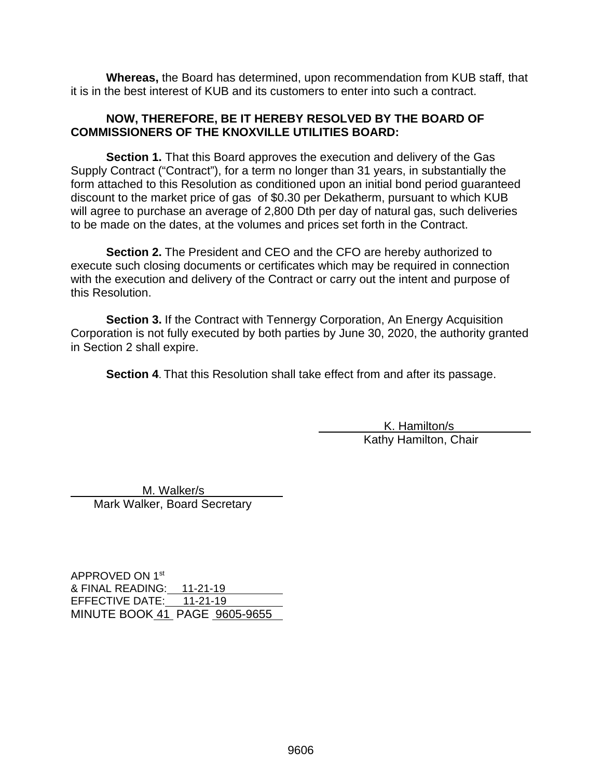**Whereas,** the Board has determined, upon recommendation from KUB staff, that it is in the best interest of KUB and its customers to enter into such a contract.

#### **NOW, THEREFORE, BE IT HEREBY RESOLVED BY THE BOARD OF COMMISSIONERS OF THE KNOXVILLE UTILITIES BOARD:**

**Section 1.** That this Board approves the execution and delivery of the Gas Supply Contract ("Contract"), for a term no longer than 31 years, in substantially the form attached to this Resolution as conditioned upon an initial bond period guaranteed discount to the market price of gas of \$0.30 per Dekatherm, pursuant to which KUB will agree to purchase an average of 2,800 Dth per day of natural gas, such deliveries to be made on the dates, at the volumes and prices set forth in the Contract.

**Section 2.** The President and CEO and the CFO are hereby authorized to execute such closing documents or certificates which may be required in connection with the execution and delivery of the Contract or carry out the intent and purpose of this Resolution.

**Section 3.** If the Contract with Tennergy Corporation, An Energy Acquisition Corporation is not fully executed by both parties by June 30, 2020, the authority granted in Section 2 shall expire.

**Section 4**. That this Resolution shall take effect from and after its passage.

 K. Hamilton/s Kathy Hamilton, Chair

 M. Walker/s Mark Walker, Board Secretary

APPROVED ON 1st & FINAL READING: 11-21-19 EFFECTIVE DATE: 11-21-19 MINUTE BOOK 41 PAGE 9605-9655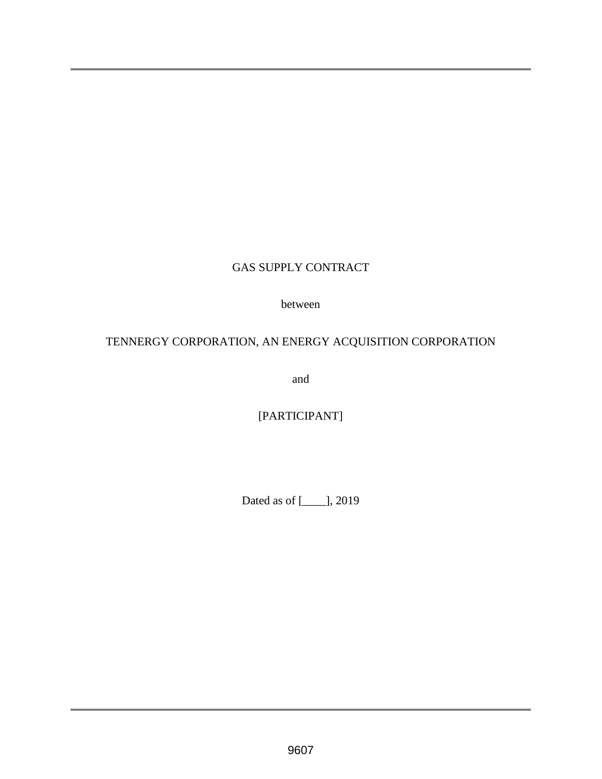# GAS SUPPLY CONTRACT

between

# TENNERGY CORPORATION, AN ENERGY ACQUISITION CORPORATION

and

[PARTICIPANT]

Dated as of [\_\_\_\_], 2019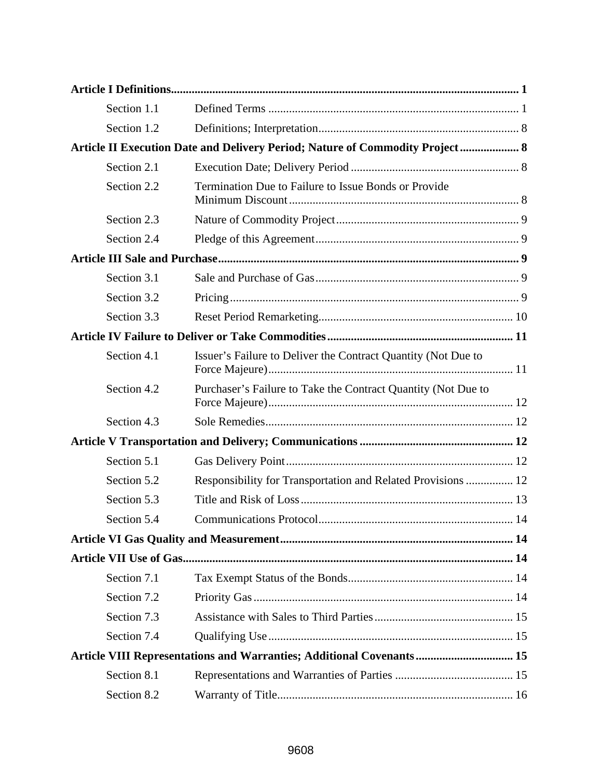| Section 1.1 |                                                                              |  |
|-------------|------------------------------------------------------------------------------|--|
| Section 1.2 |                                                                              |  |
|             | Article II Execution Date and Delivery Period; Nature of Commodity Project 8 |  |
| Section 2.1 |                                                                              |  |
| Section 2.2 | Termination Due to Failure to Issue Bonds or Provide                         |  |
| Section 2.3 |                                                                              |  |
| Section 2.4 |                                                                              |  |
|             |                                                                              |  |
| Section 3.1 |                                                                              |  |
| Section 3.2 |                                                                              |  |
| Section 3.3 |                                                                              |  |
|             |                                                                              |  |
| Section 4.1 | Issuer's Failure to Deliver the Contract Quantity (Not Due to                |  |
| Section 4.2 | Purchaser's Failure to Take the Contract Quantity (Not Due to                |  |
| Section 4.3 |                                                                              |  |
|             |                                                                              |  |
| Section 5.1 |                                                                              |  |
| Section 5.2 | Responsibility for Transportation and Related Provisions  12                 |  |
| Section 5.3 |                                                                              |  |
| Section 5.4 |                                                                              |  |
|             |                                                                              |  |
|             |                                                                              |  |
| Section 7.1 |                                                                              |  |
| Section 7.2 |                                                                              |  |
| Section 7.3 |                                                                              |  |
| Section 7.4 |                                                                              |  |
|             | Article VIII Representations and Warranties; Additional Covenants 15         |  |
| Section 8.1 |                                                                              |  |
| Section 8.2 |                                                                              |  |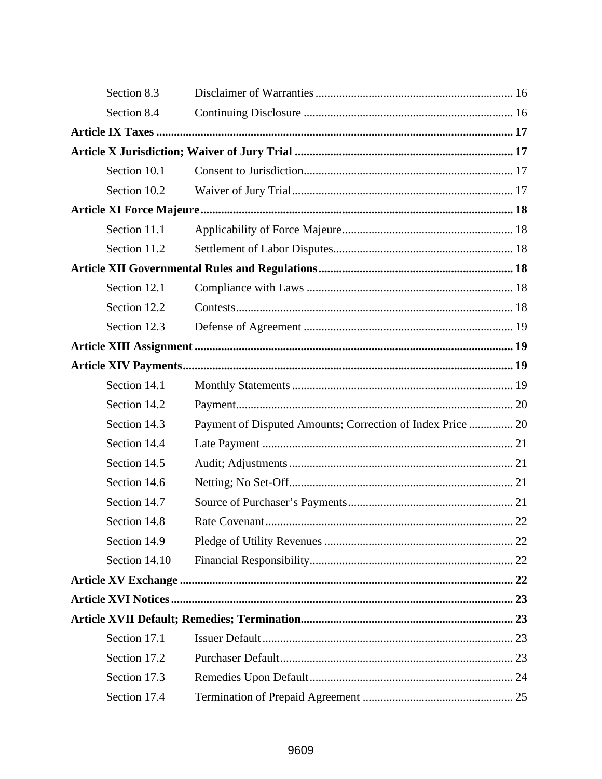| Section 8.3   |                                                            |  |
|---------------|------------------------------------------------------------|--|
| Section 8.4   |                                                            |  |
|               |                                                            |  |
|               |                                                            |  |
| Section 10.1  |                                                            |  |
| Section 10.2  |                                                            |  |
|               |                                                            |  |
| Section 11.1  |                                                            |  |
| Section 11.2  |                                                            |  |
|               |                                                            |  |
| Section 12.1  |                                                            |  |
| Section 12.2  |                                                            |  |
| Section 12.3  |                                                            |  |
|               |                                                            |  |
|               |                                                            |  |
| Section 14.1  |                                                            |  |
| Section 14.2  |                                                            |  |
| Section 14.3  | Payment of Disputed Amounts; Correction of Index Price  20 |  |
| Section 14.4  |                                                            |  |
| Section 14.5  |                                                            |  |
| Section 14.6  |                                                            |  |
| Section 14.7  |                                                            |  |
| Section 14.8  |                                                            |  |
| Section 14.9  |                                                            |  |
| Section 14.10 |                                                            |  |
|               |                                                            |  |
|               |                                                            |  |
|               |                                                            |  |
| Section 17.1  |                                                            |  |
| Section 17.2  |                                                            |  |
| Section 17.3  |                                                            |  |
| Section 17.4  |                                                            |  |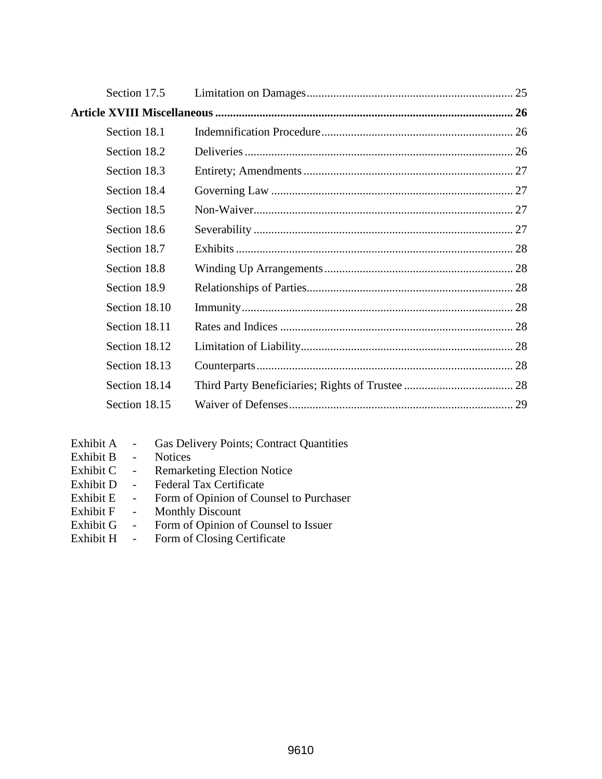| Section 17.5  |  |
|---------------|--|
|               |  |
| Section 18.1  |  |
| Section 18.2  |  |
| Section 18.3  |  |
| Section 18.4  |  |
| Section 18.5  |  |
| Section 18.6  |  |
| Section 18.7  |  |
| Section 18.8  |  |
| Section 18.9  |  |
| Section 18.10 |  |
| Section 18.11 |  |
| Section 18.12 |  |
| Section 18.13 |  |
| Section 18.14 |  |
| Section 18.15 |  |

- Exhibit A Gas Delivery Points; Contract Quantities<br>Exhibit B Notices Exhibit B -Exhibit C - Remarketing Election Notice
- 
- Exhibit D Federal Tax Certificate
- Exhibit E Form of Opinion of Counsel to Purchaser
- Exhibit F Monthly Discount
- Exhibit G Form of Opinion of Counsel to Issuer
- Exhibit H Form of Closing Certificate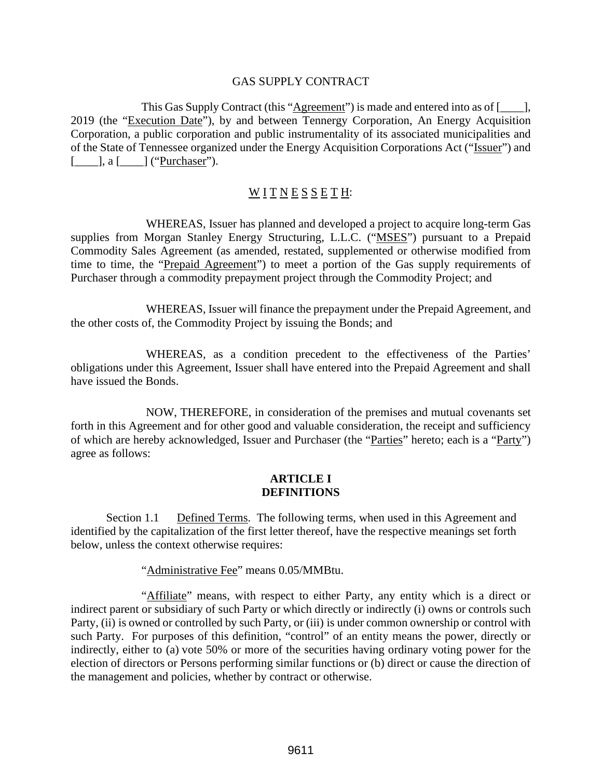#### GAS SUPPLY CONTRACT

This Gas Supply Contract (this " $\Delta$ greement") is made and entered into as of  $[\_\_\_\]$ , 2019 (the "Execution Date"), by and between Tennergy Corporation, An Energy Acquisition Corporation, a public corporation and public instrumentality of its associated municipalities and of the State of Tennessee organized under the Energy Acquisition Corporations Act ("Issuer") and [\_\_\_\_\_], a [\_\_\_\_\_] ("Purchaser").

#### $\underline{W}$  <u>I</u> T N E S S E T H:

WHEREAS, Issuer has planned and developed a project to acquire long-term Gas supplies from Morgan Stanley Energy Structuring, L.L.C. ("MSES") pursuant to a Prepaid Commodity Sales Agreement (as amended, restated, supplemented or otherwise modified from time to time, the "Prepaid Agreement") to meet a portion of the Gas supply requirements of Purchaser through a commodity prepayment project through the Commodity Project; and

WHEREAS, Issuer will finance the prepayment under the Prepaid Agreement, and the other costs of, the Commodity Project by issuing the Bonds; and

WHEREAS, as a condition precedent to the effectiveness of the Parties' obligations under this Agreement, Issuer shall have entered into the Prepaid Agreement and shall have issued the Bonds.

NOW, THEREFORE, in consideration of the premises and mutual covenants set forth in this Agreement and for other good and valuable consideration, the receipt and sufficiency of which are hereby acknowledged, Issuer and Purchaser (the "Parties" hereto; each is a "Party") agree as follows:

#### **ARTICLE I DEFINITIONS**

<span id="page-27-1"></span><span id="page-27-0"></span>Section 1.1 Defined Terms. The following terms, when used in this Agreement and identified by the capitalization of the first letter thereof, have the respective meanings set forth below, unless the context otherwise requires:

"Administrative Fee" means 0.05/MMBtu.

"Affiliate" means, with respect to either Party, any entity which is a direct or indirect parent or subsidiary of such Party or which directly or indirectly (i) owns or controls such Party, (ii) is owned or controlled by such Party, or (iii) is under common ownership or control with such Party. For purposes of this definition, "control" of an entity means the power, directly or indirectly, either to (a) vote 50% or more of the securities having ordinary voting power for the election of directors or Persons performing similar functions or (b) direct or cause the direction of the management and policies, whether by contract or otherwise.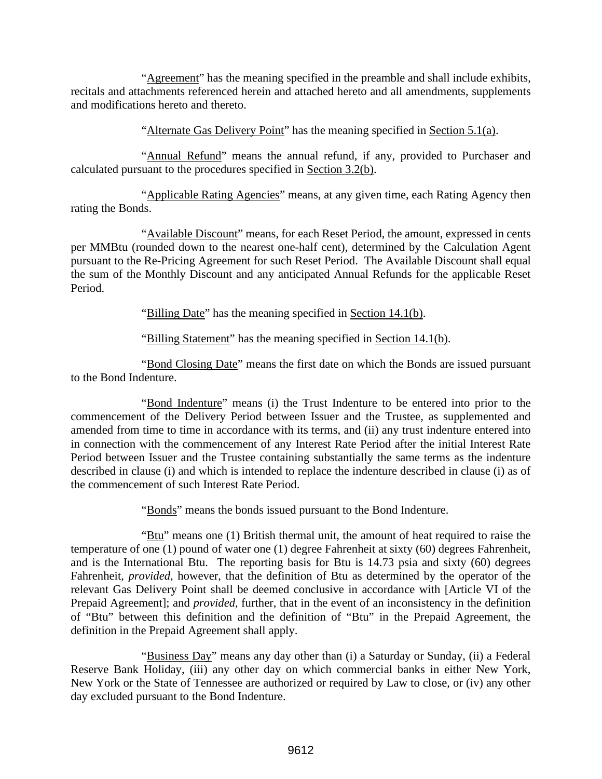"Agreement" has the meaning specified in the preamble and shall include exhibits, recitals and attachments referenced herein and attached hereto and all amendments, supplements and modifications hereto and thereto.

"Alternate Gas Delivery Point" has the meaning specified in [Section 5.1\(a\).](#page-38-5)

"Annual Refund" means the annual refund, if any, provided to Purchaser and calculated pursuant to the procedures specified in [Section 3.2\(b\).](#page-35-5)

"Applicable Rating Agencies" means, at any given time, each Rating Agency then rating the Bonds.

"Available Discount" means, for each Reset Period, the amount, expressed in cents per MMBtu (rounded down to the nearest one-half cent), determined by the Calculation Agent pursuant to the Re-Pricing Agreement for such Reset Period. The Available Discount shall equal the sum of the Monthly Discount and any anticipated Annual Refunds for the applicable Reset Period.

"Billing Date" has the meaning specified in [Section 14.1\(b\).](#page-45-4)

"Billing Statement" has the meaning specified in [Section 14.1\(b\).](#page-45-4)

"Bond Closing Date" means the first date on which the Bonds are issued pursuant to the Bond Indenture.

"Bond Indenture" means (i) the Trust Indenture to be entered into prior to the commencement of the Delivery Period between Issuer and the Trustee, as supplemented and amended from time to time in accordance with its terms, and (ii) any trust indenture entered into in connection with the commencement of any Interest Rate Period after the initial Interest Rate Period between Issuer and the Trustee containing substantially the same terms as the indenture described in clause (i) and which is intended to replace the indenture described in clause (i) as of the commencement of such Interest Rate Period.

"Bonds" means the bonds issued pursuant to the Bond Indenture.

"Btu" means one (1) British thermal unit, the amount of heat required to raise the temperature of one (1) pound of water one (1) degree Fahrenheit at sixty (60) degrees Fahrenheit, and is the International Btu. The reporting basis for Btu is 14.73 psia and sixty (60) degrees Fahrenheit, *provided*, however, that the definition of Btu as determined by the operator of the relevant Gas Delivery Point shall be deemed conclusive in accordance with [Article VI of the Prepaid Agreement]; and *provided*, further, that in the event of an inconsistency in the definition of "Btu" between this definition and the definition of "Btu" in the Prepaid Agreement, the definition in the Prepaid Agreement shall apply.

"Business Day" means any day other than (i) a Saturday or Sunday, (ii) a Federal Reserve Bank Holiday, (iii) any other day on which commercial banks in either New York, New York or the State of Tennessee are authorized or required by Law to close, or (iv) any other day excluded pursuant to the Bond Indenture.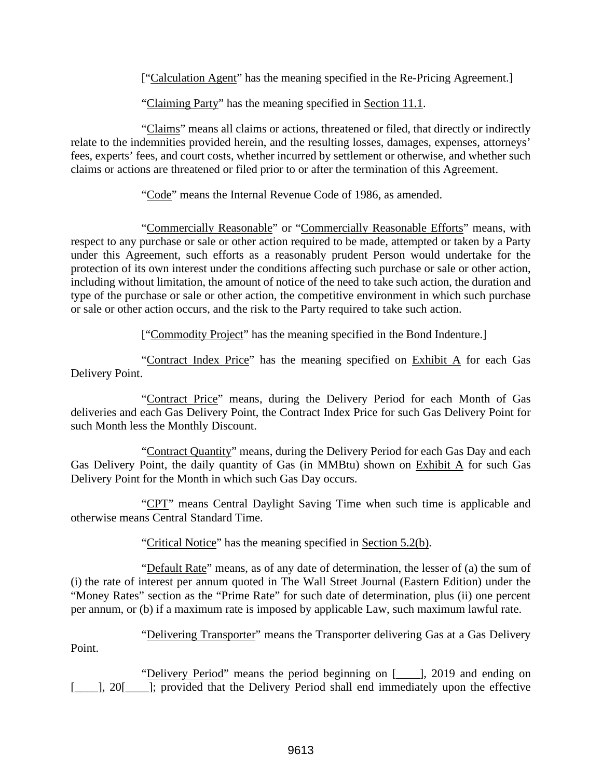["Calculation Agent" has the meaning specified in the Re-Pricing Agreement.]

"Claiming Party" has the meaning specified in [Section 11.1.](#page-44-1)

"Claims" means all claims or actions, threatened or filed, that directly or indirectly relate to the indemnities provided herein, and the resulting losses, damages, expenses, attorneys' fees, experts' fees, and court costs, whether incurred by settlement or otherwise, and whether such claims or actions are threatened or filed prior to or after the termination of this Agreement.

"Code" means the Internal Revenue Code of 1986, as amended.

"Commercially Reasonable" or "Commercially Reasonable Efforts" means, with respect to any purchase or sale or other action required to be made, attempted or taken by a Party under this Agreement, such efforts as a reasonably prudent Person would undertake for the protection of its own interest under the conditions affecting such purchase or sale or other action, including without limitation, the amount of notice of the need to take such action, the duration and type of the purchase or sale or other action, the competitive environment in which such purchase or sale or other action occurs, and the risk to the Party required to take such action.

["Commodity Project" has the meaning specified in the Bond Indenture.]

"Contract Index Price" has the meaning specified on Exhibit A for each Gas Delivery Point.

"Contract Price" means, during the Delivery Period for each Month of Gas deliveries and each Gas Delivery Point, the Contract Index Price for such Gas Delivery Point for such Month less the Monthly Discount.

"Contract Quantity" means, during the Delivery Period for each Gas Day and each Gas Delivery Point, the daily quantity of Gas (in MMBtu) shown on Exhibit A for such Gas Delivery Point for the Month in which such Gas Day occurs.

"CPT" means Central Daylight Saving Time when such time is applicable and otherwise means Central Standard Time.

"Critical Notice" has the meaning specified in [Section 5.2\(b\).](#page-39-1)

"Default Rate" means, as of any date of determination, the lesser of (a) the sum of (i) the rate of interest per annum quoted in The Wall Street Journal (Eastern Edition) under the "Money Rates" section as the "Prime Rate" for such date of determination, plus (ii) one percent per annum, or (b) if a maximum rate is imposed by applicable Law, such maximum lawful rate.

"Delivering Transporter" means the Transporter delivering Gas at a Gas Delivery Point.

"Delivery Period" means the period beginning on [\_\_\_\_], 2019 and ending on [10, 20] [10, 20] [12]; provided that the Delivery Period shall end immediately upon the effective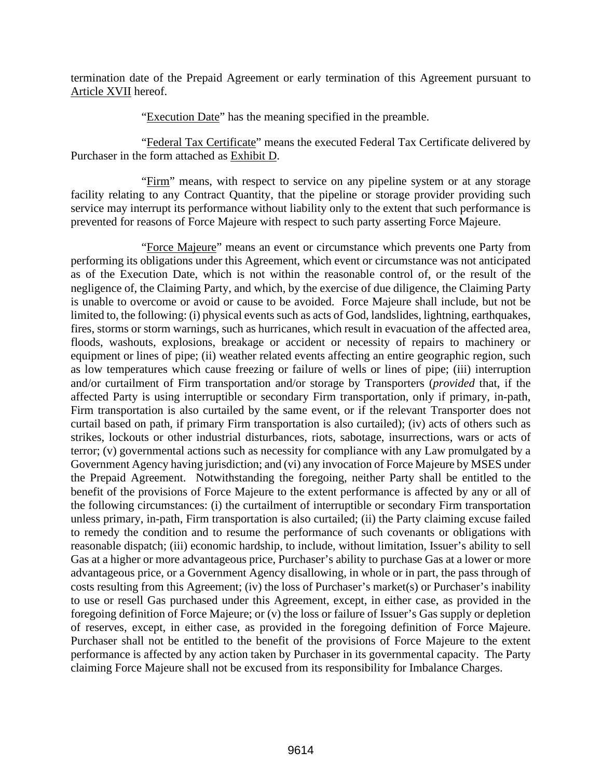termination date of the Prepaid Agreement or early termination of this Agreement pursuant to [Article](#page-49-1) XVII hereof.

"Execution Date" has the meaning specified in the preamble.

"Federal Tax Certificate" means the executed Federal Tax Certificate delivered by Purchaser in the form attached as Exhibit D.

"Firm" means, with respect to service on any pipeline system or at any storage facility relating to any Contract Quantity, that the pipeline or storage provider providing such service may interrupt its performance without liability only to the extent that such performance is prevented for reasons of Force Majeure with respect to such party asserting Force Majeure.

"Force Majeure" means an event or circumstance which prevents one Party from performing its obligations under this Agreement, which event or circumstance was not anticipated as of the Execution Date, which is not within the reasonable control of, or the result of the negligence of, the Claiming Party, and which, by the exercise of due diligence, the Claiming Party is unable to overcome or avoid or cause to be avoided. Force Majeure shall include, but not be limited to, the following: (i) physical events such as acts of God, landslides, lightning, earthquakes, fires, storms or storm warnings, such as hurricanes, which result in evacuation of the affected area, floods, washouts, explosions, breakage or accident or necessity of repairs to machinery or equipment or lines of pipe; (ii) weather related events affecting an entire geographic region, such as low temperatures which cause freezing or failure of wells or lines of pipe; (iii) interruption and/or curtailment of Firm transportation and/or storage by Transporters (*provided* that, if the affected Party is using interruptible or secondary Firm transportation, only if primary, in-path, Firm transportation is also curtailed by the same event, or if the relevant Transporter does not curtail based on path, if primary Firm transportation is also curtailed); (iv) acts of others such as strikes, lockouts or other industrial disturbances, riots, sabotage, insurrections, wars or acts of terror; (v) governmental actions such as necessity for compliance with any Law promulgated by a Government Agency having jurisdiction; and (vi) any invocation of Force Majeure by MSES under the Prepaid Agreement. Notwithstanding the foregoing, neither Party shall be entitled to the benefit of the provisions of Force Majeure to the extent performance is affected by any or all of the following circumstances: (i) the curtailment of interruptible or secondary Firm transportation unless primary, in-path, Firm transportation is also curtailed; (ii) the Party claiming excuse failed to remedy the condition and to resume the performance of such covenants or obligations with reasonable dispatch; (iii) economic hardship, to include, without limitation, Issuer's ability to sell Gas at a higher or more advantageous price, Purchaser's ability to purchase Gas at a lower or more advantageous price, or a Government Agency disallowing, in whole or in part, the pass through of costs resulting from this Agreement; (iv) the loss of Purchaser's market(s) or Purchaser's inability to use or resell Gas purchased under this Agreement, except, in either case, as provided in the foregoing definition of Force Majeure; or (v) the loss or failure of Issuer's Gas supply or depletion of reserves, except, in either case, as provided in the foregoing definition of Force Majeure. Purchaser shall not be entitled to the benefit of the provisions of Force Majeure to the extent performance is affected by any action taken by Purchaser in its governmental capacity. The Party claiming Force Majeure shall not be excused from its responsibility for Imbalance Charges.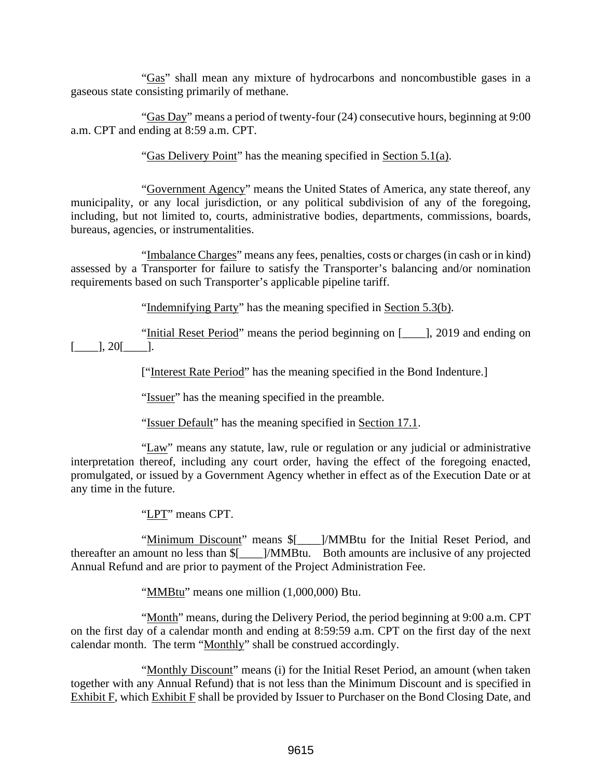"Gas" shall mean any mixture of hydrocarbons and noncombustible gases in a gaseous state consisting primarily of methane.

"Gas Day" means a period of twenty-four (24) consecutive hours, beginning at 9:00 a.m. CPT and ending at 8:59 a.m. CPT.

"Gas Delivery Point" has the meaning specified in [Section 5.1\(a\).](#page-38-5)

"Government Agency" means the United States of America, any state thereof, any municipality, or any local jurisdiction, or any political subdivision of any of the foregoing, including, but not limited to, courts, administrative bodies, departments, commissions, boards, bureaus, agencies, or instrumentalities.

"Imbalance Charges" means any fees, penalties, costs or charges (in cash or in kind) assessed by a Transporter for failure to satisfy the Transporter's balancing and/or nomination requirements based on such Transporter's applicable pipeline tariff.

"Indemnifying Party" has the meaning specified in [Section 5.3\(b\).](#page-39-2)

"Initial Reset Period" means the period beginning on [\_\_\_\_], 2019 and ending on  $[-$ ],  $20$ [ $\_$ ].

["Interest Rate Period" has the meaning specified in the Bond Indenture.]

"Issuer" has the meaning specified in the preamble.

"Issuer Default" has the meaning specified in [Section 17.1.](#page-49-2)

"Law" means any statute, law, rule or regulation or any judicial or administrative interpretation thereof, including any court order, having the effect of the foregoing enacted, promulgated, or issued by a Government Agency whether in effect as of the Execution Date or at any time in the future.

"LPT" means CPT.

"Minimum Discount" means  $[$  |  $]$ /MMBtu for the Initial Reset Period, and thereafter an amount no less than \$[\_\_\_\_]/MMBtu. Both amounts are inclusive of any projected Annual Refund and are prior to payment of the Project Administration Fee.

"MMBtu" means one million (1,000,000) Btu.

"Month" means, during the Delivery Period, the period beginning at 9:00 a.m. CPT on the first day of a calendar month and ending at 8:59:59 a.m. CPT on the first day of the next calendar month. The term "Monthly" shall be construed accordingly.

"Monthly Discount" means (i) for the Initial Reset Period, an amount (when taken together with any Annual Refund) that is not less than the Minimum Discount and is specified in Exhibit F, which Exhibit F shall be provided by Issuer to Purchaser on the Bond Closing Date, and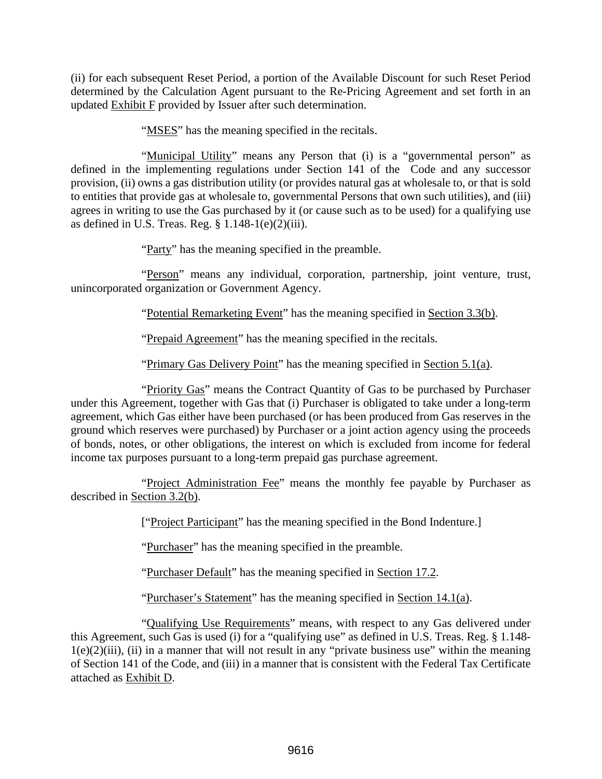(ii) for each subsequent Reset Period, a portion of the Available Discount for such Reset Period determined by the Calculation Agent pursuant to the Re-Pricing Agreement and set forth in an updated Exhibit F provided by Issuer after such determination.

"MSES" has the meaning specified in the recitals.

"Municipal Utility" means any Person that (i) is a "governmental person" as defined in the implementing regulations under Section 141 of the Code and any successor provision, (ii) owns a gas distribution utility (or provides natural gas at wholesale to, or that is sold to entities that provide gas at wholesale to, governmental Persons that own such utilities), and (iii) agrees in writing to use the Gas purchased by it (or cause such as to be used) for a qualifying use as defined in U.S. Treas. Reg.  $\S$  1.148-1(e)(2)(iii).

"Party" has the meaning specified in the preamble.

"Person" means any individual, corporation, partnership, joint venture, trust, unincorporated organization or Government Agency.

"Potential Remarketing Event" has the meaning specified in [Section 3.3\(b\).](#page-36-1)

"Prepaid Agreement" has the meaning specified in the recitals.

"Primary Gas Delivery Point" has the meaning specified in [Section 5.1\(a\).](#page-38-5)

"Priority Gas" means the Contract Quantity of Gas to be purchased by Purchaser under this Agreement, together with Gas that (i) Purchaser is obligated to take under a long-term agreement, which Gas either have been purchased (or has been produced from Gas reserves in the ground which reserves were purchased) by Purchaser or a joint action agency using the proceeds of bonds, notes, or other obligations, the interest on which is excluded from income for federal income tax purposes pursuant to a long-term prepaid gas purchase agreement.

"Project Administration Fee" means the monthly fee payable by Purchaser as described in [Section 3.2\(b\).](#page-35-5)

["Project Participant" has the meaning specified in the Bond Indenture.]

"Purchaser" has the meaning specified in the preamble.

"Purchaser Default" has the meaning specified in [Section 17.2.](#page-49-3)

"Purchaser's Statement" has the meaning specified in [Section 14.1\(a\).](#page-45-5)

"Qualifying Use Requirements" means, with respect to any Gas delivered under this Agreement, such Gas is used (i) for a "qualifying use" as defined in U.S. Treas. Reg. § 1.148-  $1(e)(2)(iii)$ , (ii) in a manner that will not result in any "private business use" within the meaning of Section 141 of the Code, and (iii) in a manner that is consistent with the Federal Tax Certificate attached as Exhibit D.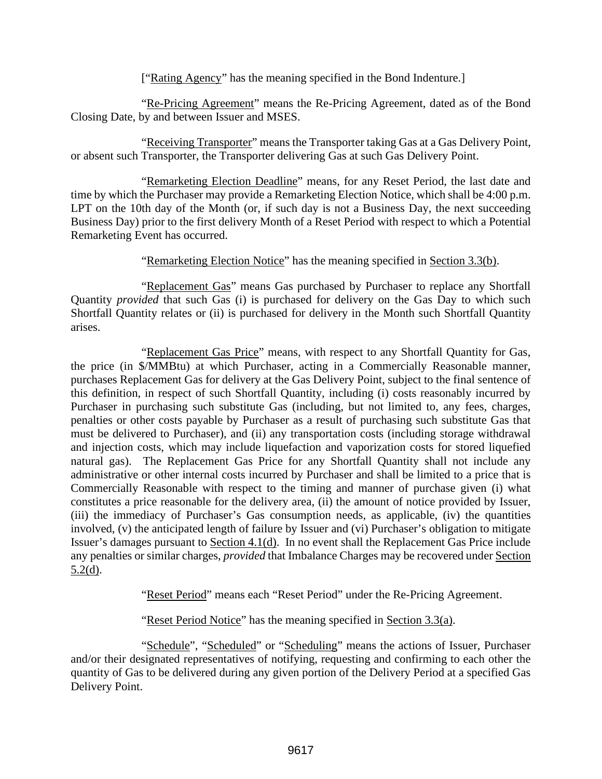["Rating Agency" has the meaning specified in the Bond Indenture.]

"Re-Pricing Agreement" means the Re-Pricing Agreement, dated as of the Bond Closing Date, by and between Issuer and MSES.

"Receiving Transporter" means the Transporter taking Gas at a Gas Delivery Point, or absent such Transporter, the Transporter delivering Gas at such Gas Delivery Point.

"Remarketing Election Deadline" means, for any Reset Period, the last date and time by which the Purchaser may provide a Remarketing Election Notice, which shall be 4:00 p.m. LPT on the 10th day of the Month (or, if such day is not a Business Day, the next succeeding Business Day) prior to the first delivery Month of a Reset Period with respect to which a Potential Remarketing Event has occurred.

"Remarketing Election Notice" has the meaning specified in [Section 3.3\(b\).](#page-36-1)

"Replacement Gas" means Gas purchased by Purchaser to replace any Shortfall Quantity *provided* that such Gas (i) is purchased for delivery on the Gas Day to which such Shortfall Quantity relates or (ii) is purchased for delivery in the Month such Shortfall Quantity arises.

"Replacement Gas Price" means, with respect to any Shortfall Quantity for Gas, the price (in \$/MMBtu) at which Purchaser, acting in a Commercially Reasonable manner, purchases Replacement Gas for delivery at the Gas Delivery Point, subject to the final sentence of this definition, in respect of such Shortfall Quantity, including (i) costs reasonably incurred by Purchaser in purchasing such substitute Gas (including, but not limited to, any fees, charges, penalties or other costs payable by Purchaser as a result of purchasing such substitute Gas that must be delivered to Purchaser), and (ii) any transportation costs (including storage withdrawal and injection costs, which may include liquefaction and vaporization costs for stored liquefied natural gas). The Replacement Gas Price for any Shortfall Quantity shall not include any administrative or other internal costs incurred by Purchaser and shall be limited to a price that is Commercially Reasonable with respect to the timing and manner of purchase given (i) what constitutes a price reasonable for the delivery area, (ii) the amount of notice provided by Issuer, (iii) the immediacy of Purchaser's Gas consumption needs, as applicable, (iv) the quantities involved, (v) the anticipated length of failure by Issuer and (vi) Purchaser's obligation to mitigate Issuer's damages pursuant to [Section 4.1\(d\).](#page-38-6) In no event shall the Replacement Gas Price include any penalties or similar charges, *provided* that Imbalance Charges may be recovered under [Section](#page-39-3) [5.2\(d\).](#page-39-3)

"Reset Period" means each "Reset Period" under the Re-Pricing Agreement.

"Reset Period Notice" has the meaning specified in [Section 3.3\(a\).](#page-36-2)

"Schedule", "Scheduled" or "Scheduling" means the actions of Issuer, Purchaser and/or their designated representatives of notifying, requesting and confirming to each other the quantity of Gas to be delivered during any given portion of the Delivery Period at a specified Gas Delivery Point.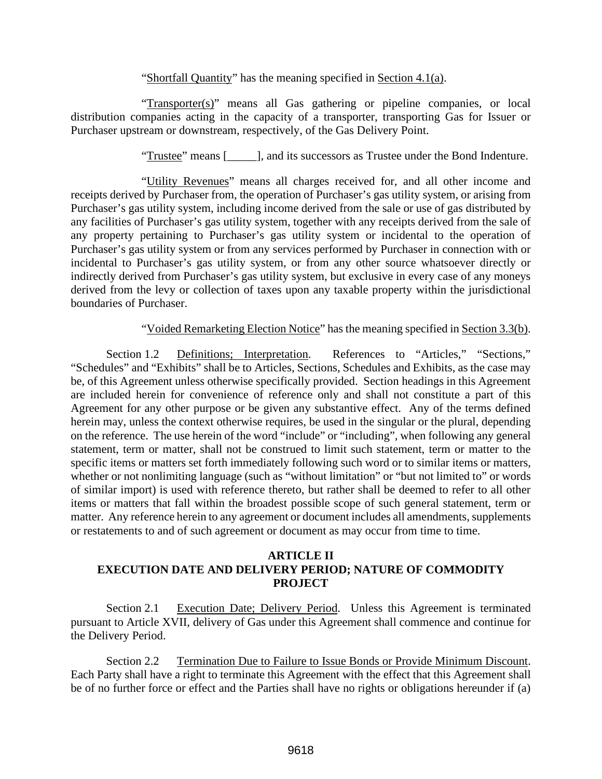#### "Shortfall Quantity" has the meaning specified in [Section 4.1\(a\).](#page-37-2)

"Transporter(s)" means all Gas gathering or pipeline companies, or local distribution companies acting in the capacity of a transporter, transporting Gas for Issuer or Purchaser upstream or downstream, respectively, of the Gas Delivery Point.

"Trustee" means [\_\_\_\_\_], and its successors as Trustee under the Bond Indenture.

"Utility Revenues" means all charges received for, and all other income and receipts derived by Purchaser from, the operation of Purchaser's gas utility system, or arising from Purchaser's gas utility system, including income derived from the sale or use of gas distributed by any facilities of Purchaser's gas utility system, together with any receipts derived from the sale of any property pertaining to Purchaser's gas utility system or incidental to the operation of Purchaser's gas utility system or from any services performed by Purchaser in connection with or incidental to Purchaser's gas utility system, or from any other source whatsoever directly or indirectly derived from Purchaser's gas utility system, but exclusive in every case of any moneys derived from the levy or collection of taxes upon any taxable property within the jurisdictional boundaries of Purchaser.

#### "Voided Remarketing Election Notice" has the meaning specified i[n Section 3.3\(b\).](#page-36-1)

<span id="page-34-0"></span>Section 1.2 Definitions; Interpretation. References to "Articles," "Sections," "Schedules" and "Exhibits" shall be to Articles, Sections, Schedules and Exhibits, as the case may be, of this Agreement unless otherwise specifically provided. Section headings in this Agreement are included herein for convenience of reference only and shall not constitute a part of this Agreement for any other purpose or be given any substantive effect. Any of the terms defined herein may, unless the context otherwise requires, be used in the singular or the plural, depending on the reference. The use herein of the word "include" or "including", when following any general statement, term or matter, shall not be construed to limit such statement, term or matter to the specific items or matters set forth immediately following such word or to similar items or matters, whether or not nonlimiting language (such as "without limitation" or "but not limited to" or words of similar import) is used with reference thereto, but rather shall be deemed to refer to all other items or matters that fall within the broadest possible scope of such general statement, term or matter. Any reference herein to any agreement or document includes all amendments, supplements or restatements to and of such agreement or document as may occur from time to time.

#### <span id="page-34-1"></span>**ARTICLE II EXECUTION DATE AND DELIVERY PERIOD; NATURE OF COMMODITY PROJECT**

<span id="page-34-2"></span>Section 2.1 Execution Date; Delivery Period. Unless this Agreement is terminated pursuant to [Article](#page-49-1) XVII, delivery of Gas under this Agreement shall commence and continue for the Delivery Period.

<span id="page-34-3"></span>Section 2.2 Termination Due to Failure to Issue Bonds or Provide Minimum Discount. Each Party shall have a right to terminate this Agreement with the effect that this Agreement shall be of no further force or effect and the Parties shall have no rights or obligations hereunder if (a)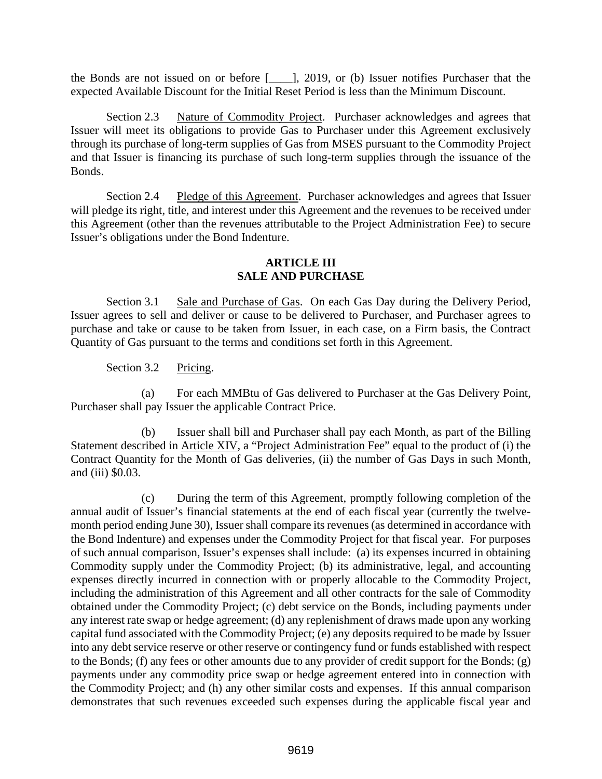the Bonds are not issued on or before [\_\_\_\_], 2019, or (b) Issuer notifies Purchaser that the expected Available Discount for the Initial Reset Period is less than the Minimum Discount.

<span id="page-35-0"></span>Section 2.3 Nature of Commodity Project. Purchaser acknowledges and agrees that Issuer will meet its obligations to provide Gas to Purchaser under this Agreement exclusively through its purchase of long-term supplies of Gas from MSES pursuant to the Commodity Project and that Issuer is financing its purchase of such long-term supplies through the issuance of the Bonds.

<span id="page-35-1"></span>Section 2.4 Pledge of this Agreement. Purchaser acknowledges and agrees that Issuer will pledge its right, title, and interest under this Agreement and the revenues to be received under this Agreement (other than the revenues attributable to the Project Administration Fee) to secure Issuer's obligations under the Bond Indenture.

#### **ARTICLE III SALE AND PURCHASE**

<span id="page-35-3"></span><span id="page-35-2"></span>Section 3.1 Sale and Purchase of Gas. On each Gas Day during the Delivery Period, Issuer agrees to sell and deliver or cause to be delivered to Purchaser, and Purchaser agrees to purchase and take or cause to be taken from Issuer, in each case, on a Firm basis, the Contract Quantity of Gas pursuant to the terms and conditions set forth in this Agreement.

Section 3.2 Pricing.

<span id="page-35-4"></span>(a) For each MMBtu of Gas delivered to Purchaser at the Gas Delivery Point, Purchaser shall pay Issuer the applicable Contract Price.

<span id="page-35-5"></span>(b) Issuer shall bill and Purchaser shall pay each Month, as part of the Billing Statement described in [Article](#page-45-6) XIV, a "Project Administration Fee" equal to the product of (i) the Contract Quantity for the Month of Gas deliveries, (ii) the number of Gas Days in such Month, and (iii) \$0.03.

(c) During the term of this Agreement, promptly following completion of the annual audit of Issuer's financial statements at the end of each fiscal year (currently the twelvemonth period ending June 30), Issuer shall compare its revenues (as determined in accordance with the Bond Indenture) and expenses under the Commodity Project for that fiscal year. For purposes of such annual comparison, Issuer's expenses shall include: (a) its expenses incurred in obtaining Commodity supply under the Commodity Project; (b) its administrative, legal, and accounting expenses directly incurred in connection with or properly allocable to the Commodity Project, including the administration of this Agreement and all other contracts for the sale of Commodity obtained under the Commodity Project; (c) debt service on the Bonds, including payments under any interest rate swap or hedge agreement; (d) any replenishment of draws made upon any working capital fund associated with the Commodity Project; (e) any deposits required to be made by Issuer into any debt service reserve or other reserve or contingency fund or funds established with respect to the Bonds; (f) any fees or other amounts due to any provider of credit support for the Bonds; (g) payments under any commodity price swap or hedge agreement entered into in connection with the Commodity Project; and (h) any other similar costs and expenses. If this annual comparison demonstrates that such revenues exceeded such expenses during the applicable fiscal year and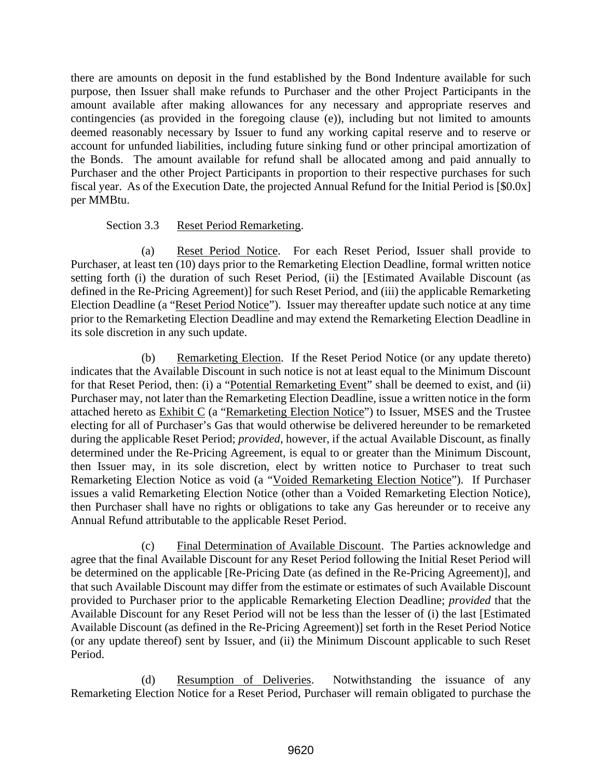there are amounts on deposit in the fund established by the Bond Indenture available for such purpose, then Issuer shall make refunds to Purchaser and the other Project Participants in the amount available after making allowances for any necessary and appropriate reserves and contingencies (as provided in the foregoing clause (e)), including but not limited to amounts deemed reasonably necessary by Issuer to fund any working capital reserve and to reserve or account for unfunded liabilities, including future sinking fund or other principal amortization of the Bonds. The amount available for refund shall be allocated among and paid annually to Purchaser and the other Project Participants in proportion to their respective purchases for such fiscal year. As of the Execution Date, the projected Annual Refund for the Initial Period is [\$0.0x] per MMBtu.

### Section 3.3 Reset Period Remarketing.

(a) Reset Period Notice. For each Reset Period, Issuer shall provide to Purchaser, at least ten (10) days prior to the Remarketing Election Deadline, formal written notice setting forth (i) the duration of such Reset Period, (ii) the [Estimated Available Discount (as defined in the Re-Pricing Agreement)] for such Reset Period, and (iii) the applicable Remarketing Election Deadline (a "Reset Period Notice"). Issuer may thereafter update such notice at any time prior to the Remarketing Election Deadline and may extend the Remarketing Election Deadline in its sole discretion in any such update.

<span id="page-36-0"></span>(b) Remarketing Election. If the Reset Period Notice (or any update thereto) indicates that the Available Discount in such notice is not at least equal to the Minimum Discount for that Reset Period, then: (i) a "Potential Remarketing Event" shall be deemed to exist, and (ii) Purchaser may, not later than the Remarketing Election Deadline, issue a written notice in the form attached hereto as Exhibit C (a "Remarketing Election Notice") to Issuer, MSES and the Trustee electing for all of Purchaser's Gas that would otherwise be delivered hereunder to be remarketed during the applicable Reset Period; *provided*, however, if the actual Available Discount, as finally determined under the Re-Pricing Agreement, is equal to or greater than the Minimum Discount, then Issuer may, in its sole discretion, elect by written notice to Purchaser to treat such Remarketing Election Notice as void (a "Voided Remarketing Election Notice"). If Purchaser issues a valid Remarketing Election Notice (other than a Voided Remarketing Election Notice), then Purchaser shall have no rights or obligations to take any Gas hereunder or to receive any Annual Refund attributable to the applicable Reset Period.

(c) Final Determination of Available Discount. The Parties acknowledge and agree that the final Available Discount for any Reset Period following the Initial Reset Period will be determined on the applicable [Re-Pricing Date (as defined in the Re-Pricing Agreement)], and that such Available Discount may differ from the estimate or estimates of such Available Discount provided to Purchaser prior to the applicable Remarketing Election Deadline; *provided* that the Available Discount for any Reset Period will not be less than the lesser of (i) the last [Estimated Available Discount (as defined in the Re-Pricing Agreement)] set forth in the Reset Period Notice (or any update thereof) sent by Issuer, and (ii) the Minimum Discount applicable to such Reset Period.

(d) Resumption of Deliveries. Notwithstanding the issuance of any Remarketing Election Notice for a Reset Period, Purchaser will remain obligated to purchase the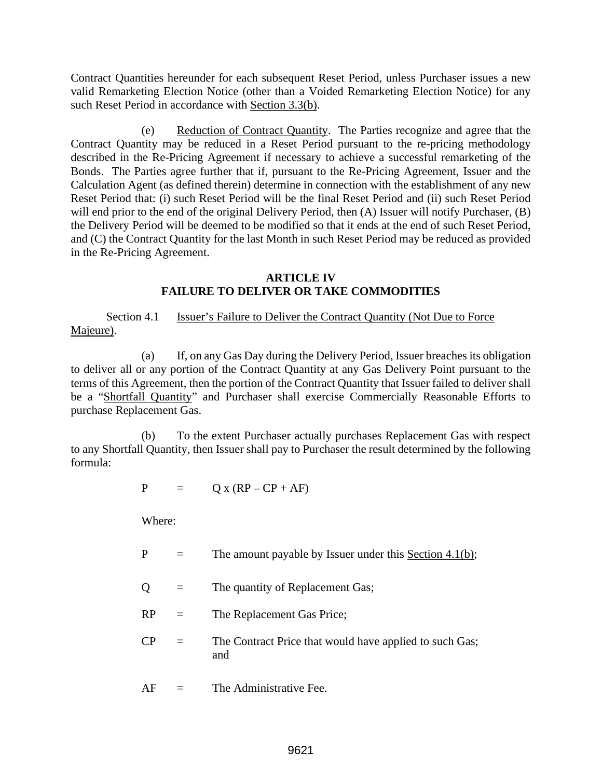Contract Quantities hereunder for each subsequent Reset Period, unless Purchaser issues a new valid Remarketing Election Notice (other than a Voided Remarketing Election Notice) for any such Reset Period in accordance with [Section 3.3\(b\).](#page-36-0)

(e) Reduction of Contract Quantity. The Parties recognize and agree that the Contract Quantity may be reduced in a Reset Period pursuant to the re-pricing methodology described in the Re-Pricing Agreement if necessary to achieve a successful remarketing of the Bonds. The Parties agree further that if, pursuant to the Re-Pricing Agreement, Issuer and the Calculation Agent (as defined therein) determine in connection with the establishment of any new Reset Period that: (i) such Reset Period will be the final Reset Period and (ii) such Reset Period will end prior to the end of the original Delivery Period, then (A) Issuer will notify Purchaser, (B) the Delivery Period will be deemed to be modified so that it ends at the end of such Reset Period, and (C) the Contract Quantity for the last Month in such Reset Period may be reduced as provided in the Re-Pricing Agreement.

#### **ARTICLE IV FAILURE TO DELIVER OR TAKE COMMODITIES**

<span id="page-37-2"></span><span id="page-37-1"></span>Section 4.1 **Issuer's Failure to Deliver the Contract Quantity (Not Due to Force** Majeure).

(a) If, on any Gas Day during the Delivery Period, Issuer breaches its obligation to deliver all or any portion of the Contract Quantity at any Gas Delivery Point pursuant to the terms of this Agreement, then the portion of the Contract Quantity that Issuer failed to deliver shall be a "Shortfall Quantity" and Purchaser shall exercise Commercially Reasonable Efforts to purchase Replacement Gas.

<span id="page-37-0"></span>(b) To the extent Purchaser actually purchases Replacement Gas with respect to any Shortfall Quantity, then Issuer shall pay to Purchaser the result determined by the following formula:

$$
P = Q x (RP - CP + AF)
$$

Where:

- $P =$  The amount payable by Issuer under this [Section 4.1\(b\);](#page-37-0)
- $Q =$  The quantity of Replacement Gas;
- RP = The Replacement Gas Price;
- $CP =$  The Contract Price that would have applied to such Gas; and
- $AF =$  The Administrative Fee.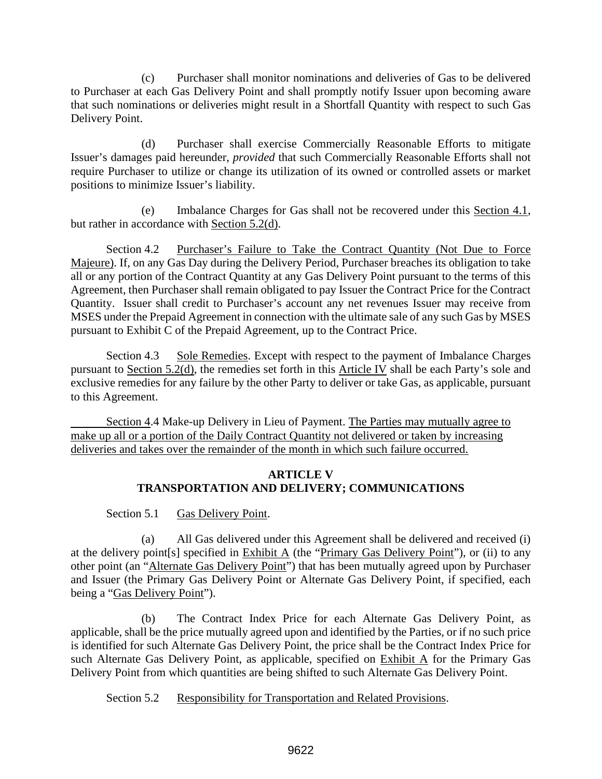(c) Purchaser shall monitor nominations and deliveries of Gas to be delivered to Purchaser at each Gas Delivery Point and shall promptly notify Issuer upon becoming aware that such nominations or deliveries might result in a Shortfall Quantity with respect to such Gas Delivery Point.

(d) Purchaser shall exercise Commercially Reasonable Efforts to mitigate Issuer's damages paid hereunder, *provided* that such Commercially Reasonable Efforts shall not require Purchaser to utilize or change its utilization of its owned or controlled assets or market positions to minimize Issuer's liability.

(e) Imbalance Charges for Gas shall not be recovered under this [Section 4.1,](#page-37-1) but rather in accordance with [Section 5.2\(d\).](#page-39-0)

Section 4.2 Purchaser's Failure to Take the Contract Quantity (Not Due to Force Majeure). If, on any Gas Day during the Delivery Period, Purchaser breaches its obligation to take all or any portion of the Contract Quantity at any Gas Delivery Point pursuant to the terms of this Agreement, then Purchaser shall remain obligated to pay Issuer the Contract Price for the Contract Quantity. Issuer shall credit to Purchaser's account any net revenues Issuer may receive from MSES under the Prepaid Agreement in connection with the ultimate sale of any such Gas by MSES pursuant to Exhibit C of the Prepaid Agreement, up to the Contract Price.

Section 4.3 Sole Remedies. Except with respect to the payment of Imbalance Charges pursuant to [Section 5.2\(d\),](#page-39-0) the remedies set forth in this [Article](#page-37-2) IV shall be each Party's sole and exclusive remedies for any failure by the other Party to deliver or take Gas, as applicable, pursuant to this Agreement.

Section 4.4 Make-up Delivery in Lieu of Payment. The Parties may mutually agree to make up all or a portion of the Daily Contract Quantity not delivered or taken by increasing deliveries and takes over the remainder of the month in which such failure occurred.

## **ARTICLE V TRANSPORTATION AND DELIVERY; COMMUNICATIONS**

Section 5.1 Gas Delivery Point.

(a) All Gas delivered under this Agreement shall be delivered and received (i) at the delivery point[s] specified in Exhibit A (the "Primary Gas Delivery Point"), or (ii) to any other point (an "Alternate Gas Delivery Point") that has been mutually agreed upon by Purchaser and Issuer (the Primary Gas Delivery Point or Alternate Gas Delivery Point, if specified, each being a "Gas Delivery Point").

(b) The Contract Index Price for each Alternate Gas Delivery Point, as applicable, shall be the price mutually agreed upon and identified by the Parties, or if no such price is identified for such Alternate Gas Delivery Point, the price shall be the Contract Index Price for such Alternate Gas Delivery Point, as applicable, specified on Exhibit A for the Primary Gas Delivery Point from which quantities are being shifted to such Alternate Gas Delivery Point.

Section 5.2 Responsibility for Transportation and Related Provisions.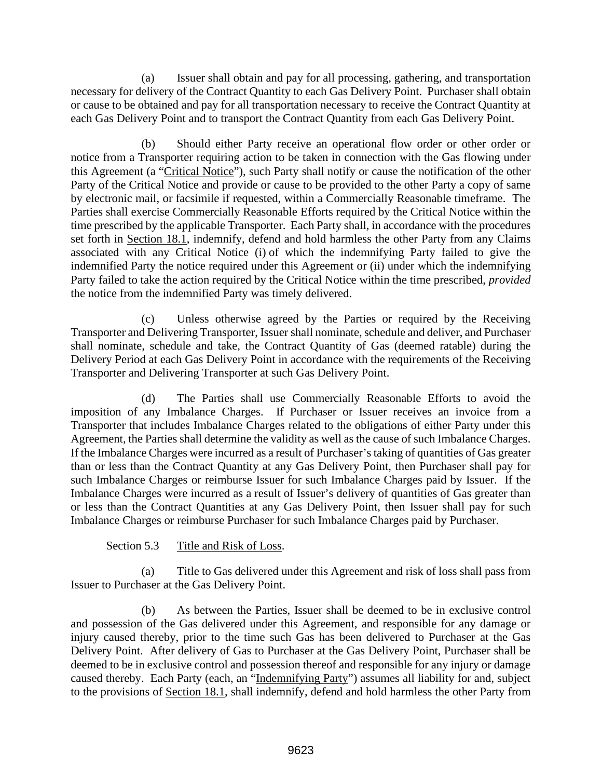(a) Issuer shall obtain and pay for all processing, gathering, and transportation necessary for delivery of the Contract Quantity to each Gas Delivery Point. Purchaser shall obtain or cause to be obtained and pay for all transportation necessary to receive the Contract Quantity at each Gas Delivery Point and to transport the Contract Quantity from each Gas Delivery Point.

(b) Should either Party receive an operational flow order or other order or notice from a Transporter requiring action to be taken in connection with the Gas flowing under this Agreement (a "Critical Notice"), such Party shall notify or cause the notification of the other Party of the Critical Notice and provide or cause to be provided to the other Party a copy of same by electronic mail, or facsimile if requested, within a Commercially Reasonable timeframe. The Parties shall exercise Commercially Reasonable Efforts required by the Critical Notice within the time prescribed by the applicable Transporter. Each Party shall, in accordance with the procedures set forth in [Section 18.1,](#page-52-0) indemnify, defend and hold harmless the other Party from any Claims associated with any Critical Notice (i) of which the indemnifying Party failed to give the indemnified Party the notice required under this Agreement or (ii) under which the indemnifying Party failed to take the action required by the Critical Notice within the time prescribed, *provided* the notice from the indemnified Party was timely delivered.

(c) Unless otherwise agreed by the Parties or required by the Receiving Transporter and Delivering Transporter, Issuer shall nominate, schedule and deliver, and Purchaser shall nominate, schedule and take, the Contract Quantity of Gas (deemed ratable) during the Delivery Period at each Gas Delivery Point in accordance with the requirements of the Receiving Transporter and Delivering Transporter at such Gas Delivery Point.

<span id="page-39-0"></span>(d) The Parties shall use Commercially Reasonable Efforts to avoid the imposition of any Imbalance Charges. If Purchaser or Issuer receives an invoice from a Transporter that includes Imbalance Charges related to the obligations of either Party under this Agreement, the Parties shall determine the validity as well as the cause of such Imbalance Charges. If the Imbalance Charges were incurred as a result of Purchaser's taking of quantities of Gas greater than or less than the Contract Quantity at any Gas Delivery Point, then Purchaser shall pay for such Imbalance Charges or reimburse Issuer for such Imbalance Charges paid by Issuer. If the Imbalance Charges were incurred as a result of Issuer's delivery of quantities of Gas greater than or less than the Contract Quantities at any Gas Delivery Point, then Issuer shall pay for such Imbalance Charges or reimburse Purchaser for such Imbalance Charges paid by Purchaser.

Section 5.3 Title and Risk of Loss.

(a) Title to Gas delivered under this Agreement and risk of loss shall pass from Issuer to Purchaser at the Gas Delivery Point.

(b) As between the Parties, Issuer shall be deemed to be in exclusive control and possession of the Gas delivered under this Agreement, and responsible for any damage or injury caused thereby, prior to the time such Gas has been delivered to Purchaser at the Gas Delivery Point. After delivery of Gas to Purchaser at the Gas Delivery Point, Purchaser shall be deemed to be in exclusive control and possession thereof and responsible for any injury or damage caused thereby. Each Party (each, an "Indemnifying Party") assumes all liability for and, subject to the provisions of [Section 18.1,](#page-52-0) shall indemnify, defend and hold harmless the other Party from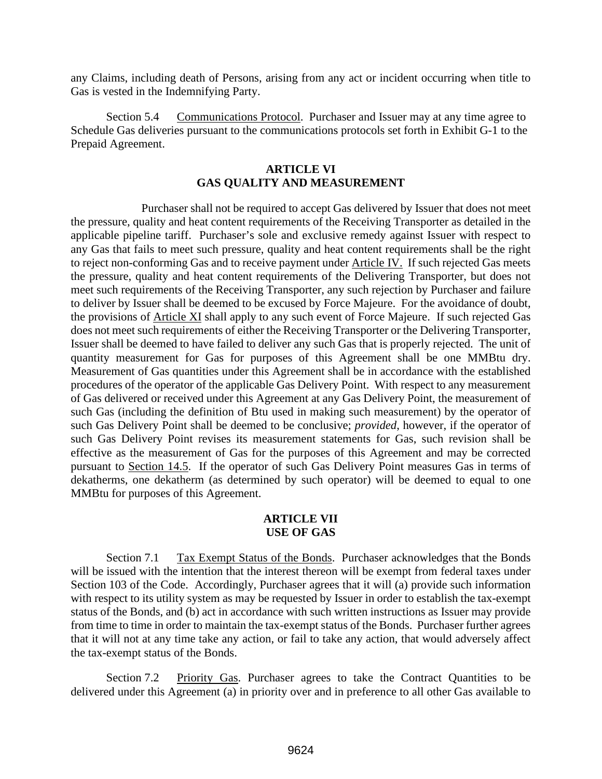any Claims, including death of Persons, arising from any act or incident occurring when title to Gas is vested in the Indemnifying Party.

Section 5.4 Communications Protocol. Purchaser and Issuer may at any time agree to Schedule Gas deliveries pursuant to the communications protocols set forth in Exhibit G-1 to the Prepaid Agreement.

## **ARTICLE VI GAS QUALITY AND MEASUREMENT**

Purchaser shall not be required to accept Gas delivered by Issuer that does not meet the pressure, quality and heat content requirements of the Receiving Transporter as detailed in the applicable pipeline tariff. Purchaser's sole and exclusive remedy against Issuer with respect to any Gas that fails to meet such pressure, quality and heat content requirements shall be the right to reject non-conforming Gas and to receive payment under [Article](#page-37-2) IV. If such rejected Gas meets the pressure, quality and heat content requirements of the Delivering Transporter, but does not meet such requirements of the Receiving Transporter, any such rejection by Purchaser and failure to deliver by Issuer shall be deemed to be excused by Force Majeure. For the avoidance of doubt, the provisions of [Article](#page-44-0) XI shall apply to any such event of Force Majeure. If such rejected Gas does not meet such requirements of either the Receiving Transporter or the Delivering Transporter, Issuer shall be deemed to have failed to deliver any such Gas that is properly rejected. The unit of quantity measurement for Gas for purposes of this Agreement shall be one MMBtu dry. Measurement of Gas quantities under this Agreement shall be in accordance with the established procedures of the operator of the applicable Gas Delivery Point. With respect to any measurement of Gas delivered or received under this Agreement at any Gas Delivery Point, the measurement of such Gas (including the definition of Btu used in making such measurement) by the operator of such Gas Delivery Point shall be deemed to be conclusive; *provided*, however, if the operator of such Gas Delivery Point revises its measurement statements for Gas, such revision shall be effective as the measurement of Gas for the purposes of this Agreement and may be corrected pursuant to [Section 14.5.](#page-47-0) If the operator of such Gas Delivery Point measures Gas in terms of dekatherms, one dekatherm (as determined by such operator) will be deemed to equal to one MMBtu for purposes of this Agreement.

#### **ARTICLE VII USE OF GAS**

<span id="page-40-1"></span><span id="page-40-0"></span>Section 7.1 Tax Exempt Status of the Bonds. Purchaser acknowledges that the Bonds will be issued with the intention that the interest thereon will be exempt from federal taxes under Section 103 of the Code. Accordingly, Purchaser agrees that it will (a) provide such information with respect to its utility system as may be requested by Issuer in order to establish the tax-exempt status of the Bonds, and (b) act in accordance with such written instructions as Issuer may provide from time to time in order to maintain the tax-exempt status of the Bonds. Purchaser further agrees that it will not at any time take any action, or fail to take any action, that would adversely affect the tax-exempt status of the Bonds.

Section 7.2 Priority Gas. Purchaser agrees to take the Contract Quantities to be delivered under this Agreement (a) in priority over and in preference to all other Gas available to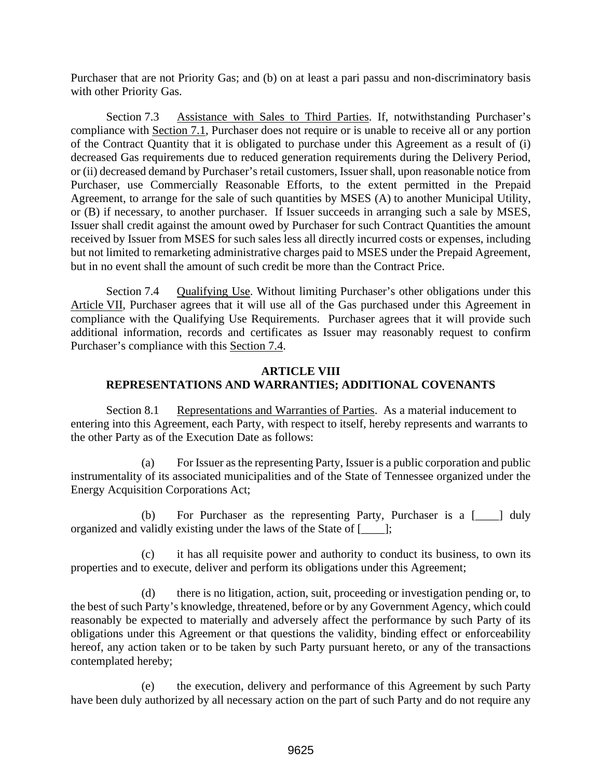Purchaser that are not Priority Gas; and (b) on at least a pari passu and non-discriminatory basis with other Priority Gas.

Section 7.3 Assistance with Sales to Third Parties. If, notwithstanding Purchaser's compliance with [Section 7.1,](#page-40-0) Purchaser does not require or is unable to receive all or any portion of the Contract Quantity that it is obligated to purchase under this Agreement as a result of (i) decreased Gas requirements due to reduced generation requirements during the Delivery Period, or (ii) decreased demand by Purchaser's retail customers, Issuer shall, upon reasonable notice from Purchaser, use Commercially Reasonable Efforts, to the extent permitted in the Prepaid Agreement, to arrange for the sale of such quantities by MSES (A) to another Municipal Utility, or (B) if necessary, to another purchaser. If Issuer succeeds in arranging such a sale by MSES, Issuer shall credit against the amount owed by Purchaser for such Contract Quantities the amount received by Issuer from MSES for such sales less all directly incurred costs or expenses, including but not limited to remarketing administrative charges paid to MSES under the Prepaid Agreement, but in no event shall the amount of such credit be more than the Contract Price.

<span id="page-41-0"></span>Section 7.4 Qualifying Use. Without limiting Purchaser's other obligations under this [Article](#page-40-1) VII, Purchaser agrees that it will use all of the Gas purchased under this Agreement in compliance with the Qualifying Use Requirements. Purchaser agrees that it will provide such additional information, records and certificates as Issuer may reasonably request to confirm Purchaser's compliance with this [Section 7.4.](#page-41-0)

## **ARTICLE VIII REPRESENTATIONS AND WARRANTIES; ADDITIONAL COVENANTS**

<span id="page-41-1"></span>Section 8.1 Representations and Warranties of Parties. As a material inducement to entering into this Agreement, each Party, with respect to itself, hereby represents and warrants to the other Party as of the Execution Date as follows:

(a) For Issuer as the representing Party, Issuer is a public corporation and public instrumentality of its associated municipalities and of the State of Tennessee organized under the Energy Acquisition Corporations Act;

(b) For Purchaser as the representing Party, Purchaser is a [\_\_\_\_] duly organized and validly existing under the laws of the State of [\_\_\_\_];

(c) it has all requisite power and authority to conduct its business, to own its properties and to execute, deliver and perform its obligations under this Agreement;

(d) there is no litigation, action, suit, proceeding or investigation pending or, to the best of such Party's knowledge, threatened, before or by any Government Agency, which could reasonably be expected to materially and adversely affect the performance by such Party of its obligations under this Agreement or that questions the validity, binding effect or enforceability hereof, any action taken or to be taken by such Party pursuant hereto, or any of the transactions contemplated hereby;

(e) the execution, delivery and performance of this Agreement by such Party have been duly authorized by all necessary action on the part of such Party and do not require any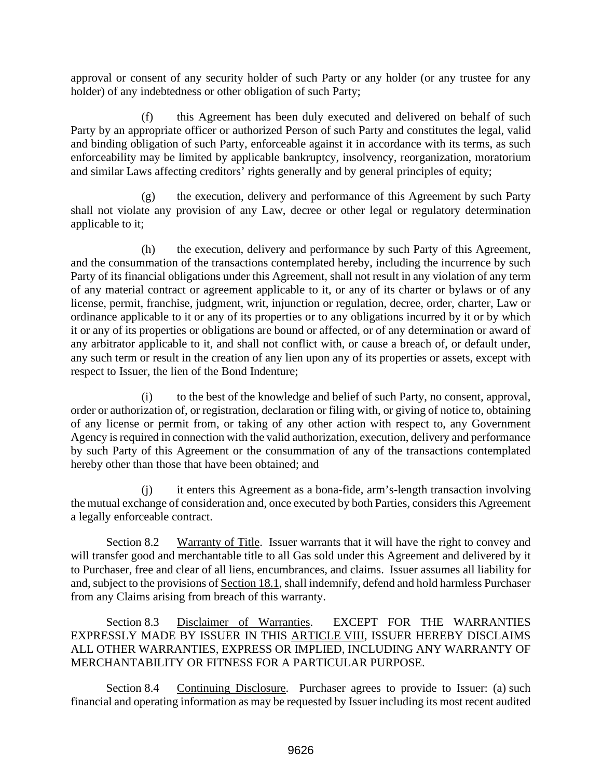approval or consent of any security holder of such Party or any holder (or any trustee for any holder) of any indebtedness or other obligation of such Party;

(f) this Agreement has been duly executed and delivered on behalf of such Party by an appropriate officer or authorized Person of such Party and constitutes the legal, valid and binding obligation of such Party, enforceable against it in accordance with its terms, as such enforceability may be limited by applicable bankruptcy, insolvency, reorganization, moratorium and similar Laws affecting creditors' rights generally and by general principles of equity;

(g) the execution, delivery and performance of this Agreement by such Party shall not violate any provision of any Law, decree or other legal or regulatory determination applicable to it;

(h) the execution, delivery and performance by such Party of this Agreement, and the consummation of the transactions contemplated hereby, including the incurrence by such Party of its financial obligations under this Agreement, shall not result in any violation of any term of any material contract or agreement applicable to it, or any of its charter or bylaws or of any license, permit, franchise, judgment, writ, injunction or regulation, decree, order, charter, Law or ordinance applicable to it or any of its properties or to any obligations incurred by it or by which it or any of its properties or obligations are bound or affected, or of any determination or award of any arbitrator applicable to it, and shall not conflict with, or cause a breach of, or default under, any such term or result in the creation of any lien upon any of its properties or assets, except with respect to Issuer, the lien of the Bond Indenture;

(i) to the best of the knowledge and belief of such Party, no consent, approval, order or authorization of, or registration, declaration or filing with, or giving of notice to, obtaining of any license or permit from, or taking of any other action with respect to, any Government Agency is required in connection with the valid authorization, execution, delivery and performance by such Party of this Agreement or the consummation of any of the transactions contemplated hereby other than those that have been obtained; and

(j) it enters this Agreement as a bona-fide, arm's-length transaction involving the mutual exchange of consideration and, once executed by both Parties, considers this Agreement a legally enforceable contract.

Section 8.2 Warranty of Title. Issuer warrants that it will have the right to convey and will transfer good and merchantable title to all Gas sold under this Agreement and delivered by it to Purchaser, free and clear of all liens, encumbrances, and claims. Issuer assumes all liability for and, subject to the provisions o[f Section 18.1,](#page-52-0) shall indemnify, defend and hold harmless Purchaser from any Claims arising from breach of this warranty.

Section 8.3 Disclaimer of Warranties. EXCEPT FOR THE WARRANTIES EXPRESSLY MADE BY ISSUER IN THIS [ARTICLE](#page-41-1) VIII, ISSUER HEREBY DISCLAIMS ALL OTHER WARRANTIES, EXPRESS OR IMPLIED, INCLUDING ANY WARRANTY OF MERCHANTABILITY OR FITNESS FOR A PARTICULAR PURPOSE.

Section 8.4 Continuing Disclosure. Purchaser agrees to provide to Issuer: (a) such financial and operating information as may be requested by Issuer including its most recent audited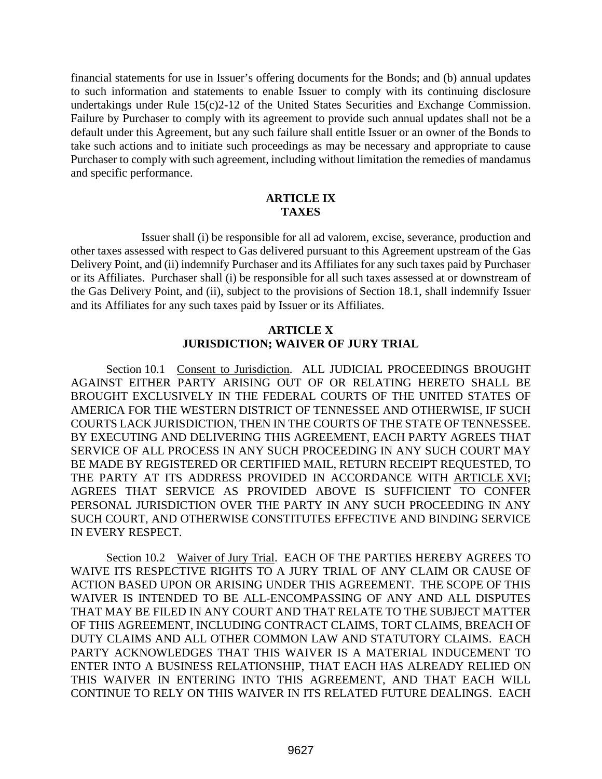financial statements for use in Issuer's offering documents for the Bonds; and (b) annual updates to such information and statements to enable Issuer to comply with its continuing disclosure undertakings under Rule 15(c)2-12 of the United States Securities and Exchange Commission. Failure by Purchaser to comply with its agreement to provide such annual updates shall not be a default under this Agreement, but any such failure shall entitle Issuer or an owner of the Bonds to take such actions and to initiate such proceedings as may be necessary and appropriate to cause Purchaser to comply with such agreement, including without limitation the remedies of mandamus and specific performance.

#### **ARTICLE IX TAXES**

Issuer shall (i) be responsible for all ad valorem, excise, severance, production and other taxes assessed with respect to Gas delivered pursuant to this Agreement upstream of the Gas Delivery Point, and (ii) indemnify Purchaser and its Affiliates for any such taxes paid by Purchaser or its Affiliates. Purchaser shall (i) be responsible for all such taxes assessed at or downstream of the Gas Delivery Point, and (ii), subject to the provisions of Section 18.1, shall indemnify Issuer and its Affiliates for any such taxes paid by Issuer or its Affiliates.

## **ARTICLE X JURISDICTION; WAIVER OF JURY TRIAL**

Section 10.1 Consent to Jurisdiction. ALL JUDICIAL PROCEEDINGS BROUGHT AGAINST EITHER PARTY ARISING OUT OF OR RELATING HERETO SHALL BE BROUGHT EXCLUSIVELY IN THE FEDERAL COURTS OF THE UNITED STATES OF AMERICA FOR THE WESTERN DISTRICT OF TENNESSEE AND OTHERWISE, IF SUCH COURTS LACK JURISDICTION, THEN IN THE COURTS OF THE STATE OF TENNESSEE. BY EXECUTING AND DELIVERING THIS AGREEMENT, EACH PARTY AGREES THAT SERVICE OF ALL PROCESS IN ANY SUCH PROCEEDING IN ANY SUCH COURT MAY BE MADE BY REGISTERED OR CERTIFIED MAIL, RETURN RECEIPT REQUESTED, TO THE PARTY AT ITS ADDRESS PROVIDED IN ACCORDANCE WITH [ARTICLE](#page-49-0) XVI; AGREES THAT SERVICE AS PROVIDED ABOVE IS SUFFICIENT TO CONFER PERSONAL JURISDICTION OVER THE PARTY IN ANY SUCH PROCEEDING IN ANY SUCH COURT, AND OTHERWISE CONSTITUTES EFFECTIVE AND BINDING SERVICE IN EVERY RESPECT.

<span id="page-43-0"></span>Section 10.2 Waiver of Jury Trial. EACH OF THE PARTIES HEREBY AGREES TO WAIVE ITS RESPECTIVE RIGHTS TO A JURY TRIAL OF ANY CLAIM OR CAUSE OF ACTION BASED UPON OR ARISING UNDER THIS AGREEMENT. THE SCOPE OF THIS WAIVER IS INTENDED TO BE ALL-ENCOMPASSING OF ANY AND ALL DISPUTES THAT MAY BE FILED IN ANY COURT AND THAT RELATE TO THE SUBJECT MATTER OF THIS AGREEMENT, INCLUDING CONTRACT CLAIMS, TORT CLAIMS, BREACH OF DUTY CLAIMS AND ALL OTHER COMMON LAW AND STATUTORY CLAIMS. EACH PARTY ACKNOWLEDGES THAT THIS WAIVER IS A MATERIAL INDUCEMENT TO ENTER INTO A BUSINESS RELATIONSHIP, THAT EACH HAS ALREADY RELIED ON THIS WAIVER IN ENTERING INTO THIS AGREEMENT, AND THAT EACH WILL CONTINUE TO RELY ON THIS WAIVER IN ITS RELATED FUTURE DEALINGS. EACH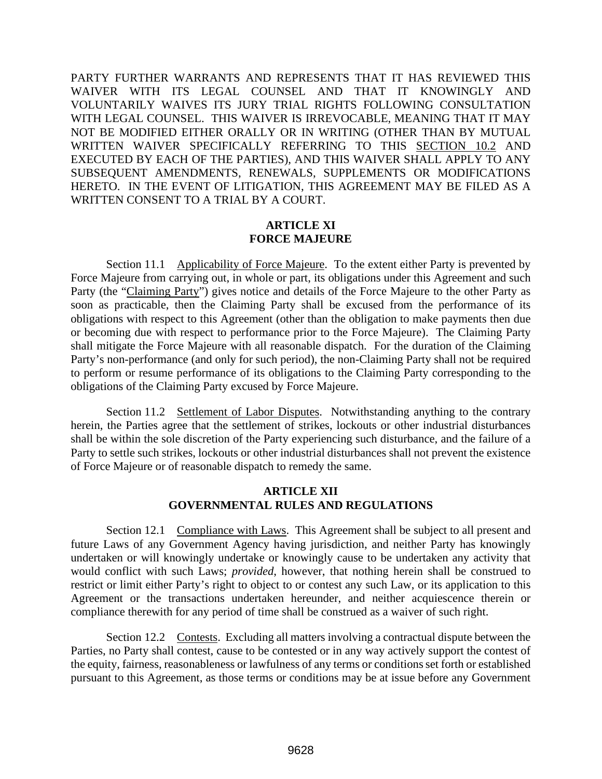PARTY FURTHER WARRANTS AND REPRESENTS THAT IT HAS REVIEWED THIS WAIVER WITH ITS LEGAL COUNSEL AND THAT IT KNOWINGLY AND VOLUNTARILY WAIVES ITS JURY TRIAL RIGHTS FOLLOWING CONSULTATION WITH LEGAL COUNSEL. THIS WAIVER IS IRREVOCABLE, MEANING THAT IT MAY NOT BE MODIFIED EITHER ORALLY OR IN WRITING (OTHER THAN BY MUTUAL WRITTEN WAIVER SPECIFICALLY REFERRING TO THIS [SECTION 10.2](#page-43-0) AND EXECUTED BY EACH OF THE PARTIES), AND THIS WAIVER SHALL APPLY TO ANY SUBSEQUENT AMENDMENTS, RENEWALS, SUPPLEMENTS OR MODIFICATIONS HERETO. IN THE EVENT OF LITIGATION, THIS AGREEMENT MAY BE FILED AS A WRITTEN CONSENT TO A TRIAL BY A COURT.

#### **ARTICLE XI FORCE MAJEURE**

<span id="page-44-0"></span>Section 11.1 Applicability of Force Majeure. To the extent either Party is prevented by Force Majeure from carrying out, in whole or part, its obligations under this Agreement and such Party (the "Claiming Party") gives notice and details of the Force Majeure to the other Party as soon as practicable, then the Claiming Party shall be excused from the performance of its obligations with respect to this Agreement (other than the obligation to make payments then due or becoming due with respect to performance prior to the Force Majeure). The Claiming Party shall mitigate the Force Majeure with all reasonable dispatch. For the duration of the Claiming Party's non-performance (and only for such period), the non-Claiming Party shall not be required to perform or resume performance of its obligations to the Claiming Party corresponding to the obligations of the Claiming Party excused by Force Majeure.

Section 11.2 Settlement of Labor Disputes. Notwithstanding anything to the contrary herein, the Parties agree that the settlement of strikes, lockouts or other industrial disturbances shall be within the sole discretion of the Party experiencing such disturbance, and the failure of a Party to settle such strikes, lockouts or other industrial disturbances shall not prevent the existence of Force Majeure or of reasonable dispatch to remedy the same.

### **ARTICLE XII GOVERNMENTAL RULES AND REGULATIONS**

Section 12.1 Compliance with Laws. This Agreement shall be subject to all present and future Laws of any Government Agency having jurisdiction, and neither Party has knowingly undertaken or will knowingly undertake or knowingly cause to be undertaken any activity that would conflict with such Laws; *provided*, however, that nothing herein shall be construed to restrict or limit either Party's right to object to or contest any such Law, or its application to this Agreement or the transactions undertaken hereunder, and neither acquiescence therein or compliance therewith for any period of time shall be construed as a waiver of such right.

Section 12.2 Contests. Excluding all matters involving a contractual dispute between the Parties, no Party shall contest, cause to be contested or in any way actively support the contest of the equity, fairness, reasonableness or lawfulness of any terms or conditions set forth or established pursuant to this Agreement, as those terms or conditions may be at issue before any Government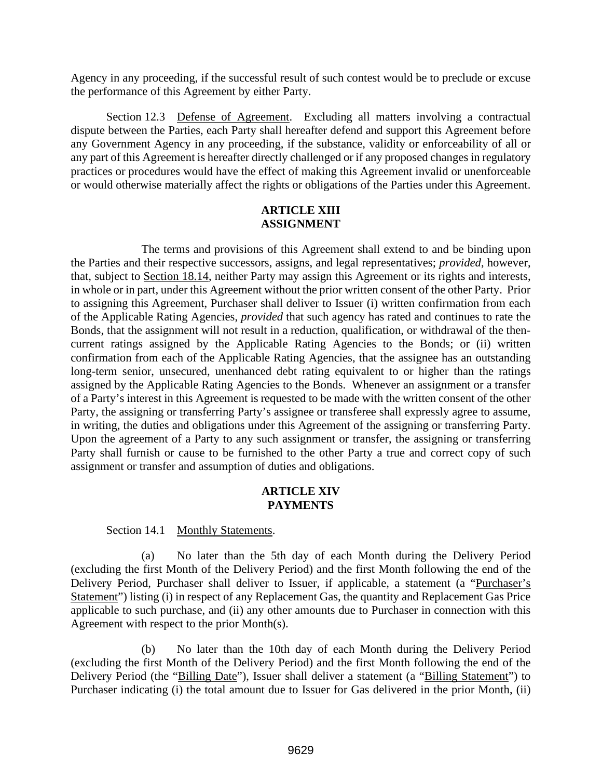Agency in any proceeding, if the successful result of such contest would be to preclude or excuse the performance of this Agreement by either Party.

Section 12.3 Defense of Agreement. Excluding all matters involving a contractual dispute between the Parties, each Party shall hereafter defend and support this Agreement before any Government Agency in any proceeding, if the substance, validity or enforceability of all or any part of this Agreement is hereafter directly challenged or if any proposed changes in regulatory practices or procedures would have the effect of making this Agreement invalid or unenforceable or would otherwise materially affect the rights or obligations of the Parties under this Agreement.

#### **ARTICLE XIII ASSIGNMENT**

The terms and provisions of this Agreement shall extend to and be binding upon the Parties and their respective successors, assigns, and legal representatives; *provided*, however, that, subject to [Section 18.14,](#page-54-0) neither Party may assign this Agreement or its rights and interests, in whole or in part, under this Agreement without the prior written consent of the other Party. Prior to assigning this Agreement, Purchaser shall deliver to Issuer (i) written confirmation from each of the Applicable Rating Agencies, *provided* that such agency has rated and continues to rate the Bonds, that the assignment will not result in a reduction, qualification, or withdrawal of the thencurrent ratings assigned by the Applicable Rating Agencies to the Bonds; or (ii) written confirmation from each of the Applicable Rating Agencies, that the assignee has an outstanding long-term senior, unsecured, unenhanced debt rating equivalent to or higher than the ratings assigned by the Applicable Rating Agencies to the Bonds. Whenever an assignment or a transfer of a Party's interest in this Agreement is requested to be made with the written consent of the other Party, the assigning or transferring Party's assignee or transferee shall expressly agree to assume, in writing, the duties and obligations under this Agreement of the assigning or transferring Party. Upon the agreement of a Party to any such assignment or transfer, the assigning or transferring Party shall furnish or cause to be furnished to the other Party a true and correct copy of such assignment or transfer and assumption of duties and obligations.

#### **ARTICLE XIV PAYMENTS**

<span id="page-45-0"></span>Section 14.1 Monthly Statements.

(a) No later than the 5th day of each Month during the Delivery Period (excluding the first Month of the Delivery Period) and the first Month following the end of the Delivery Period, Purchaser shall deliver to Issuer, if applicable, a statement (a "Purchaser's Statement") listing (i) in respect of any Replacement Gas, the quantity and Replacement Gas Price applicable to such purchase, and (ii) any other amounts due to Purchaser in connection with this Agreement with respect to the prior Month(s).

(b) No later than the 10th day of each Month during the Delivery Period (excluding the first Month of the Delivery Period) and the first Month following the end of the Delivery Period (the "Billing Date"), Issuer shall deliver a statement (a "Billing Statement") to Purchaser indicating (i) the total amount due to Issuer for Gas delivered in the prior Month, (ii)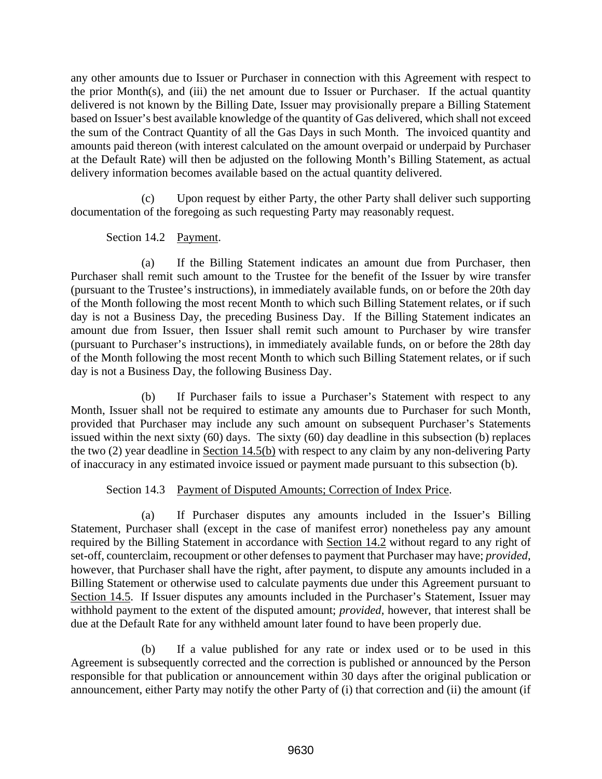any other amounts due to Issuer or Purchaser in connection with this Agreement with respect to the prior Month(s), and (iii) the net amount due to Issuer or Purchaser. If the actual quantity delivered is not known by the Billing Date, Issuer may provisionally prepare a Billing Statement based on Issuer's best available knowledge of the quantity of Gas delivered, which shall not exceed the sum of the Contract Quantity of all the Gas Days in such Month. The invoiced quantity and amounts paid thereon (with interest calculated on the amount overpaid or underpaid by Purchaser at the Default Rate) will then be adjusted on the following Month's Billing Statement, as actual delivery information becomes available based on the actual quantity delivered.

(c) Upon request by either Party, the other Party shall deliver such supporting documentation of the foregoing as such requesting Party may reasonably request.

Section 14.2 Payment.

<span id="page-46-0"></span>(a) If the Billing Statement indicates an amount due from Purchaser, then Purchaser shall remit such amount to the Trustee for the benefit of the Issuer by wire transfer (pursuant to the Trustee's instructions), in immediately available funds, on or before the 20th day of the Month following the most recent Month to which such Billing Statement relates, or if such day is not a Business Day, the preceding Business Day. If the Billing Statement indicates an amount due from Issuer, then Issuer shall remit such amount to Purchaser by wire transfer (pursuant to Purchaser's instructions), in immediately available funds, on or before the 28th day of the Month following the most recent Month to which such Billing Statement relates, or if such day is not a Business Day, the following Business Day.

(b) If Purchaser fails to issue a Purchaser's Statement with respect to any Month, Issuer shall not be required to estimate any amounts due to Purchaser for such Month, provided that Purchaser may include any such amount on subsequent Purchaser's Statements issued within the next sixty (60) days. The sixty (60) day deadline in this subsection (b) replaces the two (2) year deadline in [Section 14.5\(b\)](#page-47-1) with respect to any claim by any non-delivering Party of inaccuracy in any estimated invoice issued or payment made pursuant to this subsection (b).

## Section 14.3 Payment of Disputed Amounts; Correction of Index Price.

(a) If Purchaser disputes any amounts included in the Issuer's Billing Statement, Purchaser shall (except in the case of manifest error) nonetheless pay any amount required by the Billing Statement in accordance with [Section 14.2](#page-46-0) without regard to any right of set-off, counterclaim, recoupment or other defenses to payment that Purchaser may have; *provided*, however, that Purchaser shall have the right, after payment, to dispute any amounts included in a Billing Statement or otherwise used to calculate payments due under this Agreement pursuant to [Section 14.5.](#page-47-0) If Issuer disputes any amounts included in the Purchaser's Statement, Issuer may withhold payment to the extent of the disputed amount; *provided*, however, that interest shall be due at the Default Rate for any withheld amount later found to have been properly due.

(b) If a value published for any rate or index used or to be used in this Agreement is subsequently corrected and the correction is published or announced by the Person responsible for that publication or announcement within 30 days after the original publication or announcement, either Party may notify the other Party of (i) that correction and (ii) the amount (if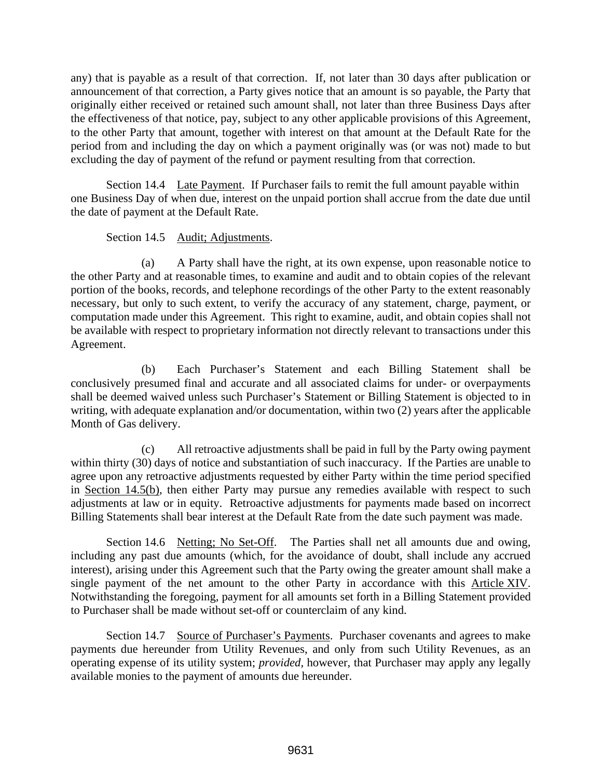any) that is payable as a result of that correction. If, not later than 30 days after publication or announcement of that correction, a Party gives notice that an amount is so payable, the Party that originally either received or retained such amount shall, not later than three Business Days after the effectiveness of that notice, pay, subject to any other applicable provisions of this Agreement, to the other Party that amount, together with interest on that amount at the Default Rate for the period from and including the day on which a payment originally was (or was not) made to but excluding the day of payment of the refund or payment resulting from that correction.

Section 14.4 Late Payment. If Purchaser fails to remit the full amount payable within one Business Day of when due, interest on the unpaid portion shall accrue from the date due until the date of payment at the Default Rate.

### Section 14.5 Audit; Adjustments.

<span id="page-47-0"></span>(a) A Party shall have the right, at its own expense, upon reasonable notice to the other Party and at reasonable times, to examine and audit and to obtain copies of the relevant portion of the books, records, and telephone recordings of the other Party to the extent reasonably necessary, but only to such extent, to verify the accuracy of any statement, charge, payment, or computation made under this Agreement. This right to examine, audit, and obtain copies shall not be available with respect to proprietary information not directly relevant to transactions under this Agreement.

<span id="page-47-1"></span>(b) Each Purchaser's Statement and each Billing Statement shall be conclusively presumed final and accurate and all associated claims for under- or overpayments shall be deemed waived unless such Purchaser's Statement or Billing Statement is objected to in writing, with adequate explanation and/or documentation, within two (2) years after the applicable Month of Gas delivery.

(c) All retroactive adjustments shall be paid in full by the Party owing payment within thirty (30) days of notice and substantiation of such inaccuracy. If the Parties are unable to agree upon any retroactive adjustments requested by either Party within the time period specified in [Section 14.5\(b\),](#page-47-1) then either Party may pursue any remedies available with respect to such adjustments at law or in equity. Retroactive adjustments for payments made based on incorrect Billing Statements shall bear interest at the Default Rate from the date such payment was made.

Section 14.6 Netting; No Set-Off. The Parties shall net all amounts due and owing, including any past due amounts (which, for the avoidance of doubt, shall include any accrued interest), arising under this Agreement such that the Party owing the greater amount shall make a single payment of the net amount to the other Party in accordance with this [Article](#page-45-0) XIV. Notwithstanding the foregoing, payment for all amounts set forth in a Billing Statement provided to Purchaser shall be made without set-off or counterclaim of any kind.

Section 14.7 Source of Purchaser's Payments. Purchaser covenants and agrees to make payments due hereunder from Utility Revenues, and only from such Utility Revenues, as an operating expense of its utility system; *provided*, however, that Purchaser may apply any legally available monies to the payment of amounts due hereunder.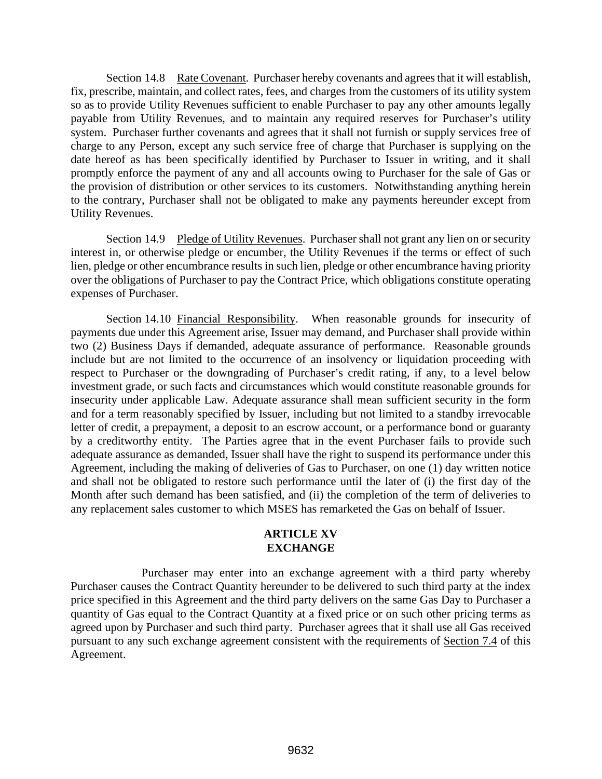Section 14.8 Rate Covenant. Purchaser hereby covenants and agrees that it will establish, fix, prescribe, maintain, and collect rates, fees, and charges from the customers of its utility system so as to provide Utility Revenues sufficient to enable Purchaser to pay any other amounts legally payable from Utility Revenues, and to maintain any required reserves for Purchaser's utility system. Purchaser further covenants and agrees that it shall not furnish or supply services free of charge to any Person, except any such service free of charge that Purchaser is supplying on the date hereof as has been specifically identified by Purchaser to Issuer in writing, and it shall promptly enforce the payment of any and all accounts owing to Purchaser for the sale of Gas or the provision of distribution or other services to its customers. Notwithstanding anything herein to the contrary, Purchaser shall not be obligated to make any payments hereunder except from Utility Revenues.

Section 14.9 Pledge of Utility Revenues. Purchaser shall not grant any lien on or security interest in, or otherwise pledge or encumber, the Utility Revenues if the terms or effect of such lien, pledge or other encumbrance results in such lien, pledge or other encumbrance having priority over the obligations of Purchaser to pay the Contract Price, which obligations constitute operating expenses of Purchaser.

Section 14.10 Financial Responsibility. When reasonable grounds for insecurity of payments due under this Agreement arise, Issuer may demand, and Purchaser shall provide within two (2) Business Days if demanded, adequate assurance of performance. Reasonable grounds include but are not limited to the occurrence of an insolvency or liquidation proceeding with respect to Purchaser or the downgrading of Purchaser's credit rating, if any, to a level below investment grade, or such facts and circumstances which would constitute reasonable grounds for insecurity under applicable Law. Adequate assurance shall mean sufficient security in the form and for a term reasonably specified by Issuer, including but not limited to a standby irrevocable letter of credit, a prepayment, a deposit to an escrow account, or a performance bond or guaranty by a creditworthy entity. The Parties agree that in the event Purchaser fails to provide such adequate assurance as demanded, Issuer shall have the right to suspend its performance under this Agreement, including the making of deliveries of Gas to Purchaser, on one (1) day written notice and shall not be obligated to restore such performance until the later of (i) the first day of the Month after such demand has been satisfied, and (ii) the completion of the term of deliveries to any replacement sales customer to which MSES has remarketed the Gas on behalf of Issuer.

#### **ARTICLE XV EXCHANGE**

Purchaser may enter into an exchange agreement with a third party whereby Purchaser causes the Contract Quantity hereunder to be delivered to such third party at the index price specified in this Agreement and the third party delivers on the same Gas Day to Purchaser a quantity of Gas equal to the Contract Quantity at a fixed price or on such other pricing terms as agreed upon by Purchaser and such third party. Purchaser agrees that it shall use all Gas received pursuant to any such exchange agreement consistent with the requirements of [Section 7.4](#page-41-0) of this Agreement.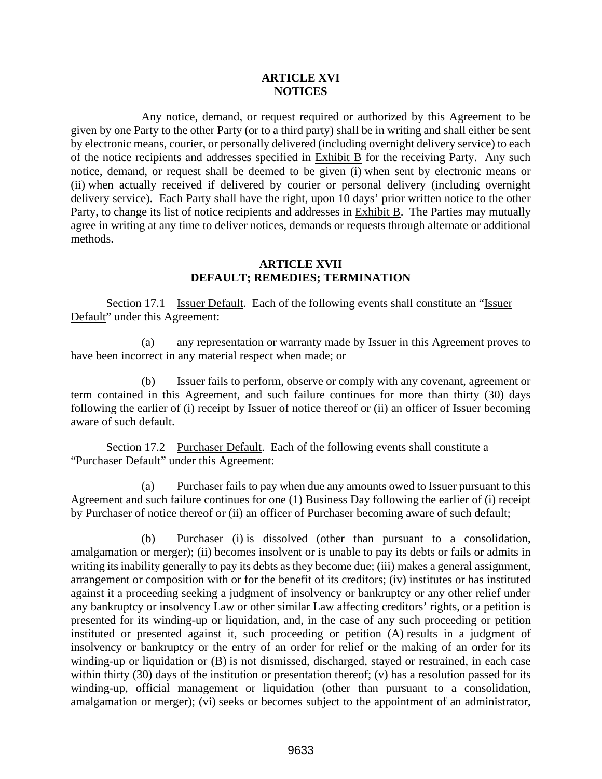#### **ARTICLE XVI NOTICES**

<span id="page-49-0"></span>Any notice, demand, or request required or authorized by this Agreement to be given by one Party to the other Party (or to a third party) shall be in writing and shall either be sent by electronic means, courier, or personally delivered (including overnight delivery service) to each of the notice recipients and addresses specified in Exhibit B for the receiving Party. Any such notice, demand, or request shall be deemed to be given  $(i)$  when sent by electronic means or (ii) when actually received if delivered by courier or personal delivery (including overnight delivery service). Each Party shall have the right, upon 10 days' prior written notice to the other Party, to change its list of notice recipients and addresses in Exhibit B. The Parties may mutually agree in writing at any time to deliver notices, demands or requests through alternate or additional methods.

#### **ARTICLE XVII DEFAULT; REMEDIES; TERMINATION**

<span id="page-49-2"></span>Section 17.1 Issuer Default. Each of the following events shall constitute an "Issuer Default" under this Agreement:

(a) any representation or warranty made by Issuer in this Agreement proves to have been incorrect in any material respect when made; or

(b) Issuer fails to perform, observe or comply with any covenant, agreement or term contained in this Agreement, and such failure continues for more than thirty (30) days following the earlier of (i) receipt by Issuer of notice thereof or (ii) an officer of Issuer becoming aware of such default.

Section 17.2 Purchaser Default. Each of the following events shall constitute a "Purchaser Default" under this Agreement:

<span id="page-49-3"></span>(a) Purchaser fails to pay when due any amounts owed to Issuer pursuant to this Agreement and such failure continues for one (1) Business Day following the earlier of (i) receipt by Purchaser of notice thereof or (ii) an officer of Purchaser becoming aware of such default;

<span id="page-49-1"></span>(b) Purchaser (i) is dissolved (other than pursuant to a consolidation, amalgamation or merger); (ii) becomes insolvent or is unable to pay its debts or fails or admits in writing its inability generally to pay its debts as they become due; (iii) makes a general assignment, arrangement or composition with or for the benefit of its creditors; (iv) institutes or has instituted against it a proceeding seeking a judgment of insolvency or bankruptcy or any other relief under any bankruptcy or insolvency Law or other similar Law affecting creditors' rights, or a petition is presented for its winding-up or liquidation, and, in the case of any such proceeding or petition instituted or presented against it, such proceeding or petition (A) results in a judgment of insolvency or bankruptcy or the entry of an order for relief or the making of an order for its winding-up or liquidation or (B) is not dismissed, discharged, stayed or restrained, in each case within thirty (30) days of the institution or presentation thereof; (v) has a resolution passed for its winding-up, official management or liquidation (other than pursuant to a consolidation, amalgamation or merger); (vi) seeks or becomes subject to the appointment of an administrator,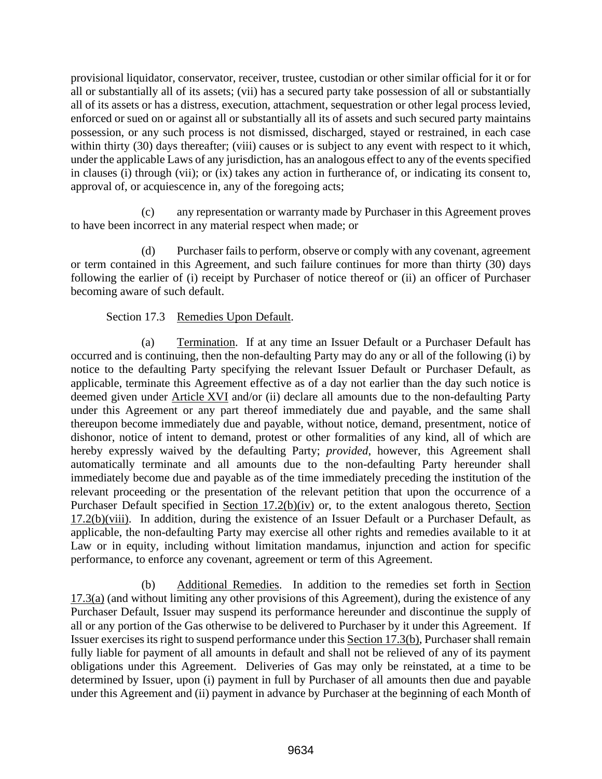provisional liquidator, conservator, receiver, trustee, custodian or other similar official for it or for all or substantially all of its assets; (vii) has a secured party take possession of all or substantially all of its assets or has a distress, execution, attachment, sequestration or other legal process levied, enforced or sued on or against all or substantially all its of assets and such secured party maintains possession, or any such process is not dismissed, discharged, stayed or restrained, in each case within thirty (30) days thereafter; (viii) causes or is subject to any event with respect to it which, under the applicable Laws of any jurisdiction, has an analogous effect to any of the events specified in clauses (i) through (vii); or (ix) takes any action in furtherance of, or indicating its consent to, approval of, or acquiescence in, any of the foregoing acts;

(c) any representation or warranty made by Purchaser in this Agreement proves to have been incorrect in any material respect when made; or

(d) Purchaser fails to perform, observe or comply with any covenant, agreement or term contained in this Agreement, and such failure continues for more than thirty (30) days following the earlier of (i) receipt by Purchaser of notice thereof or (ii) an officer of Purchaser becoming aware of such default.

## Section 17.3 Remedies Upon Default.

<span id="page-50-0"></span>(a) Termination. If at any time an Issuer Default or a Purchaser Default has occurred and is continuing, then the non-defaulting Party may do any or all of the following (i) by notice to the defaulting Party specifying the relevant Issuer Default or Purchaser Default, as applicable, terminate this Agreement effective as of a day not earlier than the day such notice is deemed given under [Article](#page-49-0) XVI and/or (ii) declare all amounts due to the non-defaulting Party under this Agreement or any part thereof immediately due and payable, and the same shall thereupon become immediately due and payable, without notice, demand, presentment, notice of dishonor, notice of intent to demand, protest or other formalities of any kind, all of which are hereby expressly waived by the defaulting Party; *provided*, however, this Agreement shall automatically terminate and all amounts due to the non-defaulting Party hereunder shall immediately become due and payable as of the time immediately preceding the institution of the relevant proceeding or the presentation of the relevant petition that upon the occurrence of a Purchaser Default specified in [Section 17.2\(b\)\(](#page-49-1)iv) or, to the extent analogous thereto, [Section](#page-49-1)  [17.2\(b\)\(](#page-49-1)viii). In addition, during the existence of an Issuer Default or a Purchaser Default, as applicable, the non-defaulting Party may exercise all other rights and remedies available to it at Law or in equity, including without limitation mandamus, injunction and action for specific performance, to enforce any covenant, agreement or term of this Agreement.

<span id="page-50-1"></span>(b) Additional Remedies. In addition to the remedies set forth in [Section](#page-50-0) [17.3\(a\)](#page-50-0) (and without limiting any other provisions of this Agreement), during the existence of any Purchaser Default, Issuer may suspend its performance hereunder and discontinue the supply of all or any portion of the Gas otherwise to be delivered to Purchaser by it under this Agreement. If Issuer exercises its right to suspend performance under this [Section 17.3\(b\),](#page-50-1) Purchaser shall remain fully liable for payment of all amounts in default and shall not be relieved of any of its payment obligations under this Agreement. Deliveries of Gas may only be reinstated, at a time to be determined by Issuer, upon (i) payment in full by Purchaser of all amounts then due and payable under this Agreement and (ii) payment in advance by Purchaser at the beginning of each Month of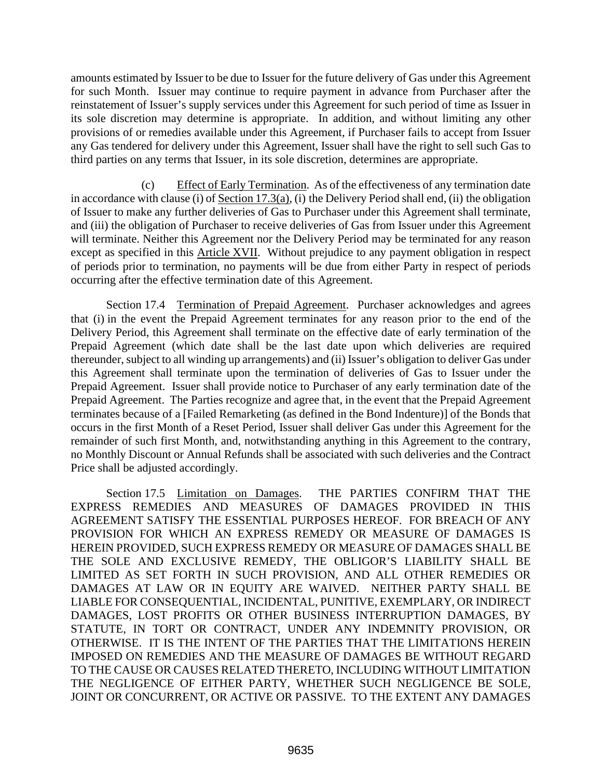amounts estimated by Issuer to be due to Issuer for the future delivery of Gas under this Agreement for such Month. Issuer may continue to require payment in advance from Purchaser after the reinstatement of Issuer's supply services under this Agreement for such period of time as Issuer in its sole discretion may determine is appropriate. In addition, and without limiting any other provisions of or remedies available under this Agreement, if Purchaser fails to accept from Issuer any Gas tendered for delivery under this Agreement, Issuer shall have the right to sell such Gas to third parties on any terms that Issuer, in its sole discretion, determines are appropriate.

(c) Effect of Early Termination. As of the effectiveness of any termination date in accordance with clause (i) of <u>Section 17.3(a)</u>, (i) the Delivery Period shall end, (ii) the obligation of Issuer to make any further deliveries of Gas to Purchaser under this Agreement shall terminate, and (iii) the obligation of Purchaser to receive deliveries of Gas from Issuer under this Agreement will terminate. Neither this Agreement nor the Delivery Period may be terminated for any reason except as specified in this [Article](#page-49-2) XVII. Without prejudice to any payment obligation in respect of periods prior to termination, no payments will be due from either Party in respect of periods occurring after the effective termination date of this Agreement.

Section 17.4 Termination of Prepaid Agreement. Purchaser acknowledges and agrees that (i) in the event the Prepaid Agreement terminates for any reason prior to the end of the Delivery Period, this Agreement shall terminate on the effective date of early termination of the Prepaid Agreement (which date shall be the last date upon which deliveries are required thereunder, subject to all winding up arrangements) and (ii) Issuer's obligation to deliver Gas under this Agreement shall terminate upon the termination of deliveries of Gas to Issuer under the Prepaid Agreement. Issuer shall provide notice to Purchaser of any early termination date of the Prepaid Agreement. The Parties recognize and agree that, in the event that the Prepaid Agreement terminates because of a [Failed Remarketing (as defined in the Bond Indenture)] of the Bonds that occurs in the first Month of a Reset Period, Issuer shall deliver Gas under this Agreement for the remainder of such first Month, and, notwithstanding anything in this Agreement to the contrary, no Monthly Discount or Annual Refunds shall be associated with such deliveries and the Contract Price shall be adjusted accordingly.

Section 17.5 Limitation on Damages. THE PARTIES CONFIRM THAT THE EXPRESS REMEDIES AND MEASURES OF DAMAGES PROVIDED IN THIS AGREEMENT SATISFY THE ESSENTIAL PURPOSES HEREOF. FOR BREACH OF ANY PROVISION FOR WHICH AN EXPRESS REMEDY OR MEASURE OF DAMAGES IS HEREIN PROVIDED, SUCH EXPRESS REMEDY OR MEASURE OF DAMAGES SHALL BE THE SOLE AND EXCLUSIVE REMEDY, THE OBLIGOR'S LIABILITY SHALL BE LIMITED AS SET FORTH IN SUCH PROVISION, AND ALL OTHER REMEDIES OR DAMAGES AT LAW OR IN EQUITY ARE WAIVED. NEITHER PARTY SHALL BE LIABLE FOR CONSEQUENTIAL, INCIDENTAL, PUNITIVE, EXEMPLARY, OR INDIRECT DAMAGES, LOST PROFITS OR OTHER BUSINESS INTERRUPTION DAMAGES, BY STATUTE, IN TORT OR CONTRACT, UNDER ANY INDEMNITY PROVISION, OR OTHERWISE. IT IS THE INTENT OF THE PARTIES THAT THE LIMITATIONS HEREIN IMPOSED ON REMEDIES AND THE MEASURE OF DAMAGES BE WITHOUT REGARD TO THE CAUSE OR CAUSES RELATED THERETO, INCLUDING WITHOUT LIMITATION THE NEGLIGENCE OF EITHER PARTY, WHETHER SUCH NEGLIGENCE BE SOLE, JOINT OR CONCURRENT, OR ACTIVE OR PASSIVE. TO THE EXTENT ANY DAMAGES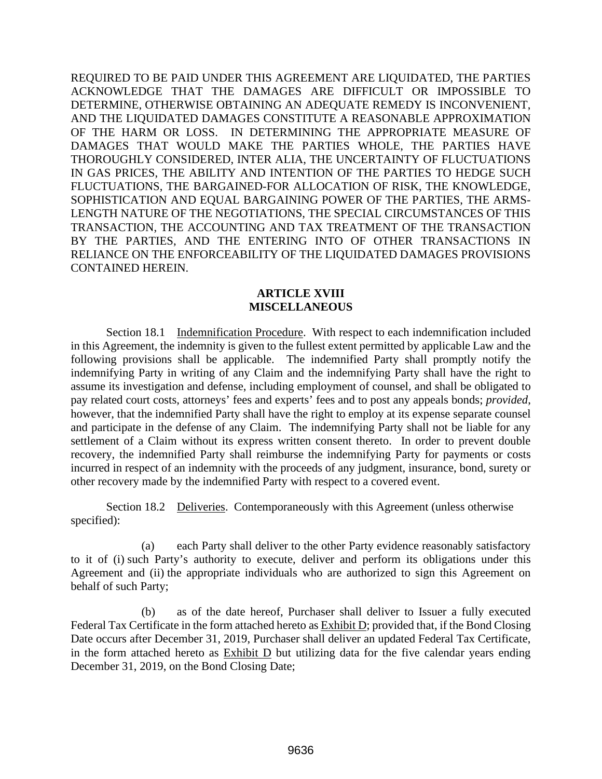REQUIRED TO BE PAID UNDER THIS AGREEMENT ARE LIQUIDATED, THE PARTIES ACKNOWLEDGE THAT THE DAMAGES ARE DIFFICULT OR IMPOSSIBLE TO DETERMINE, OTHERWISE OBTAINING AN ADEQUATE REMEDY IS INCONVENIENT, AND THE LIQUIDATED DAMAGES CONSTITUTE A REASONABLE APPROXIMATION OF THE HARM OR LOSS. IN DETERMINING THE APPROPRIATE MEASURE OF DAMAGES THAT WOULD MAKE THE PARTIES WHOLE, THE PARTIES HAVE THOROUGHLY CONSIDERED, INTER ALIA, THE UNCERTAINTY OF FLUCTUATIONS IN GAS PRICES, THE ABILITY AND INTENTION OF THE PARTIES TO HEDGE SUCH FLUCTUATIONS, THE BARGAINED-FOR ALLOCATION OF RISK, THE KNOWLEDGE, SOPHISTICATION AND EQUAL BARGAINING POWER OF THE PARTIES, THE ARMS-LENGTH NATURE OF THE NEGOTIATIONS, THE SPECIAL CIRCUMSTANCES OF THIS TRANSACTION, THE ACCOUNTING AND TAX TREATMENT OF THE TRANSACTION BY THE PARTIES, AND THE ENTERING INTO OF OTHER TRANSACTIONS IN RELIANCE ON THE ENFORCEABILITY OF THE LIQUIDATED DAMAGES PROVISIONS CONTAINED HEREIN.

#### **ARTICLE XVIII MISCELLANEOUS**

<span id="page-52-0"></span>Section 18.1 Indemnification Procedure. With respect to each indemnification included in this Agreement, the indemnity is given to the fullest extent permitted by applicable Law and the following provisions shall be applicable. The indemnified Party shall promptly notify the indemnifying Party in writing of any Claim and the indemnifying Party shall have the right to assume its investigation and defense, including employment of counsel, and shall be obligated to pay related court costs, attorneys' fees and experts' fees and to post any appeals bonds; *provided*, however, that the indemnified Party shall have the right to employ at its expense separate counsel and participate in the defense of any Claim. The indemnifying Party shall not be liable for any settlement of a Claim without its express written consent thereto. In order to prevent double recovery, the indemnified Party shall reimburse the indemnifying Party for payments or costs incurred in respect of an indemnity with the proceeds of any judgment, insurance, bond, surety or other recovery made by the indemnified Party with respect to a covered event.

Section 18.2 Deliveries. Contemporaneously with this Agreement (unless otherwise specified):

(a) each Party shall deliver to the other Party evidence reasonably satisfactory to it of (i) such Party's authority to execute, deliver and perform its obligations under this Agreement and (ii) the appropriate individuals who are authorized to sign this Agreement on behalf of such Party;

(b) as of the date hereof, Purchaser shall deliver to Issuer a fully executed Federal Tax Certificate in the form attached hereto as Exhibit D; provided that, if the Bond Closing Date occurs after December 31, 2019, Purchaser shall deliver an updated Federal Tax Certificate, in the form attached hereto as  $Exhibit D$  but utilizing data for the five calendar years ending December 31, 2019, on the Bond Closing Date;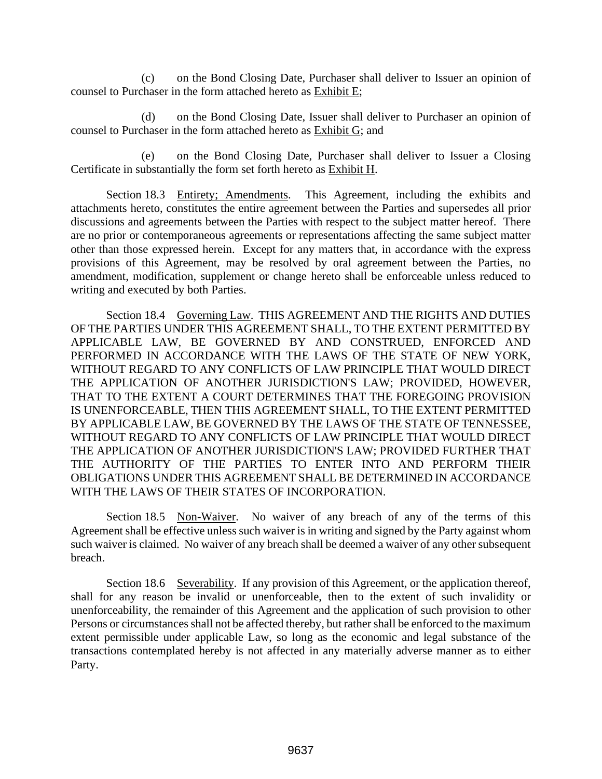(c) on the Bond Closing Date, Purchaser shall deliver to Issuer an opinion of counsel to Purchaser in the form attached hereto as Exhibit E;

(d) on the Bond Closing Date, Issuer shall deliver to Purchaser an opinion of counsel to Purchaser in the form attached hereto as Exhibit G; and

(e) on the Bond Closing Date, Purchaser shall deliver to Issuer a Closing Certificate in substantially the form set forth hereto as Exhibit H.

Section 18.3 Entirety; Amendments. This Agreement, including the exhibits and attachments hereto, constitutes the entire agreement between the Parties and supersedes all prior discussions and agreements between the Parties with respect to the subject matter hereof. There are no prior or contemporaneous agreements or representations affecting the same subject matter other than those expressed herein. Except for any matters that, in accordance with the express provisions of this Agreement, may be resolved by oral agreement between the Parties, no amendment, modification, supplement or change hereto shall be enforceable unless reduced to writing and executed by both Parties.

Section 18.4 Governing Law. THIS AGREEMENT AND THE RIGHTS AND DUTIES OF THE PARTIES UNDER THIS AGREEMENT SHALL, TO THE EXTENT PERMITTED BY APPLICABLE LAW, BE GOVERNED BY AND CONSTRUED, ENFORCED AND PERFORMED IN ACCORDANCE WITH THE LAWS OF THE STATE OF NEW YORK, WITHOUT REGARD TO ANY CONFLICTS OF LAW PRINCIPLE THAT WOULD DIRECT THE APPLICATION OF ANOTHER JURISDICTION'S LAW; PROVIDED, HOWEVER, THAT TO THE EXTENT A COURT DETERMINES THAT THE FOREGOING PROVISION IS UNENFORCEABLE, THEN THIS AGREEMENT SHALL, TO THE EXTENT PERMITTED BY APPLICABLE LAW, BE GOVERNED BY THE LAWS OF THE STATE OF TENNESSEE, WITHOUT REGARD TO ANY CONFLICTS OF LAW PRINCIPLE THAT WOULD DIRECT THE APPLICATION OF ANOTHER JURISDICTION'S LAW; PROVIDED FURTHER THAT THE AUTHORITY OF THE PARTIES TO ENTER INTO AND PERFORM THEIR OBLIGATIONS UNDER THIS AGREEMENT SHALL BE DETERMINED IN ACCORDANCE WITH THE LAWS OF THEIR STATES OF INCORPORATION.

Section 18.5 Non-Waiver. No waiver of any breach of any of the terms of this Agreement shall be effective unless such waiver is in writing and signed by the Party against whom such waiver is claimed. No waiver of any breach shall be deemed a waiver of any other subsequent breach.

Section 18.6 Severability. If any provision of this Agreement, or the application thereof, shall for any reason be invalid or unenforceable, then to the extent of such invalidity or unenforceability, the remainder of this Agreement and the application of such provision to other Persons or circumstances shall not be affected thereby, but rather shall be enforced to the maximum extent permissible under applicable Law, so long as the economic and legal substance of the transactions contemplated hereby is not affected in any materially adverse manner as to either Party.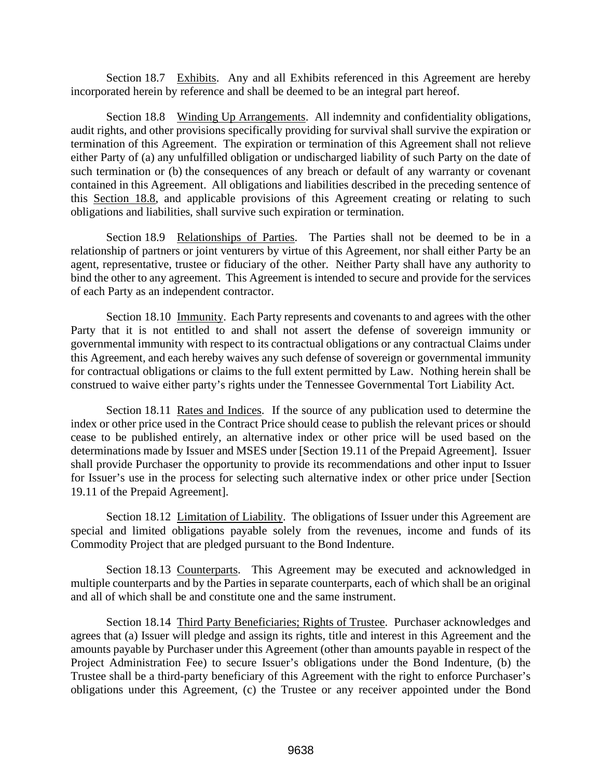Section 18.7 Exhibits. Any and all Exhibits referenced in this Agreement are hereby incorporated herein by reference and shall be deemed to be an integral part hereof.

<span id="page-54-1"></span>Section 18.8 Winding Up Arrangements. All indemnity and confidentiality obligations, audit rights, and other provisions specifically providing for survival shall survive the expiration or termination of this Agreement. The expiration or termination of this Agreement shall not relieve either Party of (a) any unfulfilled obligation or undischarged liability of such Party on the date of such termination or (b) the consequences of any breach or default of any warranty or covenant contained in this Agreement. All obligations and liabilities described in the preceding sentence of this [Section 18.8,](#page-54-1) and applicable provisions of this Agreement creating or relating to such obligations and liabilities, shall survive such expiration or termination.

Section 18.9 Relationships of Parties. The Parties shall not be deemed to be in a relationship of partners or joint venturers by virtue of this Agreement, nor shall either Party be an agent, representative, trustee or fiduciary of the other. Neither Party shall have any authority to bind the other to any agreement. This Agreement is intended to secure and provide for the services of each Party as an independent contractor.

Section 18.10 Immunity. Each Party represents and covenants to and agrees with the other Party that it is not entitled to and shall not assert the defense of sovereign immunity or governmental immunity with respect to its contractual obligations or any contractual Claims under this Agreement, and each hereby waives any such defense of sovereign or governmental immunity for contractual obligations or claims to the full extent permitted by Law. Nothing herein shall be construed to waive either party's rights under the Tennessee Governmental Tort Liability Act.

Section 18.11 Rates and Indices. If the source of any publication used to determine the index or other price used in the Contract Price should cease to publish the relevant prices or should cease to be published entirely, an alternative index or other price will be used based on the determinations made by Issuer and MSES under [Section 19.11 of the Prepaid Agreement]. Issuer shall provide Purchaser the opportunity to provide its recommendations and other input to Issuer for Issuer's use in the process for selecting such alternative index or other price under [Section 19.11 of the Prepaid Agreement].

Section 18.12 Limitation of Liability. The obligations of Issuer under this Agreement are special and limited obligations payable solely from the revenues, income and funds of its Commodity Project that are pledged pursuant to the Bond Indenture.

Section 18.13 Counterparts. This Agreement may be executed and acknowledged in multiple counterparts and by the Parties in separate counterparts, each of which shall be an original and all of which shall be and constitute one and the same instrument.

<span id="page-54-0"></span>Section 18.14 Third Party Beneficiaries; Rights of Trustee. Purchaser acknowledges and agrees that (a) Issuer will pledge and assign its rights, title and interest in this Agreement and the amounts payable by Purchaser under this Agreement (other than amounts payable in respect of the Project Administration Fee) to secure Issuer's obligations under the Bond Indenture, (b) the Trustee shall be a third-party beneficiary of this Agreement with the right to enforce Purchaser's obligations under this Agreement, (c) the Trustee or any receiver appointed under the Bond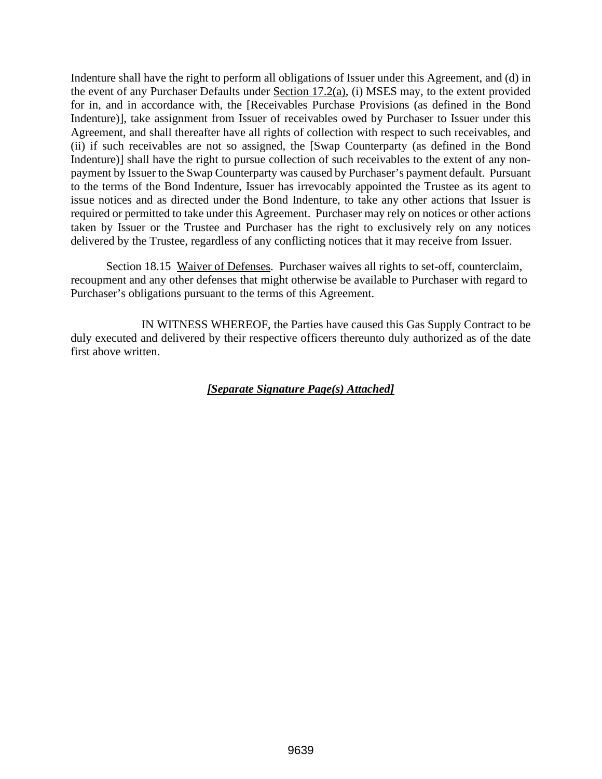Indenture shall have the right to perform all obligations of Issuer under this Agreement, and (d) in the event of any Purchaser Defaults under [Section 17.2\(a\),](#page-49-3) (i) MSES may, to the extent provided for in, and in accordance with, the [Receivables Purchase Provisions (as defined in the Bond Indenture)], take assignment from Issuer of receivables owed by Purchaser to Issuer under this Agreement, and shall thereafter have all rights of collection with respect to such receivables, and (ii) if such receivables are not so assigned, the [Swap Counterparty (as defined in the Bond Indenture)] shall have the right to pursue collection of such receivables to the extent of any nonpayment by Issuer to the Swap Counterparty was caused by Purchaser's payment default. Pursuant to the terms of the Bond Indenture, Issuer has irrevocably appointed the Trustee as its agent to issue notices and as directed under the Bond Indenture, to take any other actions that Issuer is required or permitted to take under this Agreement. Purchaser may rely on notices or other actions taken by Issuer or the Trustee and Purchaser has the right to exclusively rely on any notices delivered by the Trustee, regardless of any conflicting notices that it may receive from Issuer.

Section 18.15 Waiver of Defenses. Purchaser waives all rights to set-off, counterclaim, recoupment and any other defenses that might otherwise be available to Purchaser with regard to Purchaser's obligations pursuant to the terms of this Agreement.

IN WITNESS WHEREOF, the Parties have caused this Gas Supply Contract to be duly executed and delivered by their respective officers thereunto duly authorized as of the date first above written.

## *[Separate Signature Page(s) Attached]*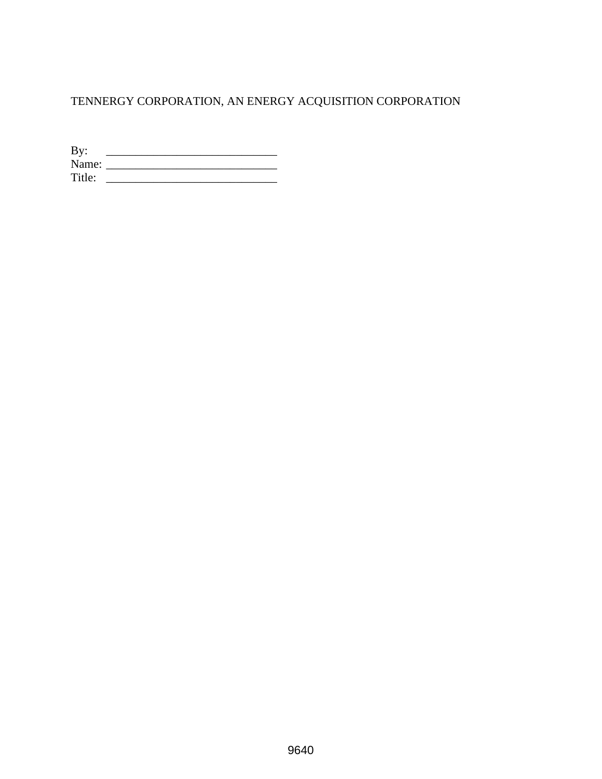# TENNERGY CORPORATION, AN ENERGY ACQUISITION CORPORATION

By: \_\_\_\_\_\_\_\_\_\_\_\_\_\_\_\_\_\_\_\_\_\_\_\_\_\_\_\_\_ Name: \_\_\_\_\_\_\_\_\_\_\_\_\_\_\_\_\_\_\_\_\_\_\_\_\_\_\_\_\_ Title: \_\_\_\_\_\_\_\_\_\_\_\_\_\_\_\_\_\_\_\_\_\_\_\_\_\_\_\_\_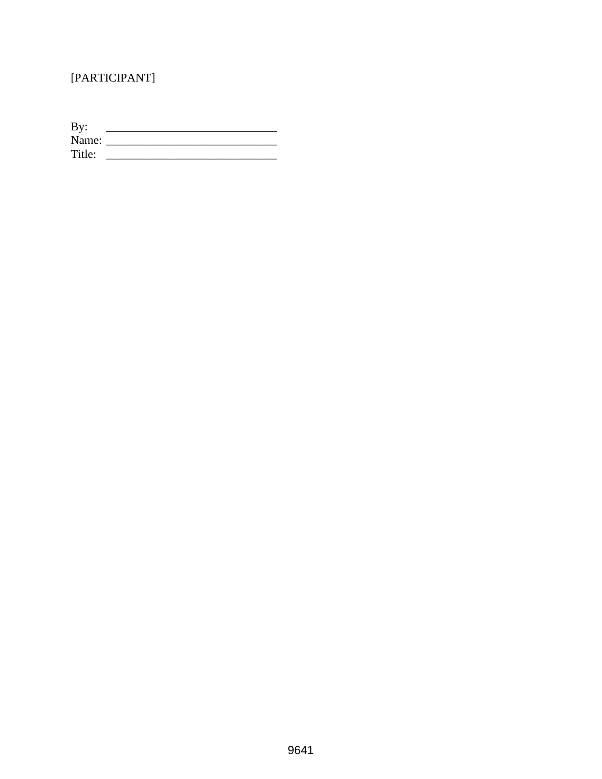# [PARTICIPANT]

| By:    |  |
|--------|--|
| Name:  |  |
| Title: |  |
|        |  |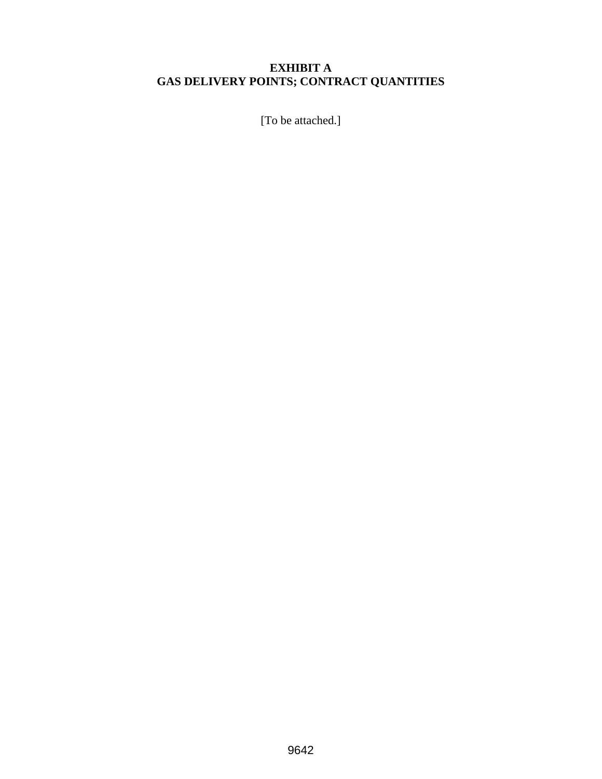# **EXHIBIT A GAS DELIVERY POINTS; CONTRACT QUANTITIES**

[To be attached.]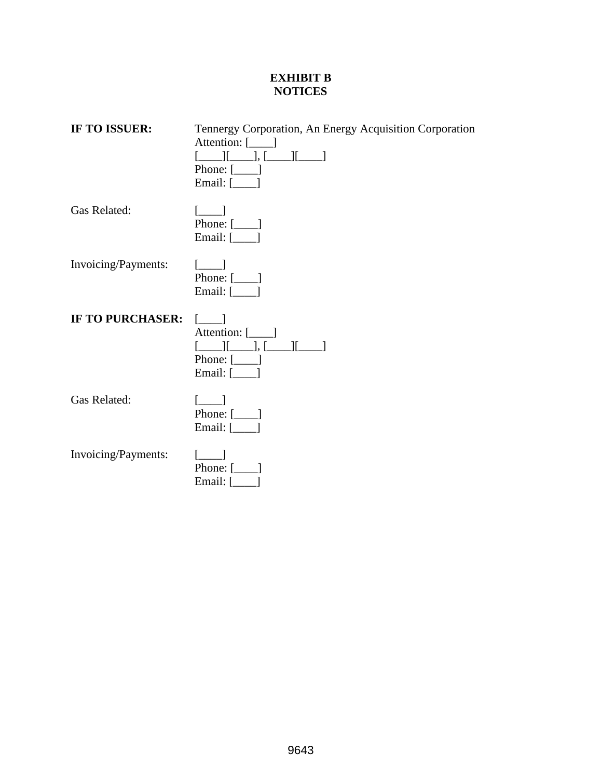## **EXHIBIT B NOTICES**

| IF TO ISSUER:       | Tennergy Corporation, An Energy Acquisition Corporation<br>Attention: [____]<br>$[\underline{\hspace{1cm}}][\underline{\hspace{1cm}}], [\underline{\hspace{1cm}}][\underline{\hspace{1cm}}]]$<br>Phone: $[\_\]$<br>Email: $[\_\]$ |
|---------------------|-----------------------------------------------------------------------------------------------------------------------------------------------------------------------------------------------------------------------------------|
| Gas Related:        | Phone: $[\_\]$<br>Email: $[\_\]$                                                                                                                                                                                                  |
| Invoicing/Payments: | $\begin{bmatrix} 1 & 1 \end{bmatrix}$<br>Phone: $[\_\]$<br>Email: $[\_\]$                                                                                                                                                         |
| IF TO PURCHASER:    | $\Box$<br>Attention: [ <i>___</i> ]<br>$[\underline{\hspace{1cm}}][\underline{\hspace{1cm}}], [\underline{\hspace{1cm}}][\underline{\hspace{1cm}}]]$                                                                              |
|                     | Phone: $[\_\_]$<br>Email: $[\_\_]$                                                                                                                                                                                                |
| <b>Gas Related:</b> | $\begin{bmatrix} \begin{array}{ccc} \end{array} \end{bmatrix}$<br>Phone: $[\_\]$<br>Email: $[\_\]$                                                                                                                                |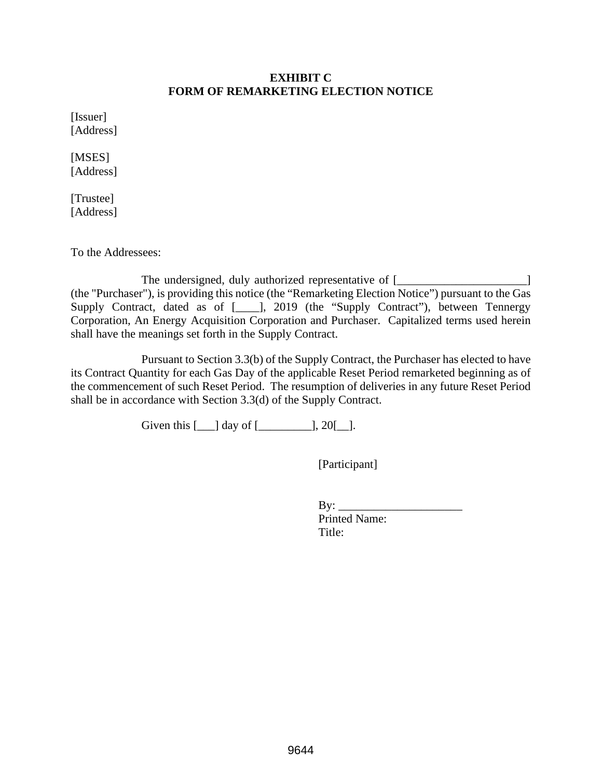## **EXHIBIT C FORM OF REMARKETING ELECTION NOTICE**

[Issuer] [Address]

[MSES] [Address]

[Trustee] [Address]

To the Addressees:

The undersigned, duly authorized representative of [\_\_\_\_\_\_\_\_\_\_\_\_\_\_\_\_\_\_\_\_\_\_\_\_] (the "Purchaser"), is providing this notice (the "Remarketing Election Notice") pursuant to the Gas Supply Contract, dated as of [\_\_\_\_], 2019 (the "Supply Contract"), between Tennergy Corporation, An Energy Acquisition Corporation and Purchaser. Capitalized terms used herein shall have the meanings set forth in the Supply Contract.

Pursuant to Section 3.3(b) of the Supply Contract, the Purchaser has elected to have its Contract Quantity for each Gas Day of the applicable Reset Period remarketed beginning as of the commencement of such Reset Period. The resumption of deliveries in any future Reset Period shall be in accordance with Section 3.3(d) of the Supply Contract.

Given this  $[\_\_\]$  day of  $[\_\_\_\_\]$ , 20 $[\_\_\]$ .

[Participant]

| By: $\_\_$           |  |
|----------------------|--|
| <b>Printed Name:</b> |  |
| Title:               |  |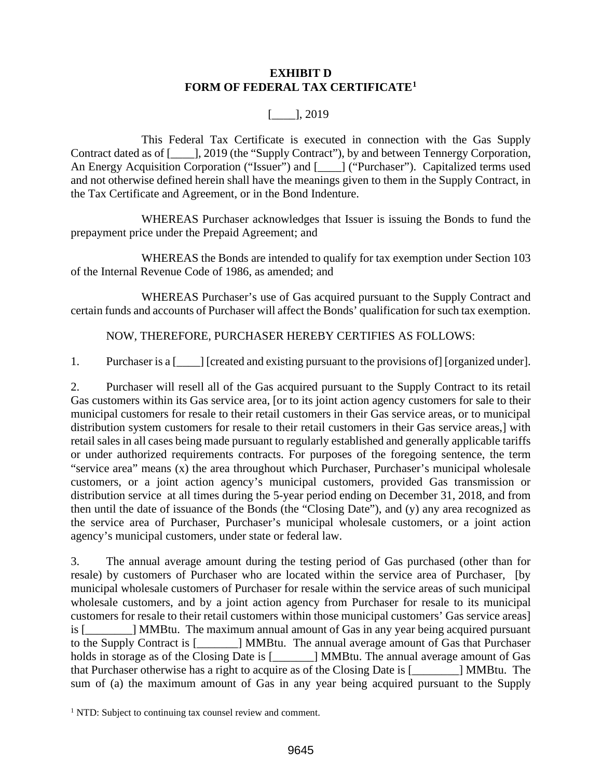## **EXHIBIT D FORM OF FEDERAL TAX CERTIFICATE[1](#page-61-0)**

# $\lceil$  \_], 2019

This Federal Tax Certificate is executed in connection with the Gas Supply Contract dated as of [\_\_\_\_], 2019 (the "Supply Contract"), by and between Tennergy Corporation, An Energy Acquisition Corporation ("Issuer") and [\_\_\_\_] ("Purchaser"). Capitalized terms used and not otherwise defined herein shall have the meanings given to them in the Supply Contract, in the Tax Certificate and Agreement, or in the Bond Indenture.

WHEREAS Purchaser acknowledges that Issuer is issuing the Bonds to fund the prepayment price under the Prepaid Agreement; and

WHEREAS the Bonds are intended to qualify for tax exemption under Section 103 of the Internal Revenue Code of 1986, as amended; and

WHEREAS Purchaser's use of Gas acquired pursuant to the Supply Contract and certain funds and accounts of Purchaser will affect the Bonds' qualification for such tax exemption.

NOW, THEREFORE, PURCHASER HEREBY CERTIFIES AS FOLLOWS:

1. Purchaser is a [\_\_\_\_] [created and existing pursuant to the provisions of] [organized under].

2. Purchaser will resell all of the Gas acquired pursuant to the Supply Contract to its retail Gas customers within its Gas service area, [or to its joint action agency customers for sale to their municipal customers for resale to their retail customers in their Gas service areas, or to municipal distribution system customers for resale to their retail customers in their Gas service areas,] with retail sales in all cases being made pursuant to regularly established and generally applicable tariffs or under authorized requirements contracts. For purposes of the foregoing sentence, the term "service area" means (x) the area throughout which Purchaser, Purchaser's municipal wholesale customers, or a joint action agency's municipal customers, provided Gas transmission or distribution service at all times during the 5-year period ending on December 31, 2018, and from then until the date of issuance of the Bonds (the "Closing Date"), and (y) any area recognized as the service area of Purchaser, Purchaser's municipal wholesale customers, or a joint action agency's municipal customers, under state or federal law.

3. The annual average amount during the testing period of Gas purchased (other than for resale) by customers of Purchaser who are located within the service area of Purchaser, [by municipal wholesale customers of Purchaser for resale within the service areas of such municipal wholesale customers, and by a joint action agency from Purchaser for resale to its municipal customers for resale to their retail customers within those municipal customers' Gas service areas] is [\_\_\_\_\_\_\_\_] MMBtu. The maximum annual amount of Gas in any year being acquired pursuant to the Supply Contract is [\_\_\_\_\_\_\_] MMBtu. The annual average amount of Gas that Purchaser holds in storage as of the Closing Date is [\_\_\_\_\_\_\_] MMBtu. The annual average amount of Gas that Purchaser otherwise has a right to acquire as of the Closing Date is [\_\_\_\_\_\_\_\_] MMBtu. The sum of (a) the maximum amount of Gas in any year being acquired pursuant to the Supply

<span id="page-61-0"></span><sup>&</sup>lt;sup>1</sup> NTD: Subject to continuing tax counsel review and comment.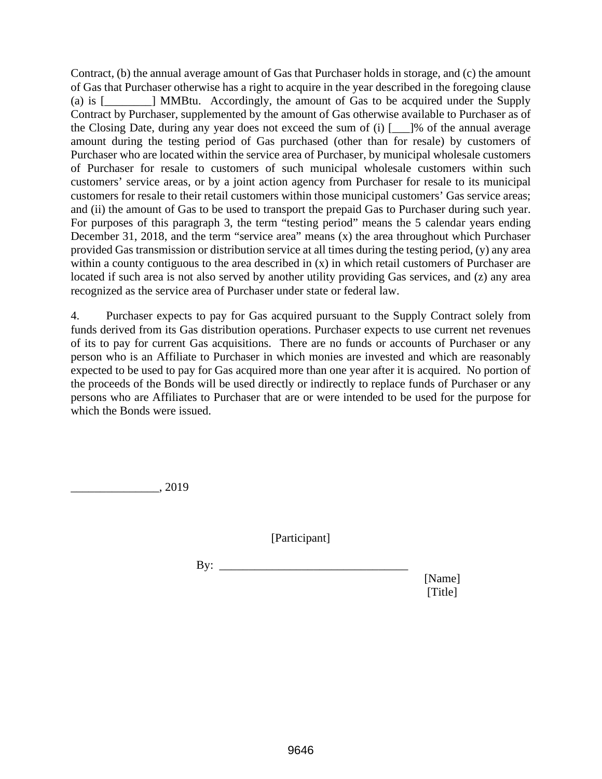Contract, (b) the annual average amount of Gas that Purchaser holds in storage, and (c) the amount of Gas that Purchaser otherwise has a right to acquire in the year described in the foregoing clause (a) is [\_\_\_\_\_\_\_\_] MMBtu. Accordingly, the amount of Gas to be acquired under the Supply Contract by Purchaser, supplemented by the amount of Gas otherwise available to Purchaser as of the Closing Date, during any year does not exceed the sum of (i) [\_\_\_]% of the annual average amount during the testing period of Gas purchased (other than for resale) by customers of Purchaser who are located within the service area of Purchaser, by municipal wholesale customers of Purchaser for resale to customers of such municipal wholesale customers within such customers' service areas, or by a joint action agency from Purchaser for resale to its municipal customers for resale to their retail customers within those municipal customers' Gas service areas; and (ii) the amount of Gas to be used to transport the prepaid Gas to Purchaser during such year. For purposes of this paragraph 3, the term "testing period" means the 5 calendar years ending December 31, 2018, and the term "service area" means (x) the area throughout which Purchaser provided Gas transmission or distribution service at all times during the testing period, (y) any area within a county contiguous to the area described in  $(x)$  in which retail customers of Purchaser are located if such area is not also served by another utility providing Gas services, and (z) any area recognized as the service area of Purchaser under state or federal law.

4. Purchaser expects to pay for Gas acquired pursuant to the Supply Contract solely from funds derived from its Gas distribution operations. Purchaser expects to use current net revenues of its to pay for current Gas acquisitions. There are no funds or accounts of Purchaser or any person who is an Affiliate to Purchaser in which monies are invested and which are reasonably expected to be used to pay for Gas acquired more than one year after it is acquired. No portion of the proceeds of the Bonds will be used directly or indirectly to replace funds of Purchaser or any persons who are Affiliates to Purchaser that are or were intended to be used for the purpose for which the Bonds were issued.

\_\_\_\_\_\_\_\_\_\_\_\_\_\_\_, 2019

[Participant]

 $\mathbf{B} \mathbf{v}$ :

[Name] [Title]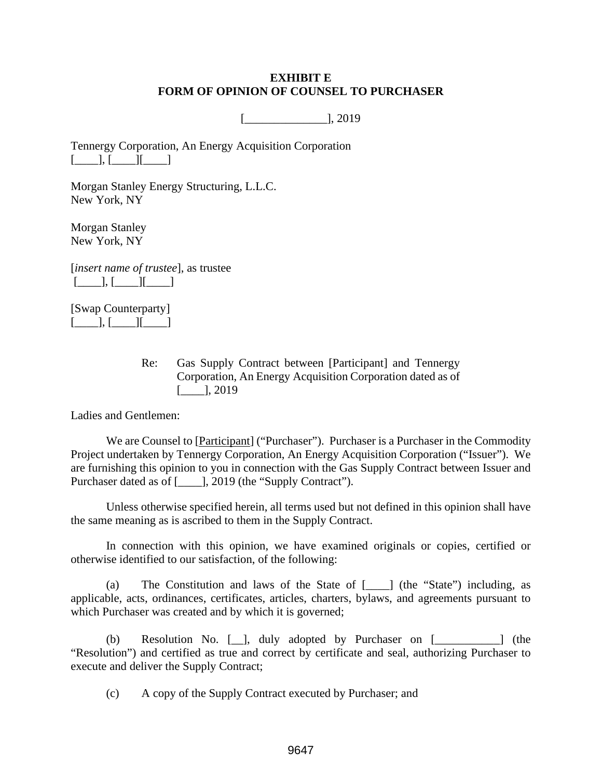### **EXHIBIT E FORM OF OPINION OF COUNSEL TO PURCHASER**

[\_\_\_\_\_\_\_\_\_\_\_\_\_\_], 2019

Tennergy Corporation, An Energy Acquisition Corporation  $[$   $], [$   $]$   $]$   $[$   $]$ 

Morgan Stanley Energy Structuring, L.L.C. New York, NY

Morgan Stanley New York, NY

[*insert name of trustee*], as trustee  $[\_\_\_\]$ ,  $[\_\_\_\]$   $[\_\_\_\]$ 

[Swap Counterparty]  $[$   $],$   $[$   $]]$   $]$ 

> Re: Gas Supply Contract between [Participant] and Tennergy Corporation, An Energy Acquisition Corporation dated as of  $\lbrack 1, 2019 \rbrack$

Ladies and Gentlemen:

We are Counsel to [*Participant*] ("Purchaser"). Purchaser is a Purchaser in the Commodity Project undertaken by Tennergy Corporation, An Energy Acquisition Corporation ("Issuer"). We are furnishing this opinion to you in connection with the Gas Supply Contract between Issuer and Purchaser dated as of [\_\_\_\_], 2019 (the "Supply Contract").

Unless otherwise specified herein, all terms used but not defined in this opinion shall have the same meaning as is ascribed to them in the Supply Contract.

In connection with this opinion, we have examined originals or copies, certified or otherwise identified to our satisfaction, of the following:

(a) The Constitution and laws of the State of [\_\_\_\_] (the "State") including, as applicable, acts, ordinances, certificates, articles, charters, bylaws, and agreements pursuant to which Purchaser was created and by which it is governed;

(b) Resolution No. [\_\_], duly adopted by Purchaser on [\_\_\_\_\_\_\_\_\_\_\_] (the "Resolution") and certified as true and correct by certificate and seal, authorizing Purchaser to execute and deliver the Supply Contract;

(c) A copy of the Supply Contract executed by Purchaser; and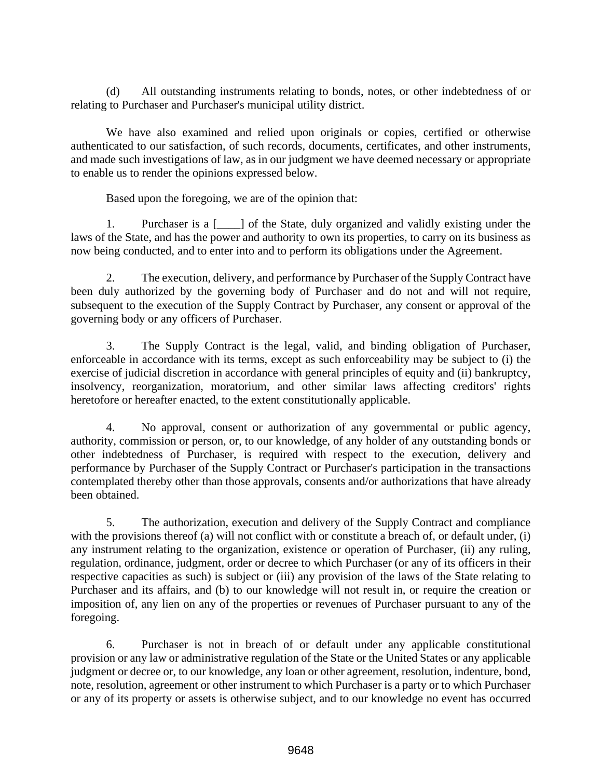(d) All outstanding instruments relating to bonds, notes, or other indebtedness of or relating to Purchaser and Purchaser's municipal utility district.

We have also examined and relied upon originals or copies, certified or otherwise authenticated to our satisfaction, of such records, documents, certificates, and other instruments, and made such investigations of law, as in our judgment we have deemed necessary or appropriate to enable us to render the opinions expressed below.

Based upon the foregoing, we are of the opinion that:

1. Purchaser is a [\_\_\_\_] of the State, duly organized and validly existing under the laws of the State, and has the power and authority to own its properties, to carry on its business as now being conducted, and to enter into and to perform its obligations under the Agreement.

2. The execution, delivery, and performance by Purchaser of the Supply Contract have been duly authorized by the governing body of Purchaser and do not and will not require, subsequent to the execution of the Supply Contract by Purchaser, any consent or approval of the governing body or any officers of Purchaser.

3. The Supply Contract is the legal, valid, and binding obligation of Purchaser, enforceable in accordance with its terms, except as such enforceability may be subject to (i) the exercise of judicial discretion in accordance with general principles of equity and (ii) bankruptcy, insolvency, reorganization, moratorium, and other similar laws affecting creditors' rights heretofore or hereafter enacted, to the extent constitutionally applicable.

4. No approval, consent or authorization of any governmental or public agency, authority, commission or person, or, to our knowledge, of any holder of any outstanding bonds or other indebtedness of Purchaser, is required with respect to the execution, delivery and performance by Purchaser of the Supply Contract or Purchaser's participation in the transactions contemplated thereby other than those approvals, consents and/or authorizations that have already been obtained.

5. The authorization, execution and delivery of the Supply Contract and compliance with the provisions thereof (a) will not conflict with or constitute a breach of, or default under, (i) any instrument relating to the organization, existence or operation of Purchaser, (ii) any ruling, regulation, ordinance, judgment, order or decree to which Purchaser (or any of its officers in their respective capacities as such) is subject or (iii) any provision of the laws of the State relating to Purchaser and its affairs, and (b) to our knowledge will not result in, or require the creation or imposition of, any lien on any of the properties or revenues of Purchaser pursuant to any of the foregoing.

6. Purchaser is not in breach of or default under any applicable constitutional provision or any law or administrative regulation of the State or the United States or any applicable judgment or decree or, to our knowledge, any loan or other agreement, resolution, indenture, bond, note, resolution, agreement or other instrument to which Purchaser is a party or to which Purchaser or any of its property or assets is otherwise subject, and to our knowledge no event has occurred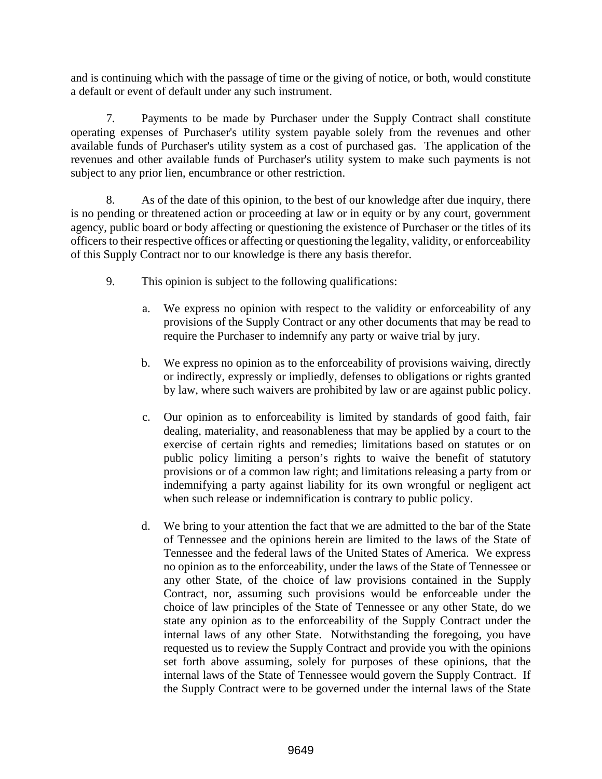and is continuing which with the passage of time or the giving of notice, or both, would constitute a default or event of default under any such instrument.

7. Payments to be made by Purchaser under the Supply Contract shall constitute operating expenses of Purchaser's utility system payable solely from the revenues and other available funds of Purchaser's utility system as a cost of purchased gas. The application of the revenues and other available funds of Purchaser's utility system to make such payments is not subject to any prior lien, encumbrance or other restriction.

8. As of the date of this opinion, to the best of our knowledge after due inquiry, there is no pending or threatened action or proceeding at law or in equity or by any court, government agency, public board or body affecting or questioning the existence of Purchaser or the titles of its officers to their respective offices or affecting or questioning the legality, validity, or enforceability of this Supply Contract nor to our knowledge is there any basis therefor.

- 9. This opinion is subject to the following qualifications:
	- a. We express no opinion with respect to the validity or enforceability of any provisions of the Supply Contract or any other documents that may be read to require the Purchaser to indemnify any party or waive trial by jury.
	- b. We express no opinion as to the enforceability of provisions waiving, directly or indirectly, expressly or impliedly, defenses to obligations or rights granted by law, where such waivers are prohibited by law or are against public policy.
	- c. Our opinion as to enforceability is limited by standards of good faith, fair dealing, materiality, and reasonableness that may be applied by a court to the exercise of certain rights and remedies; limitations based on statutes or on public policy limiting a person's rights to waive the benefit of statutory provisions or of a common law right; and limitations releasing a party from or indemnifying a party against liability for its own wrongful or negligent act when such release or indemnification is contrary to public policy.
	- d. We bring to your attention the fact that we are admitted to the bar of the State of Tennessee and the opinions herein are limited to the laws of the State of Tennessee and the federal laws of the United States of America. We express no opinion as to the enforceability, under the laws of the State of Tennessee or any other State, of the choice of law provisions contained in the Supply Contract, nor, assuming such provisions would be enforceable under the choice of law principles of the State of Tennessee or any other State, do we state any opinion as to the enforceability of the Supply Contract under the internal laws of any other State. Notwithstanding the foregoing, you have requested us to review the Supply Contract and provide you with the opinions set forth above assuming, solely for purposes of these opinions, that the internal laws of the State of Tennessee would govern the Supply Contract. If the Supply Contract were to be governed under the internal laws of the State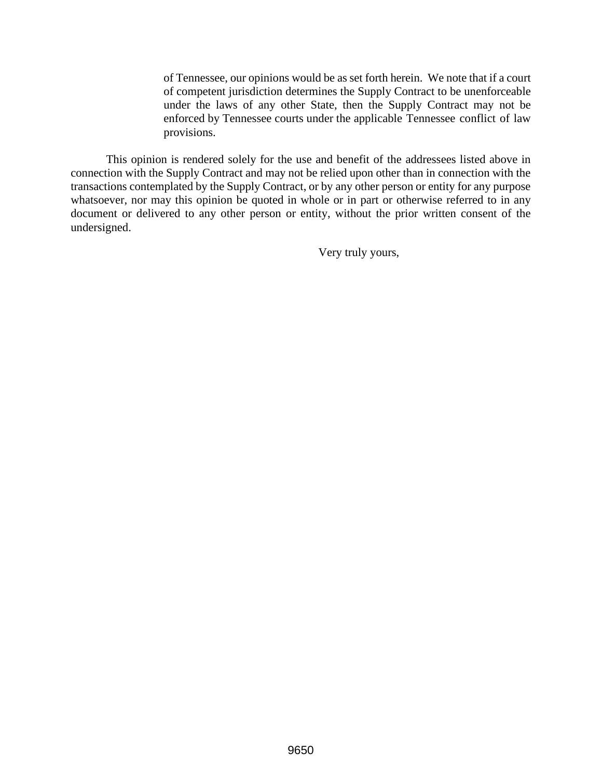of Tennessee, our opinions would be as set forth herein. We note that if a court of competent jurisdiction determines the Supply Contract to be unenforceable under the laws of any other State, then the Supply Contract may not be enforced by Tennessee courts under the applicable Tennessee conflict of law provisions.

This opinion is rendered solely for the use and benefit of the addressees listed above in connection with the Supply Contract and may not be relied upon other than in connection with the transactions contemplated by the Supply Contract, or by any other person or entity for any purpose whatsoever, nor may this opinion be quoted in whole or in part or otherwise referred to in any document or delivered to any other person or entity, without the prior written consent of the undersigned.

Very truly yours,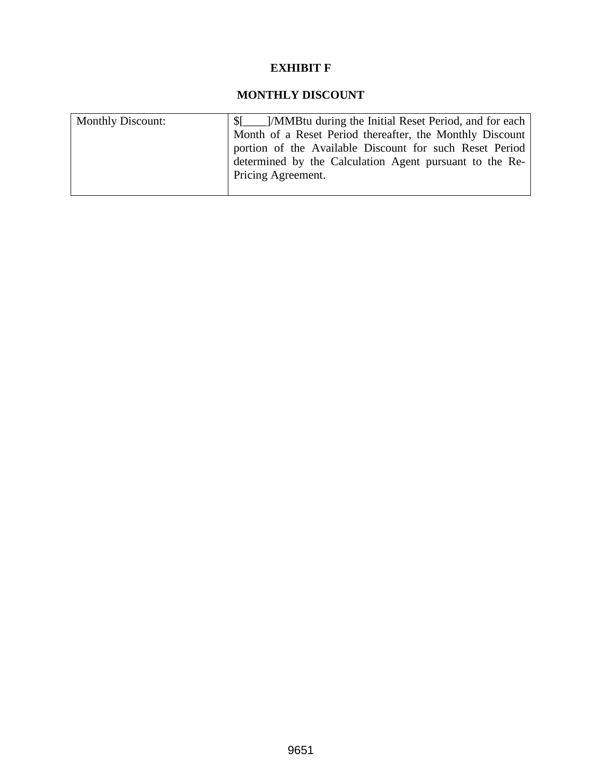# **EXHIBIT F**

# **MONTHLY DISCOUNT**

| <b>Monthly Discount:</b> | [/MMBtu during the Initial Reset Period, and for each    |
|--------------------------|----------------------------------------------------------|
|                          | Month of a Reset Period thereafter, the Monthly Discount |
|                          | portion of the Available Discount for such Reset Period  |
|                          | determined by the Calculation Agent pursuant to the Re-  |
|                          | Pricing Agreement.                                       |
|                          |                                                          |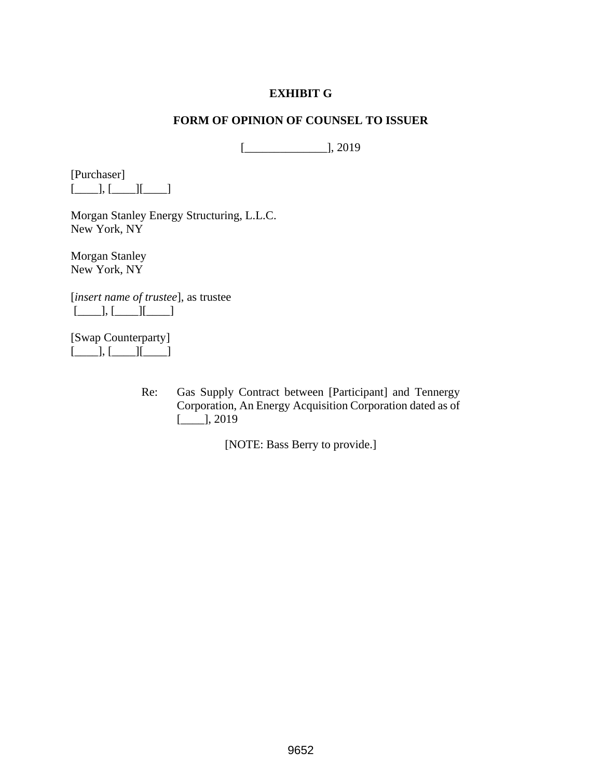## **EXHIBIT G**

## **FORM OF OPINION OF COUNSEL TO ISSUER**

[\_\_\_\_\_\_\_\_\_\_\_\_\_\_], 2019

[Purchaser]  $[\underline{\hspace{1cm}}], [\underline{\hspace{1cm}}]]$ 

Morgan Stanley Energy Structuring, L.L.C. New York, NY

Morgan Stanley New York, NY

[*insert name of trustee*], as trustee  $[\underline{\hspace{1cm}}], [\underline{\hspace{1cm}}]]$ 

[Swap Counterparty]  $[\underline{\hspace{1cm}}], [\underline{\hspace{1cm}}]]$ 

> Re: Gas Supply Contract between [Participant] and Tennergy Corporation, An Energy Acquisition Corporation dated as of [\_\_\_\_], 2019

> > [NOTE: Bass Berry to provide.]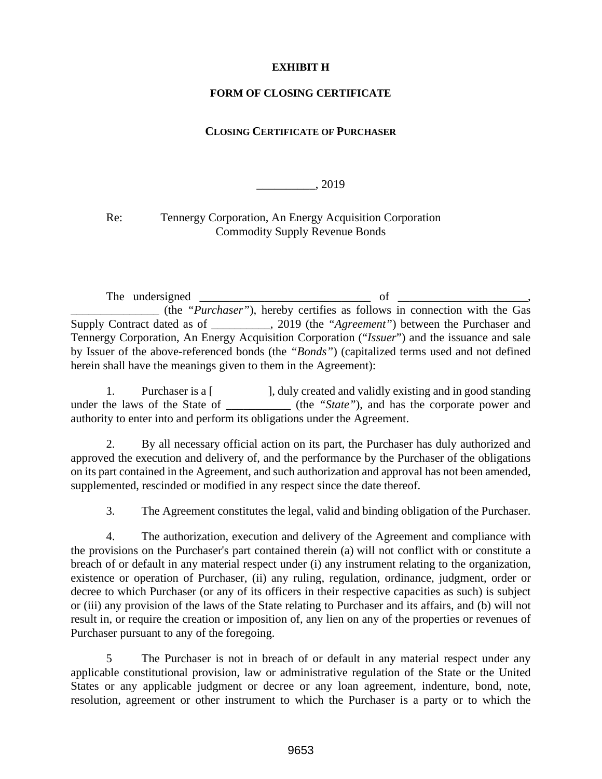## **EXHIBIT H**

## **FORM OF CLOSING CERTIFICATE**

## **CLOSING CERTIFICATE OF PURCHASER**

 $\sim$  2019

Re: Tennergy Corporation, An Energy Acquisition Corporation Commodity Supply Revenue Bonds

The undersigned  $\frac{1}{\sqrt{1-\frac{1}{2}}}\int$  of  $\frac{1}{\sqrt{1-\frac{1}{2}}}\int$ , \_\_\_\_\_\_\_\_\_\_\_\_\_\_\_ (the *"Purchaser"*), hereby certifies as follows in connection with the Gas Supply Contract dated as of \_\_\_\_\_\_\_\_\_\_, 2019 (the *"Agreement"*) between the Purchaser and Tennergy Corporation, An Energy Acquisition Corporation ("*Issuer*") and the issuance and sale by Issuer of the above-referenced bonds (the *"Bonds"*) (capitalized terms used and not defined herein shall have the meanings given to them in the Agreement):

1. Purchaser is a [ ], duly created and validly existing and in good standing under the laws of the State of \_\_\_\_\_\_\_\_\_\_\_ (the *"State"*), and has the corporate power and authority to enter into and perform its obligations under the Agreement.

2. By all necessary official action on its part, the Purchaser has duly authorized and approved the execution and delivery of, and the performance by the Purchaser of the obligations on its part contained in the Agreement, and such authorization and approval has not been amended, supplemented, rescinded or modified in any respect since the date thereof.

3. The Agreement constitutes the legal, valid and binding obligation of the Purchaser.

4. The authorization, execution and delivery of the Agreement and compliance with the provisions on the Purchaser's part contained therein (a) will not conflict with or constitute a breach of or default in any material respect under (i) any instrument relating to the organization, existence or operation of Purchaser, (ii) any ruling, regulation, ordinance, judgment, order or decree to which Purchaser (or any of its officers in their respective capacities as such) is subject or (iii) any provision of the laws of the State relating to Purchaser and its affairs, and (b) will not result in, or require the creation or imposition of, any lien on any of the properties or revenues of Purchaser pursuant to any of the foregoing.

5 The Purchaser is not in breach of or default in any material respect under any applicable constitutional provision, law or administrative regulation of the State or the United States or any applicable judgment or decree or any loan agreement, indenture, bond, note, resolution, agreement or other instrument to which the Purchaser is a party or to which the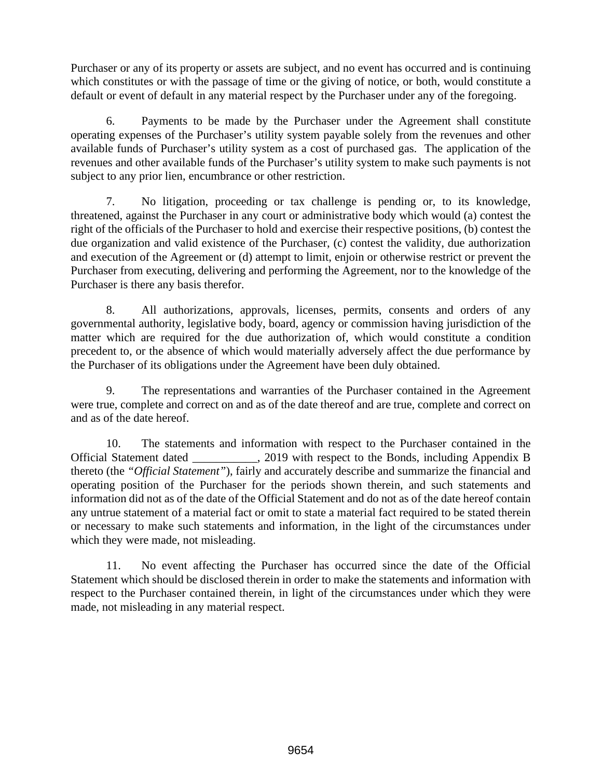Purchaser or any of its property or assets are subject, and no event has occurred and is continuing which constitutes or with the passage of time or the giving of notice, or both, would constitute a default or event of default in any material respect by the Purchaser under any of the foregoing.

6. Payments to be made by the Purchaser under the Agreement shall constitute operating expenses of the Purchaser's utility system payable solely from the revenues and other available funds of Purchaser's utility system as a cost of purchased gas. The application of the revenues and other available funds of the Purchaser's utility system to make such payments is not subject to any prior lien, encumbrance or other restriction.

7. No litigation, proceeding or tax challenge is pending or, to its knowledge, threatened, against the Purchaser in any court or administrative body which would (a) contest the right of the officials of the Purchaser to hold and exercise their respective positions, (b) contest the due organization and valid existence of the Purchaser, (c) contest the validity, due authorization and execution of the Agreement or (d) attempt to limit, enjoin or otherwise restrict or prevent the Purchaser from executing, delivering and performing the Agreement, nor to the knowledge of the Purchaser is there any basis therefor.

8. All authorizations, approvals, licenses, permits, consents and orders of any governmental authority, legislative body, board, agency or commission having jurisdiction of the matter which are required for the due authorization of, which would constitute a condition precedent to, or the absence of which would materially adversely affect the due performance by the Purchaser of its obligations under the Agreement have been duly obtained.

9. The representations and warranties of the Purchaser contained in the Agreement were true, complete and correct on and as of the date thereof and are true, complete and correct on and as of the date hereof.

10. The statements and information with respect to the Purchaser contained in the Official Statement dated \_\_\_\_\_\_\_\_\_\_\_, 2019 with respect to the Bonds, including Appendix B thereto (the *"Official Statement"*), fairly and accurately describe and summarize the financial and operating position of the Purchaser for the periods shown therein, and such statements and information did not as of the date of the Official Statement and do not as of the date hereof contain any untrue statement of a material fact or omit to state a material fact required to be stated therein or necessary to make such statements and information, in the light of the circumstances under which they were made, not misleading.

11. No event affecting the Purchaser has occurred since the date of the Official Statement which should be disclosed therein in order to make the statements and information with respect to the Purchaser contained therein, in light of the circumstances under which they were made, not misleading in any material respect.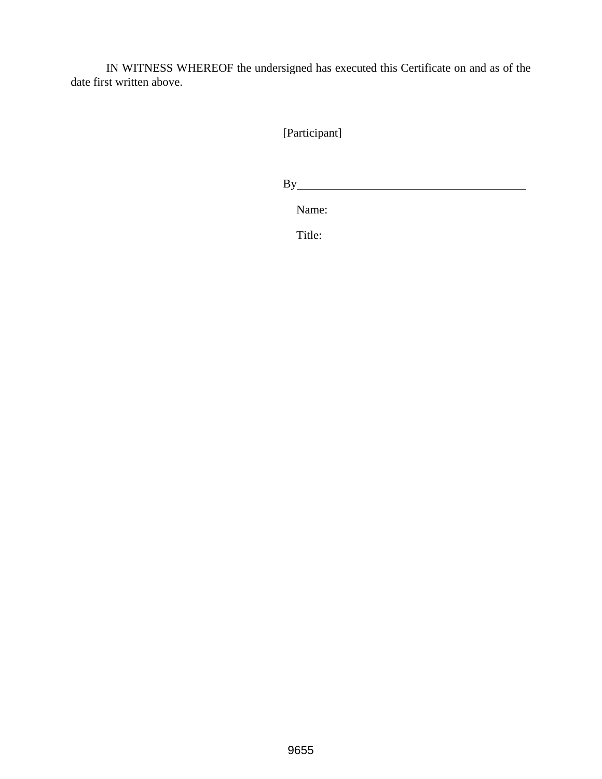IN WITNESS WHEREOF the undersigned has executed this Certificate on and as of the date first written above.

[Participant]

By

Name:

Title: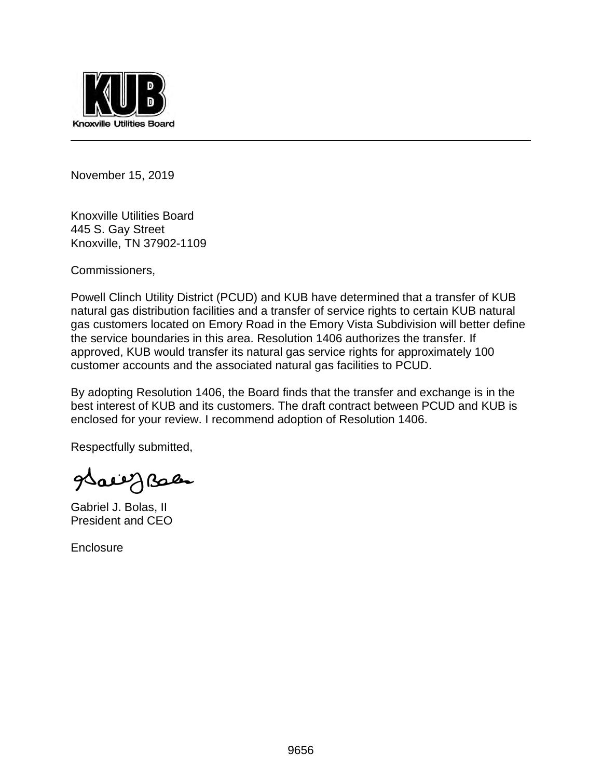

November 15, 2019

Knoxville Utilities Board 445 S. Gay Street Knoxville, TN 37902-1109

Commissioners,

Powell Clinch Utility District (PCUD) and KUB have determined that a transfer of KUB natural gas distribution facilities and a transfer of service rights to certain KUB natural gas customers located on Emory Road in the Emory Vista Subdivision will better define the service boundaries in this area. Resolution 1406 authorizes the transfer. If approved, KUB would transfer its natural gas service rights for approximately 100 customer accounts and the associated natural gas facilities to PCUD.

By adopting Resolution 1406, the Board finds that the transfer and exchange is in the best interest of KUB and its customers. The draft contract between PCUD and KUB is enclosed for your review. I recommend adoption of Resolution 1406.

Respectfully s ubmitted,

gdaes Gaen

Gabriel J. Bolas, II President and CEO

**Enclosure**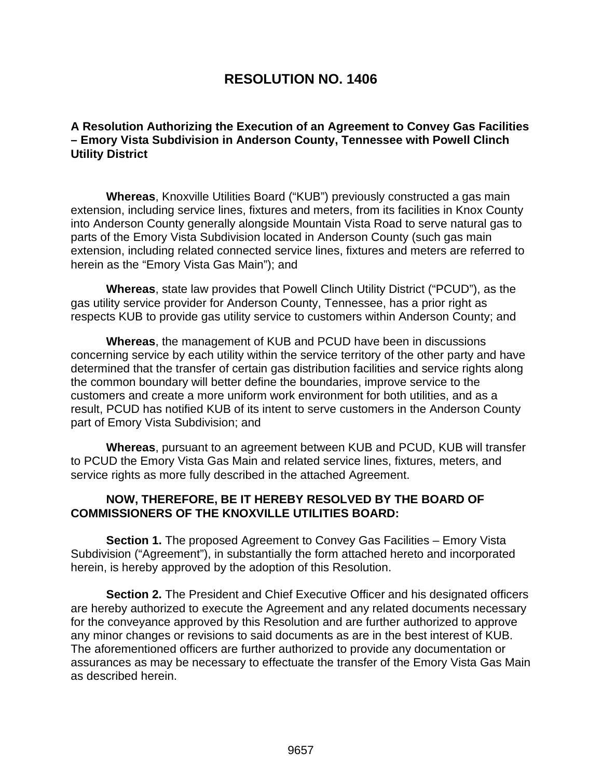# **RESOLUTION NO. 1406**

## **A Resolution Authorizing the Execution of an Agreement to Convey Gas Facilities – Emory Vista Subdivision in Anderson County, Tennessee with Powell Clinch Utility District**

**Whereas**, Knoxville Utilities Board ("KUB") previously constructed a gas main extension, including service lines, fixtures and meters, from its facilities in Knox County into Anderson County generally alongside Mountain Vista Road to serve natural gas to parts of the Emory Vista Subdivision located in Anderson County (such gas main extension, including related connected service lines, fixtures and meters are referred to herein as the "Emory Vista Gas Main"); and

**Whereas**, state law provides that Powell Clinch Utility District ("PCUD"), as the gas utility service provider for Anderson County, Tennessee, has a prior right as respects KUB to provide gas utility service to customers within Anderson County; and

**Whereas**, the management of KUB and PCUD have been in discussions concerning service by each utility within the service territory of the other party and have determined that the transfer of certain gas distribution facilities and service rights along the common boundary will better define the boundaries, improve service to the customers and create a more uniform work environment for both utilities, and as a result, PCUD has notified KUB of its intent to serve customers in the Anderson County part of Emory Vista Subdivision; and

**Whereas**, pursuant to an agreement between KUB and PCUD, KUB will transfer to PCUD the Emory Vista Gas Main and related service lines, fixtures, meters, and service rights as more fully described in the attached Agreement.

## **NOW, THEREFORE, BE IT HEREBY RESOLVED BY THE BOARD OF COMMISSIONERS OF THE KNOXVILLE UTILITIES BOARD:**

**Section 1.** The proposed Agreement to Convey Gas Facilities – Emory Vista Subdivision ("Agreement"), in substantially the form attached hereto and incorporated herein, is hereby approved by the adoption of this Resolution.

**Section 2.** The President and Chief Executive Officer and his designated officers are hereby authorized to execute the Agreement and any related documents necessary for the conveyance approved by this Resolution and are further authorized to approve any minor changes or revisions to said documents as are in the best interest of KUB. The aforementioned officers are further authorized to provide any documentation or assurances as may be necessary to effectuate the transfer of the Emory Vista Gas Main as described herein.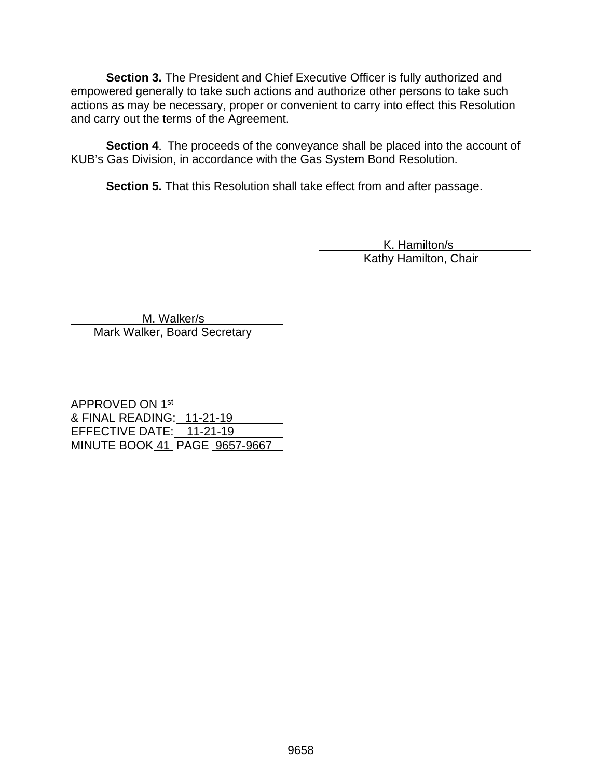**Section 3.** The President and Chief Executive Officer is fully authorized and empowered generally to take such actions and authorize other persons to take such actions as may be necessary, proper or convenient to carry into effect this Resolution and carry out the terms of the Agreement.

**Section 4**. The proceeds of the conveyance shall be placed into the account of KUB's Gas Division, in accordance with the Gas System Bond Resolution.

**Section 5.** That this Resolution shall take effect from and after passage.

 K. Hamilton/s Kathy Hamilton, Chair

 M. Walker/s Mark Walker, Board Secretary

APPROVED ON 1st & FINAL READING: 11-21-19 EFFECTIVE DATE: 11-21-19 MINUTE BOOK 41 PAGE 9657-9667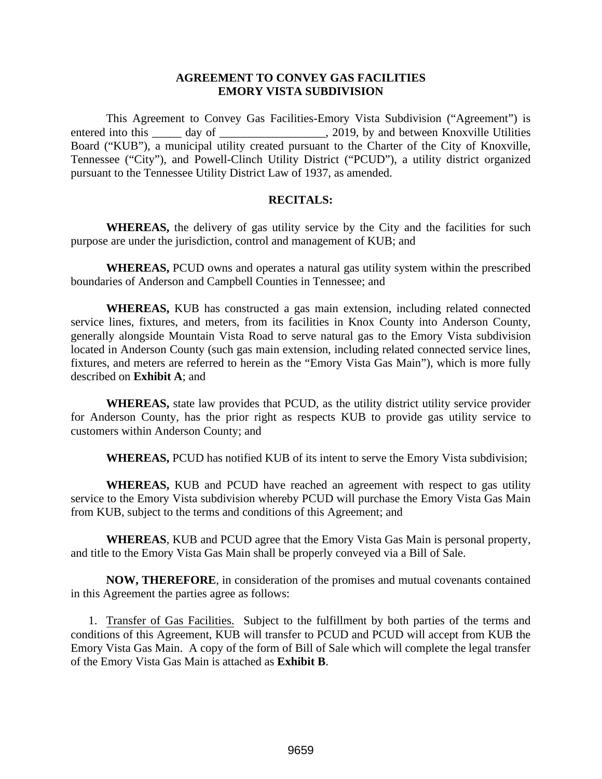#### **AGREEMENT TO CONVEY GAS FACILITIES EMORY VISTA SUBDIVISION**

This Agreement to Convey Gas Facilities-Emory Vista Subdivision ("Agreement") is entered into this \_\_\_\_\_ day of \_\_\_\_\_\_\_\_\_\_\_\_\_\_\_\_\_\_, 2019, by and between Knoxville Utilities Board ("KUB"), a municipal utility created pursuant to the Charter of the City of Knoxville, Tennessee ("City"), and Powell-Clinch Utility District ("PCUD"), a utility district organized pursuant to the Tennessee Utility District Law of 1937, as amended.

#### **RECITALS:**

WHEREAS, the delivery of gas utility service by the City and the facilities for such purpose are under the jurisdiction, control and management of KUB; and

**WHEREAS,** PCUD owns and operates a natural gas utility system within the prescribed boundaries of Anderson and Campbell Counties in Tennessee; and

**WHEREAS,** KUB has constructed a gas main extension, including related connected service lines, fixtures, and meters, from its facilities in Knox County into Anderson County, generally alongside Mountain Vista Road to serve natural gas to the Emory Vista subdivision located in Anderson County (such gas main extension, including related connected service lines, fixtures, and meters are referred to herein as the "Emory Vista Gas Main"), which is more fully described on **Exhibit A**; and

**WHEREAS,** state law provides that PCUD, as the utility district utility service provider for Anderson County, has the prior right as respects KUB to provide gas utility service to customers within Anderson County; and

**WHEREAS,** PCUD has notified KUB of its intent to serve the Emory Vista subdivision;

**WHEREAS,** KUB and PCUD have reached an agreement with respect to gas utility service to the Emory Vista subdivision whereby PCUD will purchase the Emory Vista Gas Main from KUB, subject to the terms and conditions of this Agreement; and

**WHEREAS**, KUB and PCUD agree that the Emory Vista Gas Main is personal property, and title to the Emory Vista Gas Main shall be properly conveyed via a Bill of Sale.

**NOW, THEREFORE**, in consideration of the promises and mutual covenants contained in this Agreement the parties agree as follows:

1. Transfer of Gas Facilities. Subject to the fulfillment by both parties of the terms and conditions of this Agreement, KUB will transfer to PCUD and PCUD will accept from KUB the Emory Vista Gas Main. A copy of the form of Bill of Sale which will complete the legal transfer of the Emory Vista Gas Main is attached as **Exhibit B**.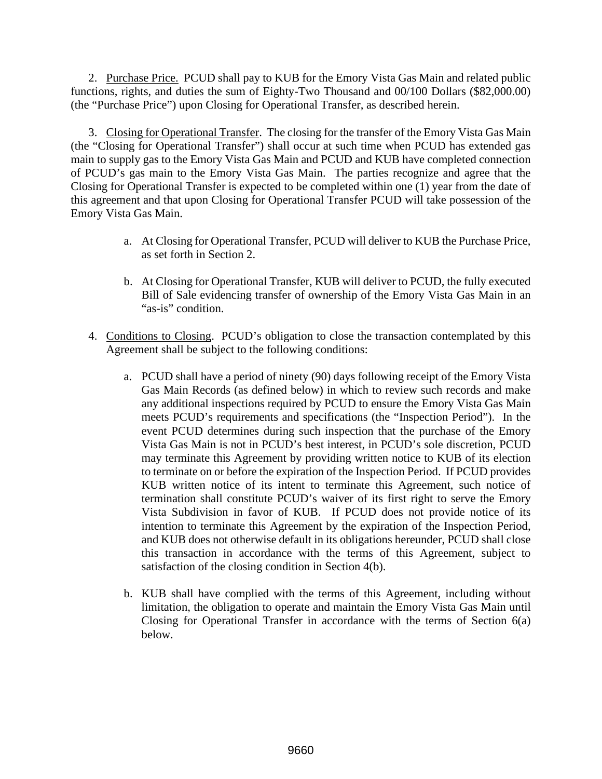2. Purchase Price. PCUD shall pay to KUB for the Emory Vista Gas Main and related public functions, rights, and duties the sum of Eighty-Two Thousand and 00/100 Dollars (\$82,000.00) (the "Purchase Price") upon Closing for Operational Transfer, as described herein.

3. Closing for Operational Transfer. The closing for the transfer of the Emory Vista Gas Main (the "Closing for Operational Transfer") shall occur at such time when PCUD has extended gas main to supply gas to the Emory Vista Gas Main and PCUD and KUB have completed connection of PCUD's gas main to the Emory Vista Gas Main. The parties recognize and agree that the Closing for Operational Transfer is expected to be completed within one (1) year from the date of this agreement and that upon Closing for Operational Transfer PCUD will take possession of the Emory Vista Gas Main.

- a. At Closing for Operational Transfer, PCUD will deliver to KUB the Purchase Price, as set forth in Section 2.
- b. At Closing for Operational Transfer, KUB will deliver to PCUD, the fully executed Bill of Sale evidencing transfer of ownership of the Emory Vista Gas Main in an "as-is" condition.
- 4. Conditions to Closing. PCUD's obligation to close the transaction contemplated by this Agreement shall be subject to the following conditions:
	- a. PCUD shall have a period of ninety (90) days following receipt of the Emory Vista Gas Main Records (as defined below) in which to review such records and make any additional inspections required by PCUD to ensure the Emory Vista Gas Main meets PCUD's requirements and specifications (the "Inspection Period"). In the event PCUD determines during such inspection that the purchase of the Emory Vista Gas Main is not in PCUD's best interest, in PCUD's sole discretion, PCUD may terminate this Agreement by providing written notice to KUB of its election to terminate on or before the expiration of the Inspection Period. If PCUD provides KUB written notice of its intent to terminate this Agreement, such notice of termination shall constitute PCUD's waiver of its first right to serve the Emory Vista Subdivision in favor of KUB. If PCUD does not provide notice of its intention to terminate this Agreement by the expiration of the Inspection Period, and KUB does not otherwise default in its obligations hereunder, PCUD shall close this transaction in accordance with the terms of this Agreement, subject to satisfaction of the closing condition in Section 4(b).
	- b. KUB shall have complied with the terms of this Agreement, including without limitation, the obligation to operate and maintain the Emory Vista Gas Main until Closing for Operational Transfer in accordance with the terms of Section 6(a) below.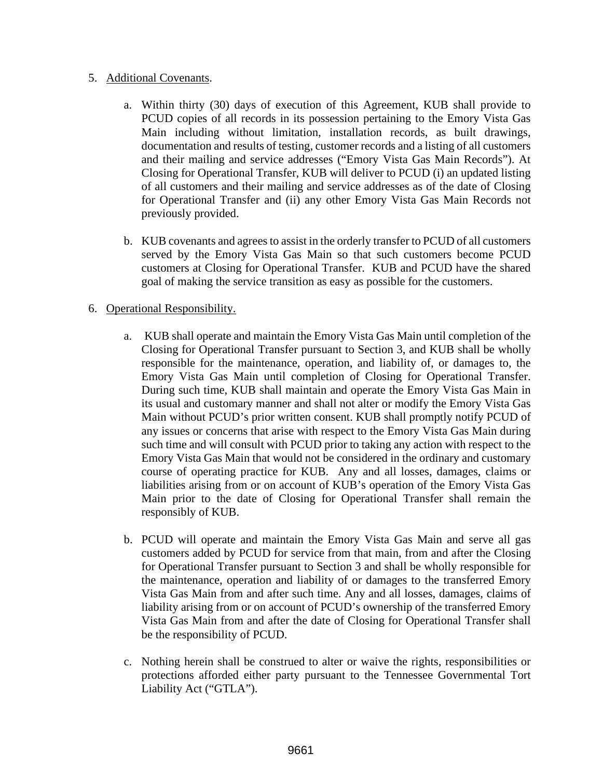## 5. Additional Covenants.

- a. Within thirty (30) days of execution of this Agreement, KUB shall provide to PCUD copies of all records in its possession pertaining to the Emory Vista Gas Main including without limitation, installation records, as built drawings, documentation and results of testing, customer records and a listing of all customers and their mailing and service addresses ("Emory Vista Gas Main Records"). At Closing for Operational Transfer, KUB will deliver to PCUD (i) an updated listing of all customers and their mailing and service addresses as of the date of Closing for Operational Transfer and (ii) any other Emory Vista Gas Main Records not previously provided.
- b. KUB covenants and agrees to assist in the orderly transfer to PCUD of all customers served by the Emory Vista Gas Main so that such customers become PCUD customers at Closing for Operational Transfer. KUB and PCUD have the shared goal of making the service transition as easy as possible for the customers.

## 6. Operational Responsibility.

- a. KUB shall operate and maintain the Emory Vista Gas Main until completion of the Closing for Operational Transfer pursuant to Section 3, and KUB shall be wholly responsible for the maintenance, operation, and liability of, or damages to, the Emory Vista Gas Main until completion of Closing for Operational Transfer. During such time, KUB shall maintain and operate the Emory Vista Gas Main in its usual and customary manner and shall not alter or modify the Emory Vista Gas Main without PCUD's prior written consent. KUB shall promptly notify PCUD of any issues or concerns that arise with respect to the Emory Vista Gas Main during such time and will consult with PCUD prior to taking any action with respect to the Emory Vista Gas Main that would not be considered in the ordinary and customary course of operating practice for KUB. Any and all losses, damages, claims or liabilities arising from or on account of KUB's operation of the Emory Vista Gas Main prior to the date of Closing for Operational Transfer shall remain the responsibly of KUB.
- b. PCUD will operate and maintain the Emory Vista Gas Main and serve all gas customers added by PCUD for service from that main, from and after the Closing for Operational Transfer pursuant to Section 3 and shall be wholly responsible for the maintenance, operation and liability of or damages to the transferred Emory Vista Gas Main from and after such time. Any and all losses, damages, claims of liability arising from or on account of PCUD's ownership of the transferred Emory Vista Gas Main from and after the date of Closing for Operational Transfer shall be the responsibility of PCUD.
- c. Nothing herein shall be construed to alter or waive the rights, responsibilities or protections afforded either party pursuant to the Tennessee Governmental Tort Liability Act ("GTLA").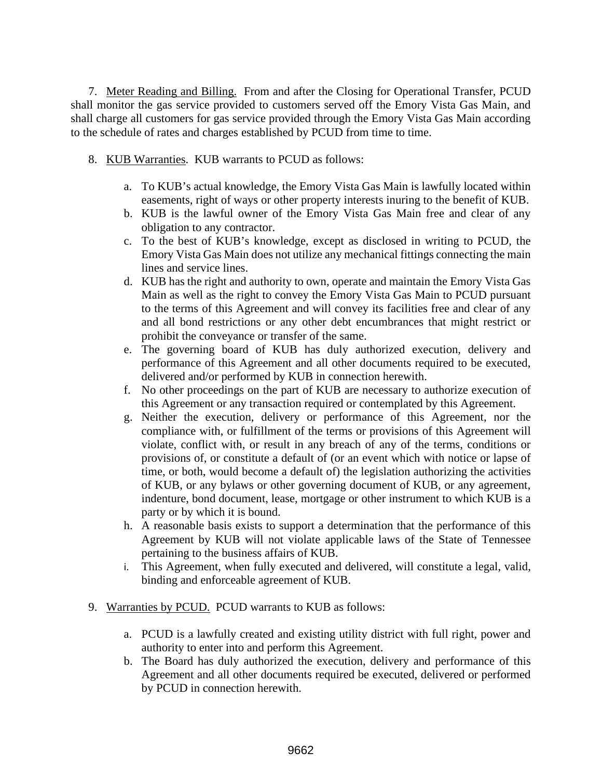7. Meter Reading and Billing. From and after the Closing for Operational Transfer, PCUD shall monitor the gas service provided to customers served off the Emory Vista Gas Main, and shall charge all customers for gas service provided through the Emory Vista Gas Main according to the schedule of rates and charges established by PCUD from time to time.

- 8. KUB Warranties. KUB warrants to PCUD as follows:
	- a. To KUB's actual knowledge, the Emory Vista Gas Main is lawfully located within easements, right of ways or other property interests inuring to the benefit of KUB.
	- b. KUB is the lawful owner of the Emory Vista Gas Main free and clear of any obligation to any contractor.
	- c. To the best of KUB's knowledge, except as disclosed in writing to PCUD, the Emory Vista Gas Main does not utilize any mechanical fittings connecting the main lines and service lines.
	- d. KUB has the right and authority to own, operate and maintain the Emory Vista Gas Main as well as the right to convey the Emory Vista Gas Main to PCUD pursuant to the terms of this Agreement and will convey its facilities free and clear of any and all bond restrictions or any other debt encumbrances that might restrict or prohibit the conveyance or transfer of the same.
	- e. The governing board of KUB has duly authorized execution, delivery and performance of this Agreement and all other documents required to be executed, delivered and/or performed by KUB in connection herewith.
	- f. No other proceedings on the part of KUB are necessary to authorize execution of this Agreement or any transaction required or contemplated by this Agreement.
	- g. Neither the execution, delivery or performance of this Agreement, nor the compliance with, or fulfillment of the terms or provisions of this Agreement will violate, conflict with, or result in any breach of any of the terms, conditions or provisions of, or constitute a default of (or an event which with notice or lapse of time, or both, would become a default of) the legislation authorizing the activities of KUB, or any bylaws or other governing document of KUB, or any agreement, indenture, bond document, lease, mortgage or other instrument to which KUB is a party or by which it is bound.
	- h. A reasonable basis exists to support a determination that the performance of this Agreement by KUB will not violate applicable laws of the State of Tennessee pertaining to the business affairs of KUB.
	- i. This Agreement, when fully executed and delivered, will constitute a legal, valid, binding and enforceable agreement of KUB.
- 9. Warranties by PCUD. PCUD warrants to KUB as follows:
	- a. PCUD is a lawfully created and existing utility district with full right, power and authority to enter into and perform this Agreement.
	- b. The Board has duly authorized the execution, delivery and performance of this Agreement and all other documents required be executed, delivered or performed by PCUD in connection herewith.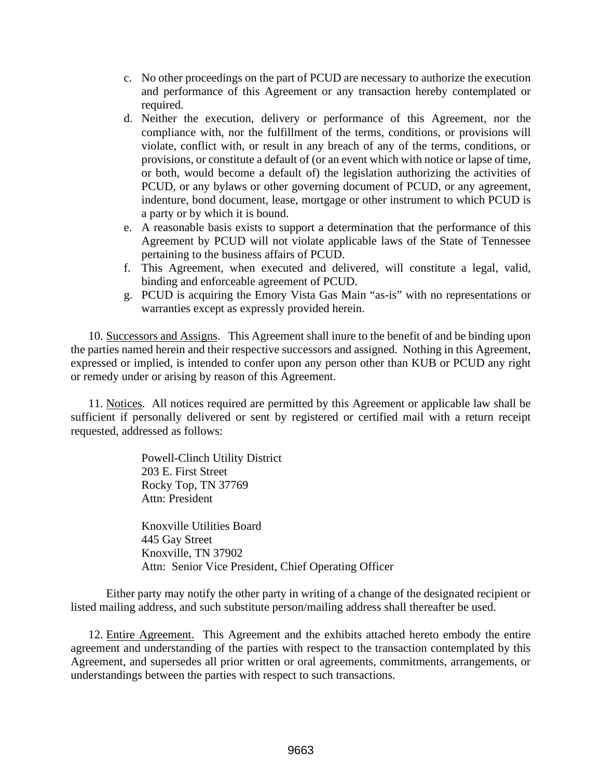- c. No other proceedings on the part of PCUD are necessary to authorize the execution and performance of this Agreement or any transaction hereby contemplated or required.
- d. Neither the execution, delivery or performance of this Agreement, nor the compliance with, nor the fulfillment of the terms, conditions, or provisions will violate, conflict with, or result in any breach of any of the terms, conditions, or provisions, or constitute a default of (or an event which with notice or lapse of time, or both, would become a default of) the legislation authorizing the activities of PCUD, or any bylaws or other governing document of PCUD, or any agreement, indenture, bond document, lease, mortgage or other instrument to which PCUD is a party or by which it is bound.
- e. A reasonable basis exists to support a determination that the performance of this Agreement by PCUD will not violate applicable laws of the State of Tennessee pertaining to the business affairs of PCUD.
- f. This Agreement, when executed and delivered, will constitute a legal, valid, binding and enforceable agreement of PCUD.
- g. PCUD is acquiring the Emory Vista Gas Main "as-is" with no representations or warranties except as expressly provided herein.

10. Successors and Assigns. This Agreement shall inure to the benefit of and be binding upon the parties named herein and their respective successors and assigned. Nothing in this Agreement, expressed or implied, is intended to confer upon any person other than KUB or PCUD any right or remedy under or arising by reason of this Agreement.

11. Notices. All notices required are permitted by this Agreement or applicable law shall be sufficient if personally delivered or sent by registered or certified mail with a return receipt requested, addressed as follows:

> Powell-Clinch Utility District 203 E. First Street Rocky Top, TN 37769 Attn: President

Knoxville Utilities Board 445 Gay Street Knoxville, TN 37902 Attn: Senior Vice President, Chief Operating Officer

Either party may notify the other party in writing of a change of the designated recipient or listed mailing address, and such substitute person/mailing address shall thereafter be used.

12. Entire Agreement. This Agreement and the exhibits attached hereto embody the entire agreement and understanding of the parties with respect to the transaction contemplated by this Agreement, and supersedes all prior written or oral agreements, commitments, arrangements, or understandings between the parties with respect to such transactions.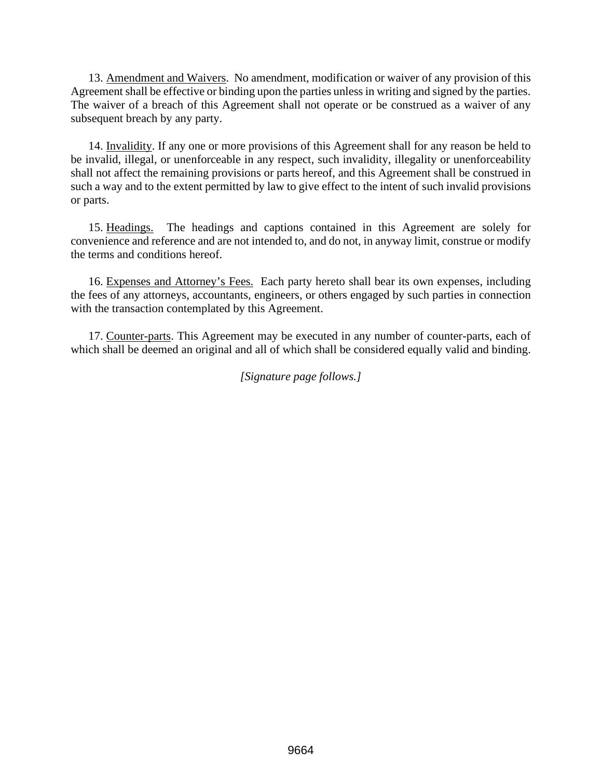13. Amendment and Waivers. No amendment, modification or waiver of any provision of this Agreement shall be effective or binding upon the parties unless in writing and signed by the parties. The waiver of a breach of this Agreement shall not operate or be construed as a waiver of any subsequent breach by any party.

14. Invalidity. If any one or more provisions of this Agreement shall for any reason be held to be invalid, illegal, or unenforceable in any respect, such invalidity, illegality or unenforceability shall not affect the remaining provisions or parts hereof, and this Agreement shall be construed in such a way and to the extent permitted by law to give effect to the intent of such invalid provisions or parts.

15. Headings. The headings and captions contained in this Agreement are solely for convenience and reference and are not intended to, and do not, in anyway limit, construe or modify the terms and conditions hereof.

16. Expenses and Attorney's Fees. Each party hereto shall bear its own expenses, including the fees of any attorneys, accountants, engineers, or others engaged by such parties in connection with the transaction contemplated by this Agreement.

17. Counter-parts. This Agreement may be executed in any number of counter-parts, each of which shall be deemed an original and all of which shall be considered equally valid and binding.

*[Signature page follows.]*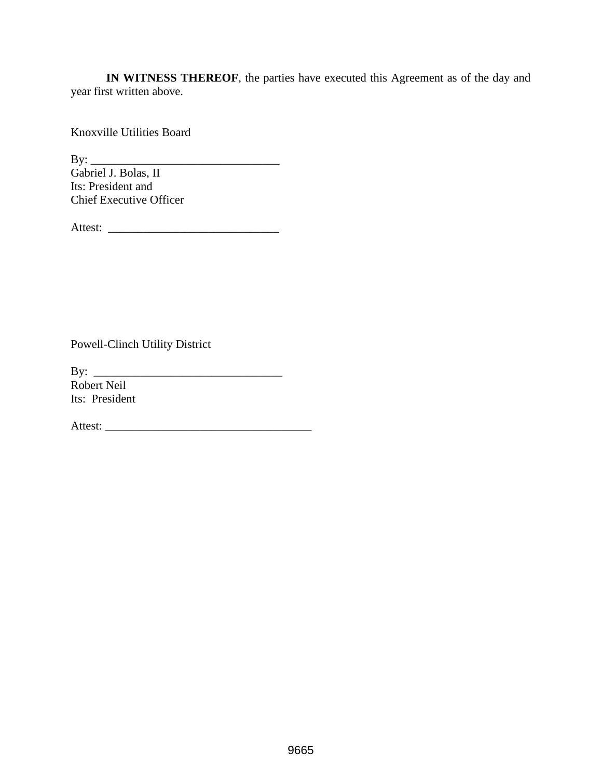**IN WITNESS THEREOF**, the parties have executed this Agreement as of the day and year first written above.

Knoxville Utilities Board

By: \_\_\_\_\_\_\_\_\_\_\_\_\_\_\_\_\_\_\_\_\_\_\_\_\_\_\_\_\_\_\_\_ Gabriel J. Bolas, II Its: President and Chief Executive Officer

Attest: \_\_\_\_\_\_\_\_\_\_\_\_\_\_\_\_\_\_\_\_\_\_\_\_\_\_\_\_\_

Powell-Clinch Utility District

 $By:$ Robert Neil Its: President

Attest: \_\_\_\_\_\_\_\_\_\_\_\_\_\_\_\_\_\_\_\_\_\_\_\_\_\_\_\_\_\_\_\_\_\_\_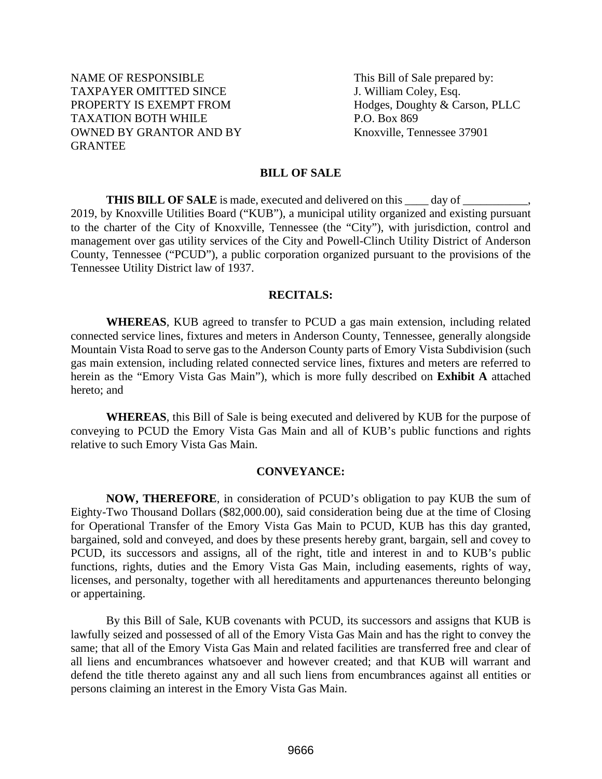NAME OF RESPONSIBLE This Bill of Sale prepared by: TAXPAYER OMITTED SINCE J. William Coley, Esq. PROPERTY IS EXEMPT FROM Hodges, Doughty & Carson, PLLC TAXATION BOTH WHILE P.O. Box 869 OWNED BY GRANTOR AND BY Knoxville, Tennessee 37901 **GRANTEE** 

### **BILL OF SALE**

**THIS BILL OF SALE** is made, executed and delivered on this \_\_\_\_ day of \_\_\_\_\_\_\_\_\_ 2019, by Knoxville Utilities Board ("KUB"), a municipal utility organized and existing pursuant to the charter of the City of Knoxville, Tennessee (the "City"), with jurisdiction, control and management over gas utility services of the City and Powell-Clinch Utility District of Anderson County, Tennessee ("PCUD"), a public corporation organized pursuant to the provisions of the Tennessee Utility District law of 1937.

#### **RECITALS:**

**WHEREAS**, KUB agreed to transfer to PCUD a gas main extension, including related connected service lines, fixtures and meters in Anderson County, Tennessee, generally alongside Mountain Vista Road to serve gas to the Anderson County parts of Emory Vista Subdivision (such gas main extension, including related connected service lines, fixtures and meters are referred to herein as the "Emory Vista Gas Main"), which is more fully described on **Exhibit A** attached hereto; and

**WHEREAS**, this Bill of Sale is being executed and delivered by KUB for the purpose of conveying to PCUD the Emory Vista Gas Main and all of KUB's public functions and rights relative to such Emory Vista Gas Main.

#### **CONVEYANCE:**

**NOW, THEREFORE**, in consideration of PCUD's obligation to pay KUB the sum of Eighty-Two Thousand Dollars (\$82,000.00), said consideration being due at the time of Closing for Operational Transfer of the Emory Vista Gas Main to PCUD, KUB has this day granted, bargained, sold and conveyed, and does by these presents hereby grant, bargain, sell and covey to PCUD, its successors and assigns, all of the right, title and interest in and to KUB's public functions, rights, duties and the Emory Vista Gas Main, including easements, rights of way, licenses, and personalty, together with all hereditaments and appurtenances thereunto belonging or appertaining.

By this Bill of Sale, KUB covenants with PCUD, its successors and assigns that KUB is lawfully seized and possessed of all of the Emory Vista Gas Main and has the right to convey the same; that all of the Emory Vista Gas Main and related facilities are transferred free and clear of all liens and encumbrances whatsoever and however created; and that KUB will warrant and defend the title thereto against any and all such liens from encumbrances against all entities or persons claiming an interest in the Emory Vista Gas Main.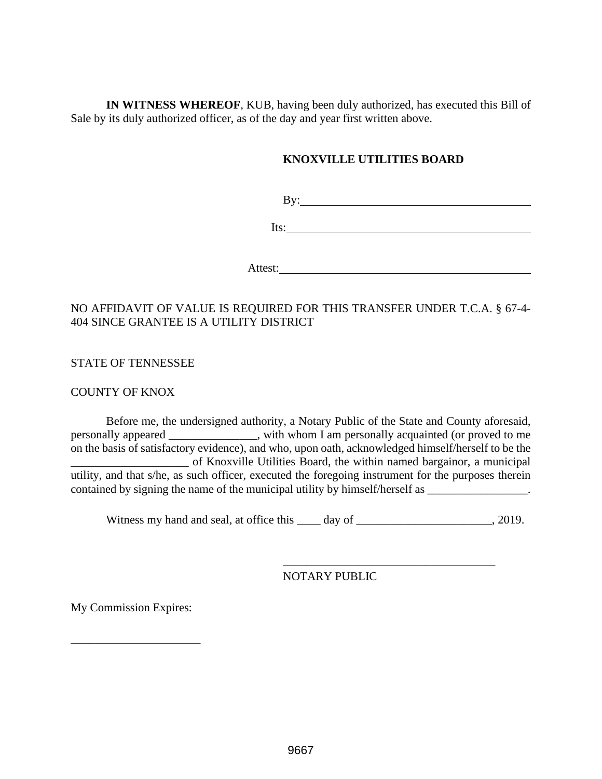**IN WITNESS WHEREOF**, KUB, having been duly authorized, has executed this Bill of Sale by its duly authorized officer, as of the day and year first written above.

## **KNOXVILLE UTILITIES BOARD**

By:

Its:

Attest:

# NO AFFIDAVIT OF VALUE IS REQUIRED FOR THIS TRANSFER UNDER T.C.A. § 67-4- 404 SINCE GRANTEE IS A UTILITY DISTRICT

STATE OF TENNESSEE

COUNTY OF KNOX

Before me, the undersigned authority, a Notary Public of the State and County aforesaid, personally appeared \_\_\_\_\_\_\_\_\_\_\_\_\_\_\_, with whom I am personally acquainted (or proved to me on the basis of satisfactory evidence), and who, upon oath, acknowledged himself/herself to be the \_\_\_\_\_\_\_\_\_\_\_\_\_\_\_\_\_\_\_\_ of Knoxville Utilities Board, the within named bargainor, a municipal utility, and that s/he, as such officer, executed the foregoing instrument for the purposes therein contained by signing the name of the municipal utility by himself/herself as \_\_\_\_\_\_\_\_\_\_\_\_\_\_\_.

Witness my hand and seal, at office this \_\_\_\_\_ day of \_\_\_\_\_\_\_\_\_\_\_\_\_\_\_\_\_\_\_\_\_\_\_, 2019.

NOTARY PUBLIC

\_\_\_\_\_\_\_\_\_\_\_\_\_\_\_\_\_\_\_\_\_\_\_\_\_\_\_\_\_\_\_\_\_\_\_\_

My Commission Expires:

\_\_\_\_\_\_\_\_\_\_\_\_\_\_\_\_\_\_\_\_\_\_